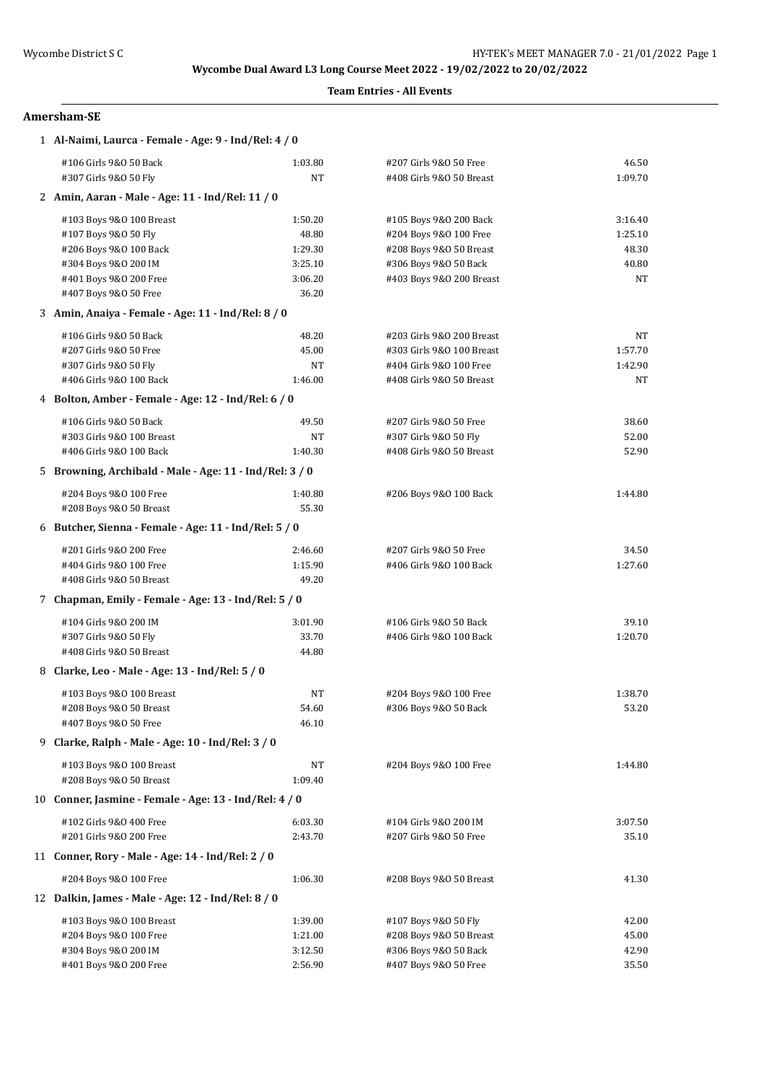## **Team Entries - All Events**

| 1 Al-Naimi, Laurca - Female - Age: 9 - Ind/Rel: 4 / 0   |         |                           |         |
|---------------------------------------------------------|---------|---------------------------|---------|
| #106 Girls 9&0 50 Back                                  | 1:03.80 | #207 Girls 9&0 50 Free    | 46.50   |
| #307 Girls 9&0 50 Fly                                   | NT      | #408 Girls 9&0 50 Breast  | 1:09.70 |
| 2 Amin, Aaran - Male - Age: 11 - Ind/Rel: 11 / 0        |         |                           |         |
| #103 Boys 9&0 100 Breast                                | 1:50.20 | #105 Boys 9&0 200 Back    | 3:16.40 |
| #107 Boys 9&0 50 Fly                                    | 48.80   | #204 Boys 9&0 100 Free    | 1:25.10 |
| #206 Boys 9&0 100 Back                                  | 1:29.30 | #208 Boys 9&0 50 Breast   | 48.30   |
| #304 Boys 9&0 200 IM                                    | 3:25.10 | #306 Boys 9&0 50 Back     | 40.80   |
| #401 Boys 9&0 200 Free                                  | 3:06.20 | #403 Boys 9&0 200 Breast  | NT      |
| #407 Boys 9&0 50 Free                                   | 36.20   |                           |         |
| 3 Amin, Anaiya - Female - Age: 11 - Ind/Rel: 8 / 0      |         |                           |         |
| #106 Girls 9&0 50 Back                                  | 48.20   | #203 Girls 9&0 200 Breast | NT      |
| #207 Girls 9&0 50 Free                                  | 45.00   | #303 Girls 9&0 100 Breast | 1:57.70 |
| #307 Girls 9&0 50 Fly                                   | NT      | #404 Girls 9&0 100 Free   | 1:42.90 |
| #406 Girls 9&0 100 Back                                 | 1:46.00 | #408 Girls 9&0 50 Breast  | NT      |
| 4 Bolton, Amber - Female - Age: 12 - Ind/Rel: 6 / 0     |         |                           |         |
| #106 Girls 9&0 50 Back                                  | 49.50   | #207 Girls 9&0 50 Free    | 38.60   |
| #303 Girls 9&0 100 Breast                               | NT      | #307 Girls 9&0 50 Fly     | 52.00   |
| #406 Girls 9&0 100 Back                                 | 1:40.30 | #408 Girls 9&0 50 Breast  | 52.90   |
| 5 Browning, Archibald - Male - Age: 11 - Ind/Rel: 3 / 0 |         |                           |         |
| #204 Boys 9&0 100 Free                                  | 1:40.80 | #206 Boys 9&0 100 Back    | 1:44.80 |
| #208 Boys 9&0 50 Breast                                 | 55.30   |                           |         |
| 6 Butcher, Sienna - Female - Age: 11 - Ind/Rel: 5 / 0   |         |                           |         |
| #201 Girls 9&0 200 Free                                 | 2:46.60 | #207 Girls 9&0 50 Free    | 34.50   |
| #404 Girls 9&0 100 Free                                 | 1:15.90 | #406 Girls 9&0 100 Back   | 1:27.60 |
| #408 Girls 9&0 50 Breast                                | 49.20   |                           |         |
| 7 Chapman, Emily - Female - Age: 13 - Ind/Rel: 5 / 0    |         |                           |         |
| #104 Girls 9&0 200 IM                                   | 3:01.90 | #106 Girls 9&0 50 Back    | 39.10   |
| #307 Girls 9&0 50 Fly                                   | 33.70   | #406 Girls 9&0 100 Back   | 1:20.70 |
| #408 Girls 9&0 50 Breast                                | 44.80   |                           |         |
| 8 Clarke, Leo - Male - Age: 13 - Ind/Rel: 5 / 0         |         |                           |         |
| #103 Boys 9&0 100 Breast                                | NT      | #204 Boys 9&0 100 Free    | 1:38.70 |
| #208 Boys 9&0 50 Breast                                 | 54.60   | #306 Boys 9&0 50 Back     | 53.20   |
| #407 Boys 9&0 50 Free                                   | 46.10   |                           |         |
| 9 Clarke, Ralph - Male - Age: 10 - Ind/Rel: 3 / 0       |         |                           |         |
| #103 Boys 9&0 100 Breast                                | NT      | #204 Boys 9&0 100 Free    | 1:44.80 |
| #208 Boys 9&0 50 Breast                                 | 1:09.40 |                           |         |
| 10 Conner, Jasmine - Female - Age: 13 - Ind/Rel: 4 / 0  |         |                           |         |
| #102 Girls 9&0 400 Free                                 | 6:03.30 | #104 Girls 9&0 200 IM     | 3:07.50 |
| #201 Girls 9&0 200 Free                                 | 2:43.70 | #207 Girls 9&0 50 Free    | 35.10   |
| 11 Conner, Rory - Male - Age: 14 - Ind/Rel: 2 / 0       |         |                           |         |
| #204 Boys 9&0 100 Free                                  | 1:06.30 | #208 Boys 9&0 50 Breast   | 41.30   |
| 12 Dalkin, James - Male - Age: 12 - Ind/Rel: 8 / 0      |         |                           |         |
| #103 Boys 9&0 100 Breast                                | 1:39.00 | #107 Boys 9&0 50 Fly      | 42.00   |
| #204 Boys 9&0 100 Free                                  | 1:21.00 | #208 Boys 9&0 50 Breast   | 45.00   |
| #304 Boys 9&0 200 IM                                    | 3:12.50 | #306 Boys 9&0 50 Back     | 42.90   |
| #401 Boys 9&0 200 Free                                  | 2:56.90 | #407 Boys 9&0 50 Free     | 35.50   |
|                                                         |         |                           |         |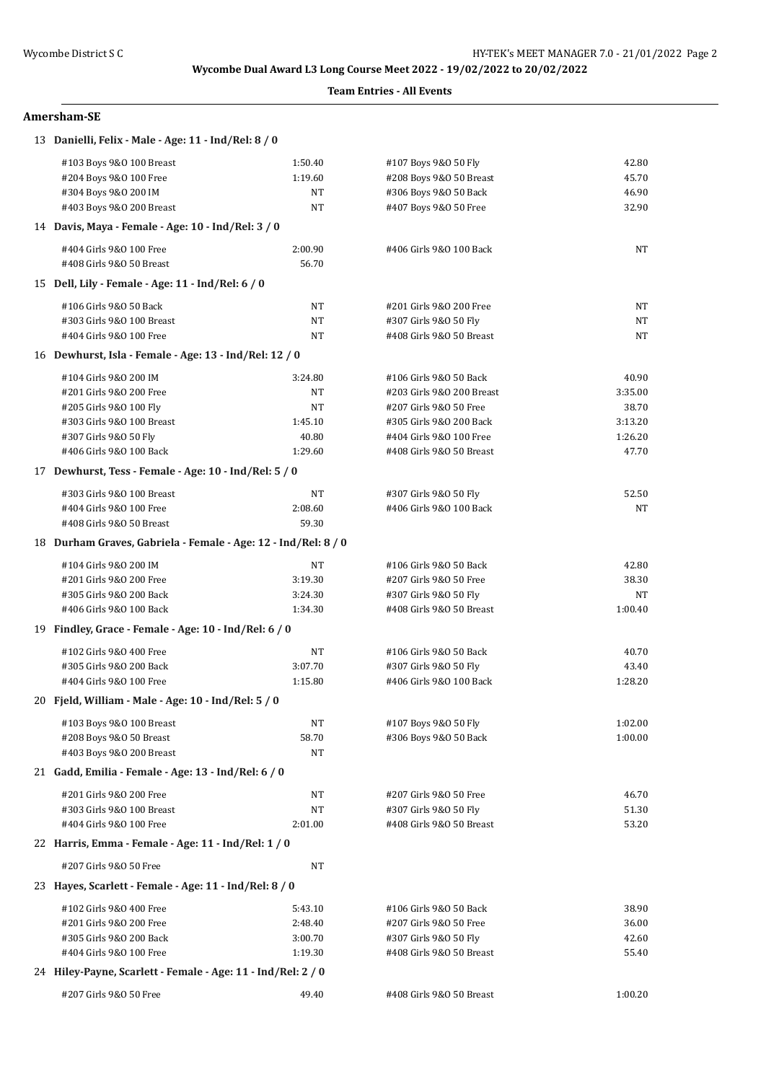## **Team Entries - All Events**

| 13 Danielli, Felix - Male - Age: 11 - Ind/Rel: 8 / 0           |         |                           |         |  |  |
|----------------------------------------------------------------|---------|---------------------------|---------|--|--|
| #103 Boys 9&0 100 Breast                                       | 1:50.40 | #107 Boys 9&0 50 Fly      | 42.80   |  |  |
| #204 Boys 9&0 100 Free                                         | 1:19.60 | #208 Boys 9&0 50 Breast   | 45.70   |  |  |
| #304 Boys 9&0 200 IM                                           | NT      | #306 Boys 9&0 50 Back     | 46.90   |  |  |
| #403 Boys 9&0 200 Breast                                       | NT      | #407 Boys 9&0 50 Free     | 32.90   |  |  |
| 14 Davis, Maya - Female - Age: 10 - Ind/Rel: 3 / 0             |         |                           |         |  |  |
| #404 Girls 9&0 100 Free                                        | 2:00.90 | #406 Girls 9&0 100 Back   | NT      |  |  |
| #408 Girls 9&0 50 Breast                                       | 56.70   |                           |         |  |  |
| 15 Dell, Lily - Female - Age: 11 - Ind/Rel: 6 / 0              |         |                           |         |  |  |
| #106 Girls 9&0 50 Back                                         | NT      | #201 Girls 9&0 200 Free   | NT      |  |  |
| #303 Girls 9&0 100 Breast                                      | NT      | #307 Girls 9&0 50 Fly     | NT      |  |  |
| #404 Girls 9&0 100 Free                                        | NT      | #408 Girls 9&0 50 Breast  | NT      |  |  |
| 16 Dewhurst, Isla - Female - Age: 13 - Ind/Rel: 12 / 0         |         |                           |         |  |  |
| #104 Girls 9&0 200 IM                                          | 3:24.80 | #106 Girls 9&0 50 Back    | 40.90   |  |  |
| #201 Girls 9&0 200 Free                                        | NT      | #203 Girls 9&0 200 Breast | 3:35.00 |  |  |
| #205 Girls 9&0 100 Fly                                         | NT      | #207 Girls 9&0 50 Free    | 38.70   |  |  |
| #303 Girls 9&0 100 Breast                                      | 1:45.10 | #305 Girls 9&0 200 Back   | 3:13.20 |  |  |
| #307 Girls 9&0 50 Fly                                          | 40.80   | #404 Girls 9&0 100 Free   | 1:26.20 |  |  |
| #406 Girls 9&0 100 Back                                        | 1:29.60 | #408 Girls 9&0 50 Breast  | 47.70   |  |  |
| 17 Dewhurst, Tess - Female - Age: 10 - Ind/Rel: 5 / 0          |         |                           |         |  |  |
| #303 Girls 9&0 100 Breast                                      | NT      | #307 Girls 9&0 50 Fly     | 52.50   |  |  |
| #404 Girls 9&0 100 Free                                        | 2:08.60 | #406 Girls 9&0 100 Back   | NT      |  |  |
| #408 Girls 9&0 50 Breast                                       | 59.30   |                           |         |  |  |
| 18 Durham Graves, Gabriela - Female - Age: 12 - Ind/Rel: 8 / 0 |         |                           |         |  |  |
| #104 Girls 9&0 200 IM                                          | NT      | #106 Girls 9&0 50 Back    | 42.80   |  |  |
| #201 Girls 9&0 200 Free                                        | 3:19.30 | #207 Girls 9&0 50 Free    | 38.30   |  |  |
| #305 Girls 9&0 200 Back                                        | 3:24.30 | #307 Girls 9&0 50 Fly     | NT      |  |  |
| #406 Girls 9&0 100 Back                                        | 1:34.30 | #408 Girls 9&0 50 Breast  | 1:00.40 |  |  |
| 19 Findley, Grace - Female - Age: 10 - Ind/Rel: 6 / 0          |         |                           |         |  |  |
| #102 Girls 9&0 400 Free                                        | NT      | #106 Girls 9&0 50 Back    | 40.70   |  |  |
| #305 Girls 9&0 200 Back                                        | 3:07.70 | #307 Girls 9&0 50 Fly     | 43.40   |  |  |
| #404 Girls 9&0 100 Free                                        | 1:15.80 | #406 Girls 9&0 100 Back   | 1:28.20 |  |  |
| 20 Fjeld, William - Male - Age: 10 - Ind/Rel: 5 / 0            |         |                           |         |  |  |
| #103 Boys 9&0 100 Breast                                       | NT      | #107 Boys 9&0 50 Fly      | 1:02.00 |  |  |
| #208 Boys 9&0 50 Breast                                        | 58.70   | #306 Boys 9&0 50 Back     | 1:00.00 |  |  |
| #403 Boys 9&0 200 Breast                                       | NT      |                           |         |  |  |
| 21 Gadd, Emilia - Female - Age: 13 - Ind/Rel: 6 / 0            |         |                           |         |  |  |
| #201 Girls 9&0 200 Free                                        | NT      | #207 Girls 9&0 50 Free    | 46.70   |  |  |
| #303 Girls 9&0 100 Breast                                      | NT      | #307 Girls 9&0 50 Fly     | 51.30   |  |  |
| #404 Girls 9&0 100 Free                                        | 2:01.00 | #408 Girls 9&0 50 Breast  | 53.20   |  |  |
| 22 Harris, Emma - Female - Age: 11 - Ind/Rel: 1 / 0            |         |                           |         |  |  |
| #207 Girls 9&0 50 Free                                         | NT      |                           |         |  |  |
| 23 Hayes, Scarlett - Female - Age: 11 - Ind/Rel: 8 / 0         |         |                           |         |  |  |
| #102 Girls 9&0 400 Free                                        | 5:43.10 | #106 Girls 9&0 50 Back    | 38.90   |  |  |
| #201 Girls 9&0 200 Free                                        | 2:48.40 | #207 Girls 9&0 50 Free    | 36.00   |  |  |
| #305 Girls 9&0 200 Back                                        | 3:00.70 | #307 Girls 9&0 50 Fly     | 42.60   |  |  |
| #404 Girls 9&0 100 Free                                        | 1:19.30 | #408 Girls 9&0 50 Breast  | 55.40   |  |  |
| 24 Hiley-Payne, Scarlett - Female - Age: 11 - Ind/Rel: 2 / 0   |         |                           |         |  |  |
| #207 Girls 9&0 50 Free                                         | 49.40   | #408 Girls 9&0 50 Breast  | 1:00.20 |  |  |
|                                                                |         |                           |         |  |  |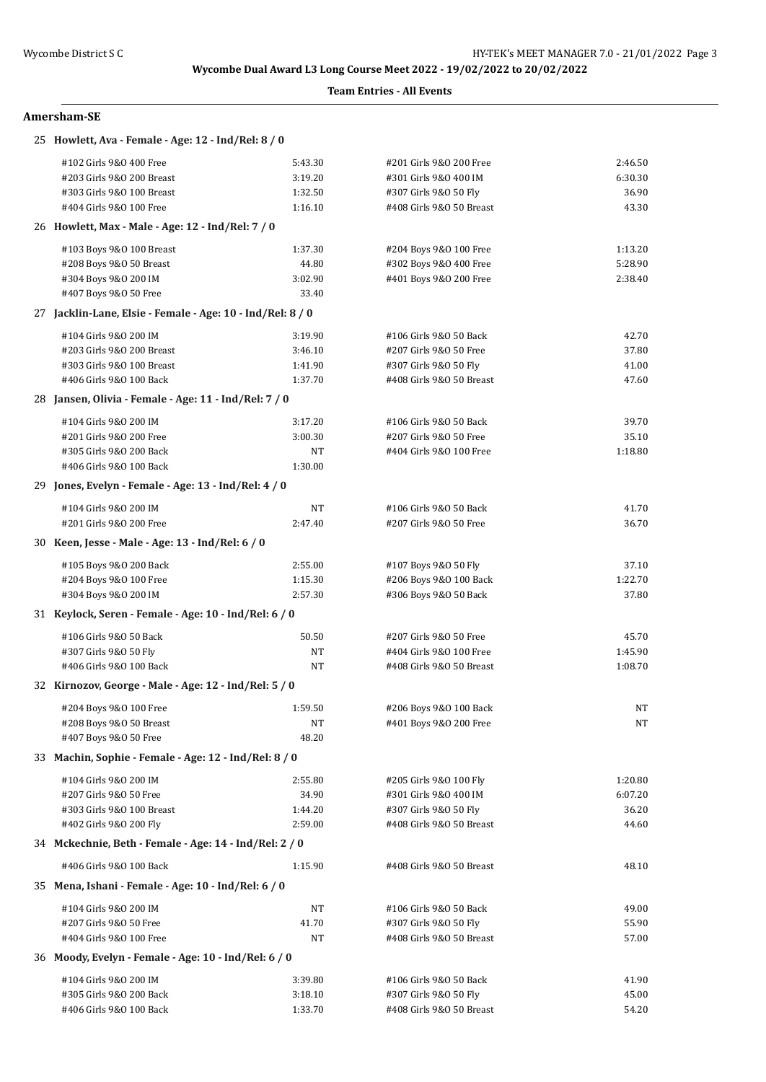## **Team Entries - All Events**

| 25 Howlett, Ava - Female - Age: 12 - Ind/Rel: 8 / 0        |         |                          |         |  |
|------------------------------------------------------------|---------|--------------------------|---------|--|
| #102 Girls 9&0 400 Free                                    | 5:43.30 | #201 Girls 9&0 200 Free  | 2:46.50 |  |
| #203 Girls 9&0 200 Breast                                  | 3:19.20 | #301 Girls 9&0 400 IM    | 6:30.30 |  |
| #303 Girls 9&0 100 Breast                                  | 1:32.50 | #307 Girls 9&0 50 Fly    | 36.90   |  |
| #404 Girls 9&0 100 Free                                    | 1:16.10 | #408 Girls 9&0 50 Breast | 43.30   |  |
| 26 Howlett, Max - Male - Age: 12 - Ind/Rel: 7 / 0          |         |                          |         |  |
| #103 Boys 9&0 100 Breast                                   | 1:37.30 | #204 Boys 9&0 100 Free   | 1:13.20 |  |
| #208 Boys 9&0 50 Breast                                    | 44.80   | #302 Boys 9&0 400 Free   | 5:28.90 |  |
| #304 Boys 9&0 200 IM                                       | 3:02.90 | #401 Boys 9&0 200 Free   | 2:38.40 |  |
| #407 Boys 9&0 50 Free                                      | 33.40   |                          |         |  |
| 27 Jacklin-Lane, Elsie - Female - Age: 10 - Ind/Rel: 8 / 0 |         |                          |         |  |
| #104 Girls 9&0 200 IM                                      | 3:19.90 | #106 Girls 9&0 50 Back   | 42.70   |  |
| #203 Girls 9&0 200 Breast                                  | 3:46.10 | #207 Girls 9&0 50 Free   | 37.80   |  |
| #303 Girls 9&0 100 Breast                                  | 1:41.90 | #307 Girls 9&0 50 Fly    | 41.00   |  |
| #406 Girls 9&0 100 Back                                    | 1:37.70 | #408 Girls 9&0 50 Breast | 47.60   |  |
| 28 Jansen, Olivia - Female - Age: 11 - Ind/Rel: 7 / 0      |         |                          |         |  |
| #104 Girls 9&0 200 IM                                      | 3:17.20 | #106 Girls 9&0 50 Back   | 39.70   |  |
| #201 Girls 9&0 200 Free                                    | 3:00.30 | #207 Girls 9&0 50 Free   | 35.10   |  |
| #305 Girls 9&0 200 Back                                    | NT      | #404 Girls 9&0 100 Free  | 1:18.80 |  |
| #406 Girls 9&0 100 Back                                    | 1:30.00 |                          |         |  |
| 29 Jones, Evelyn - Female - Age: 13 - Ind/Rel: 4 / 0       |         |                          |         |  |
| #104 Girls 9&0 200 IM                                      | NT      | #106 Girls 9&0 50 Back   | 41.70   |  |
| #201 Girls 9&0 200 Free                                    | 2:47.40 | #207 Girls 9&0 50 Free   | 36.70   |  |
| 30 Keen, Jesse - Male - Age: 13 - Ind/Rel: 6 / 0           |         |                          |         |  |
| #105 Boys 9&0 200 Back                                     | 2:55.00 | #107 Boys 9&0 50 Fly     | 37.10   |  |
| #204 Boys 9&0 100 Free                                     | 1:15.30 | #206 Boys 9&0 100 Back   | 1:22.70 |  |
| #304 Boys 9&0 200 IM                                       | 2:57.30 | #306 Boys 9&0 50 Back    | 37.80   |  |
| 31 Keylock, Seren - Female - Age: 10 - Ind/Rel: 6 / 0      |         |                          |         |  |
| #106 Girls 9&0 50 Back                                     | 50.50   | #207 Girls 9&0 50 Free   | 45.70   |  |
| #307 Girls 9&0 50 Fly                                      | NT      | #404 Girls 9&0 100 Free  | 1:45.90 |  |
| #406 Girls 9&0 100 Back                                    | NT      | #408 Girls 9&0 50 Breast | 1:08.70 |  |
| 32 Kirnozov, George - Male - Age: 12 - Ind/Rel: 5 / 0      |         |                          |         |  |
| #204 Boys 9&0 100 Free                                     | 1:59.50 | #206 Boys 9&0 100 Back   | NT      |  |
| #208 Boys 9&0 50 Breast                                    | NT      | #401 Boys 9&0 200 Free   | NT      |  |
| #407 Boys 9&0 50 Free                                      | 48.20   |                          |         |  |
| 33 Machin, Sophie - Female - Age: 12 - Ind/Rel: 8 / 0      |         |                          |         |  |
| #104 Girls 9&0 200 IM                                      | 2:55.80 | #205 Girls 9&0 100 Fly   | 1:20.80 |  |
| #207 Girls 9&0 50 Free                                     | 34.90   | #301 Girls 9&0 400 IM    | 6:07.20 |  |
| #303 Girls 9&0 100 Breast                                  | 1:44.20 | #307 Girls 9&0 50 Fly    | 36.20   |  |
| #402 Girls 9&0 200 Fly                                     | 2:59.00 | #408 Girls 9&0 50 Breast | 44.60   |  |
| 34 Mckechnie, Beth - Female - Age: 14 - Ind/Rel: 2 / 0     |         |                          |         |  |
| #406 Girls 9&0 100 Back                                    | 1:15.90 | #408 Girls 9&0 50 Breast | 48.10   |  |
| 35 Mena, Ishani - Female - Age: 10 - Ind/Rel: 6 / 0        |         |                          |         |  |
| #104 Girls 9&0 200 IM                                      | NT      | #106 Girls 9&0 50 Back   | 49.00   |  |
| #207 Girls 9&0 50 Free                                     | 41.70   | #307 Girls 9&0 50 Fly    | 55.90   |  |
| #404 Girls 9&0 100 Free                                    | NT      | #408 Girls 9&0 50 Breast | 57.00   |  |
| 36 Moody, Evelyn - Female - Age: 10 - Ind/Rel: 6 / 0       |         |                          |         |  |
| #104 Girls 9&0 200 IM                                      | 3:39.80 | #106 Girls 9&0 50 Back   | 41.90   |  |
| #305 Girls 9&0 200 Back                                    | 3:18.10 | #307 Girls 9&0 50 Fly    | 45.00   |  |
| #406 Girls 9&0 100 Back                                    | 1:33.70 | #408 Girls 9&0 50 Breast | 54.20   |  |
|                                                            |         |                          |         |  |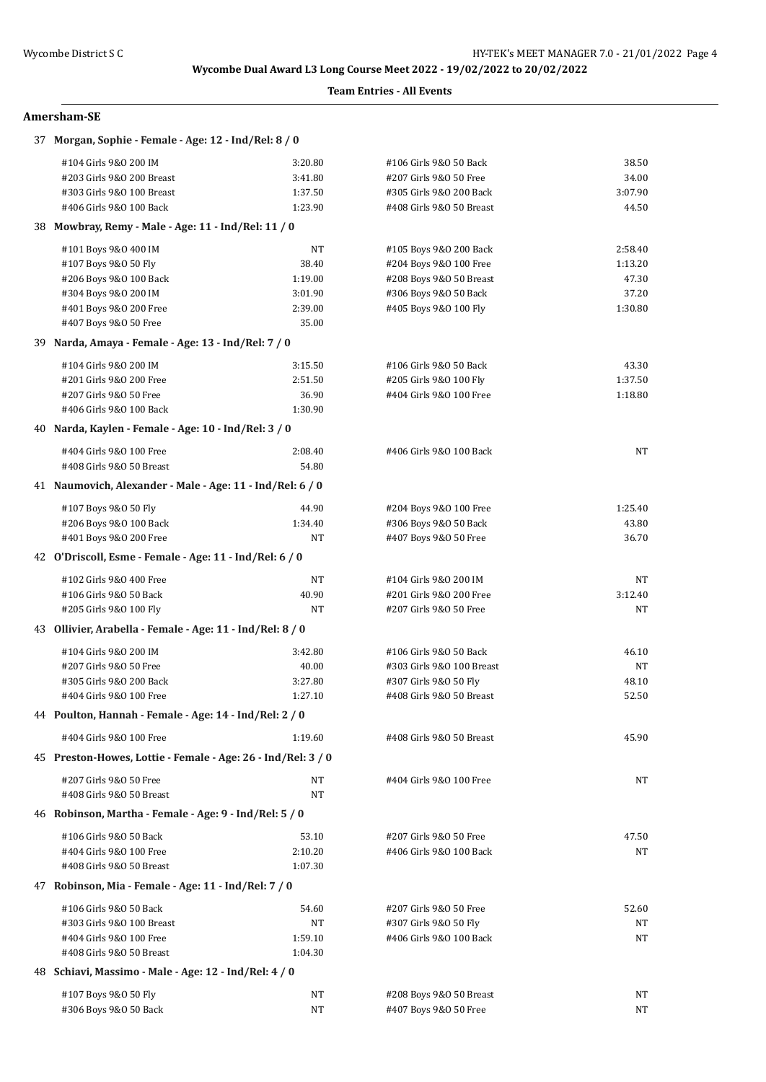## **Team Entries - All Events**

| 37 Morgan, Sophie - Female - Age: 12 - Ind/Rel: 8 / 0        |         |                           |           |  |  |
|--------------------------------------------------------------|---------|---------------------------|-----------|--|--|
| #104 Girls 9&0 200 IM                                        | 3:20.80 | #106 Girls 9&0 50 Back    | 38.50     |  |  |
| #203 Girls 9&0 200 Breast                                    | 3:41.80 | #207 Girls 9&0 50 Free    | 34.00     |  |  |
| #303 Girls 9&0 100 Breast                                    | 1:37.50 | #305 Girls 9&0 200 Back   | 3:07.90   |  |  |
| #406 Girls 9&0 100 Back                                      | 1:23.90 | #408 Girls 9&0 50 Breast  | 44.50     |  |  |
| 38 Mowbray, Remy - Male - Age: 11 - Ind/Rel: 11 / 0          |         |                           |           |  |  |
| #101 Boys 9&0 400 IM                                         | NT      | #105 Boys 9&0 200 Back    | 2:58.40   |  |  |
| #107 Boys 9&0 50 Fly                                         | 38.40   | #204 Boys 9&0 100 Free    | 1:13.20   |  |  |
| #206 Boys 9&0 100 Back                                       | 1:19.00 | #208 Boys 9&0 50 Breast   | 47.30     |  |  |
| #304 Boys 9&0 200 IM                                         | 3:01.90 | #306 Boys 9&0 50 Back     | 37.20     |  |  |
| #401 Boys 9&0 200 Free                                       | 2:39.00 | #405 Boys 9&0 100 Fly     | 1:30.80   |  |  |
| #407 Boys 9&0 50 Free                                        | 35.00   |                           |           |  |  |
| 39 Narda, Amaya - Female - Age: 13 - Ind/Rel: 7 / 0          |         |                           |           |  |  |
| #104 Girls 9&0 200 IM                                        | 3:15.50 | #106 Girls 9&0 50 Back    | 43.30     |  |  |
| #201 Girls 9&0 200 Free                                      | 2:51.50 | #205 Girls 9&0 100 Fly    | 1:37.50   |  |  |
| #207 Girls 9&0 50 Free                                       | 36.90   | #404 Girls 9&0 100 Free   | 1:18.80   |  |  |
| #406 Girls 9&0 100 Back                                      | 1:30.90 |                           |           |  |  |
| 40 Narda, Kaylen - Female - Age: 10 - Ind/Rel: 3 / 0         |         |                           |           |  |  |
| #404 Girls 9&0 100 Free                                      | 2:08.40 | #406 Girls 9&0 100 Back   | <b>NT</b> |  |  |
| #408 Girls 9&0 50 Breast                                     | 54.80   |                           |           |  |  |
| 41 Naumovich, Alexander - Male - Age: 11 - Ind/Rel: 6 / 0    |         |                           |           |  |  |
|                                                              | 44.90   |                           | 1:25.40   |  |  |
| #107 Boys 9&0 50 Fly                                         | 1:34.40 | #204 Boys 9&0 100 Free    | 43.80     |  |  |
| #206 Boys 9&0 100 Back                                       |         | #306 Boys 9&0 50 Back     |           |  |  |
| #401 Boys 9&0 200 Free                                       | NT      | #407 Boys 9&0 50 Free     | 36.70     |  |  |
| 42 O'Driscoll, Esme - Female - Age: 11 - Ind/Rel: 6 / 0      |         |                           |           |  |  |
| #102 Girls 9&0 400 Free                                      | NT      | #104 Girls 9&0 200 IM     | NT        |  |  |
| #106 Girls 9&0 50 Back                                       | 40.90   | #201 Girls 9&0 200 Free   | 3:12.40   |  |  |
| #205 Girls 9&0 100 Fly                                       | NT      | #207 Girls 9&0 50 Free    | <b>NT</b> |  |  |
| 43 Ollivier, Arabella - Female - Age: 11 - Ind/Rel: 8 / 0    |         |                           |           |  |  |
| #104 Girls 9&0 200 IM                                        | 3:42.80 | #106 Girls 9&0 50 Back    | 46.10     |  |  |
| #207 Girls 9&0 50 Free                                       | 40.00   | #303 Girls 9&0 100 Breast | NT        |  |  |
| #305 Girls 9&0 200 Back                                      | 3:27.80 | #307 Girls 9&0 50 Fly     | 48.10     |  |  |
| #404 Girls 9&0 100 Free                                      | 1:27.10 | #408 Girls 9&0 50 Breast  | 52.50     |  |  |
| 44 Poulton, Hannah - Female - Age: 14 - Ind/Rel: 2 / 0       |         |                           |           |  |  |
| #404 Girls 9&0 100 Free                                      | 1:19.60 | #408 Girls 9&0 50 Breast  | 45.90     |  |  |
| 45 Preston-Howes, Lottie - Female - Age: 26 - Ind/Rel: 3 / 0 |         |                           |           |  |  |
| #207 Girls 9&0 50 Free                                       | NT      | #404 Girls 9&0 100 Free   | NT        |  |  |
| #408 Girls 9&0 50 Breast                                     | NT      |                           |           |  |  |
| 46 Robinson, Martha - Female - Age: 9 - Ind/Rel: 5 / 0       |         |                           |           |  |  |
| #106 Girls 9&0 50 Back                                       | 53.10   | #207 Girls 9&0 50 Free    | 47.50     |  |  |
| #404 Girls 9&0 100 Free                                      | 2:10.20 | #406 Girls 9&0 100 Back   | NT        |  |  |
| #408 Girls 9&0 50 Breast                                     | 1:07.30 |                           |           |  |  |
| 47 Robinson, Mia - Female - Age: 11 - Ind/Rel: 7 / 0         |         |                           |           |  |  |
| #106 Girls 9&0 50 Back                                       | 54.60   | #207 Girls 9&0 50 Free    | 52.60     |  |  |
| #303 Girls 9&0 100 Breast                                    | NT      | #307 Girls 9&0 50 Fly     | NT        |  |  |
| #404 Girls 9&0 100 Free                                      | 1:59.10 | #406 Girls 9&0 100 Back   | NT        |  |  |
| #408 Girls 9&0 50 Breast                                     | 1:04.30 |                           |           |  |  |
| 48 Schiavi, Massimo - Male - Age: 12 - Ind/Rel: 4 / 0        |         |                           |           |  |  |
| #107 Boys 9&0 50 Fly                                         | NT      | #208 Boys 9&0 50 Breast   | NT        |  |  |
| #306 Boys 9&0 50 Back                                        | NT      | #407 Boys 9&0 50 Free     | NT        |  |  |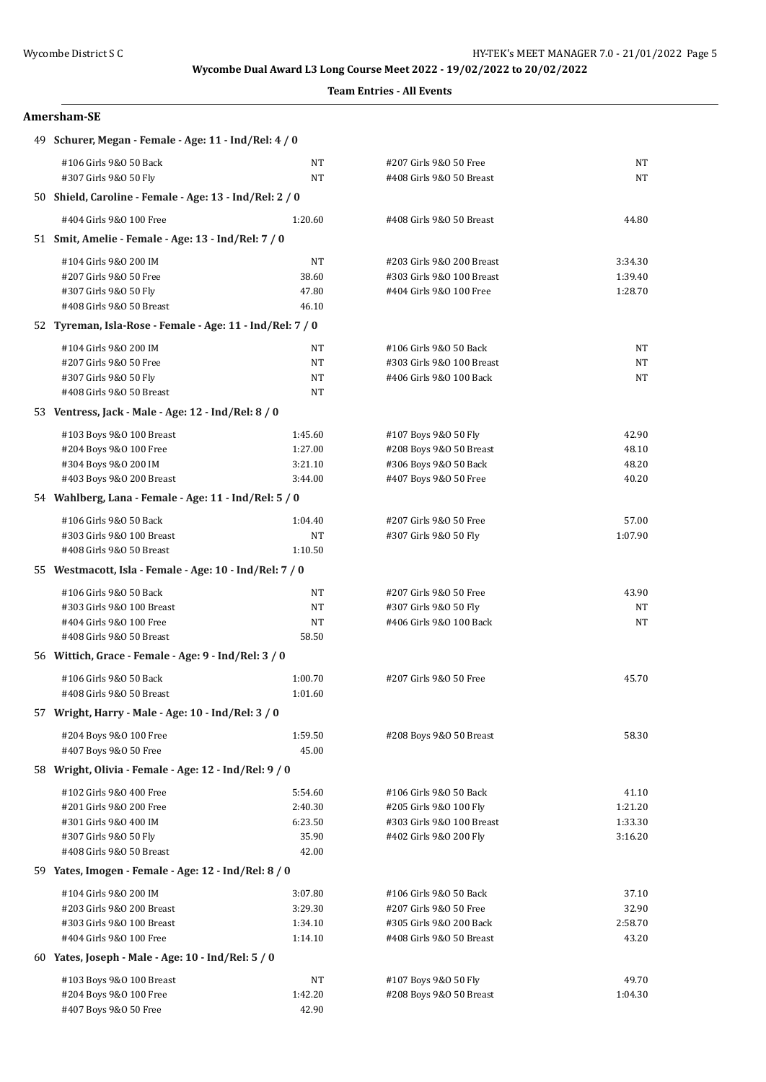## **Team Entries - All Events**

| 49 Schurer, Megan - Female - Age: 11 - Ind/Rel: 4 / 0     |         |                           |         |
|-----------------------------------------------------------|---------|---------------------------|---------|
| #106 Girls 9&0 50 Back                                    | NT      | #207 Girls 9&0 50 Free    | NT      |
| #307 Girls 9&0 50 Fly                                     | NT      | #408 Girls 9&0 50 Breast  | NT      |
| 50 Shield, Caroline - Female - Age: 13 - Ind/Rel: 2 / 0   |         |                           |         |
| #404 Girls 9&0 100 Free                                   | 1:20.60 | #408 Girls 9&0 50 Breast  | 44.80   |
| 51 Smit, Amelie - Female - Age: 13 - Ind/Rel: 7 / 0       |         |                           |         |
| #104 Girls 9&0 200 IM                                     | NT      | #203 Girls 9&0 200 Breast | 3:34.30 |
| #207 Girls 9&0 50 Free                                    | 38.60   | #303 Girls 9&0 100 Breast | 1:39.40 |
| #307 Girls 9&0 50 Fly                                     | 47.80   | #404 Girls 9&0 100 Free   | 1:28.70 |
| #408 Girls 9&0 50 Breast                                  | 46.10   |                           |         |
| 52 Tyreman, Isla-Rose - Female - Age: 11 - Ind/Rel: 7 / 0 |         |                           |         |
| #104 Girls 9&0 200 IM                                     | NT      | #106 Girls 9&0 50 Back    | NT      |
| #207 Girls 9&0 50 Free                                    | NT      | #303 Girls 9&0 100 Breast | NT      |
| #307 Girls 9&0 50 Fly                                     | NT      | #406 Girls 9&0 100 Back   | NT      |
| #408 Girls 9&0 50 Breast                                  | NT      |                           |         |
| 53 Ventress, Jack - Male - Age: 12 - Ind/Rel: 8 / 0       |         |                           |         |
| #103 Boys 9&0 100 Breast                                  | 1:45.60 | #107 Boys 9&0 50 Fly      | 42.90   |
| #204 Boys 9&0 100 Free                                    | 1:27.00 | #208 Boys 9&0 50 Breast   | 48.10   |
| #304 Boys 9&0 200 IM                                      | 3:21.10 | #306 Boys 9&0 50 Back     | 48.20   |
| #403 Boys 9&0 200 Breast                                  | 3:44.00 | #407 Boys 9&0 50 Free     | 40.20   |
| 54 Wahlberg, Lana - Female - Age: 11 - Ind/Rel: 5 / 0     |         |                           |         |
| #106 Girls 9&0 50 Back                                    | 1:04.40 | #207 Girls 9&0 50 Free    | 57.00   |
| #303 Girls 9&0 100 Breast                                 | NT      | #307 Girls 9&0 50 Fly     | 1:07.90 |
| #408 Girls 9&0 50 Breast                                  | 1:10.50 |                           |         |
| 55 Westmacott, Isla - Female - Age: 10 - Ind/Rel: 7 / 0   |         |                           |         |
| #106 Girls 9&0 50 Back                                    | NT      | #207 Girls 9&0 50 Free    | 43.90   |
| #303 Girls 9&0 100 Breast                                 | NT      | #307 Girls 9&0 50 Fly     | NT      |
| #404 Girls 9&0 100 Free                                   | NT      | #406 Girls 9&0 100 Back   | NT      |
| #408 Girls 9&0 50 Breast                                  | 58.50   |                           |         |
| 56 Wittich, Grace - Female - Age: 9 - Ind/Rel: 3 / 0      |         |                           |         |
| #106 Girls 9&0 50 Back                                    | 1:00.70 | #207 Girls 9&0 50 Free    | 45.70   |
| #408 Girls 9&0 50 Breast                                  | 1:01.60 |                           |         |
| 57 Wright, Harry - Male - Age: 10 - Ind/Rel: 3 / 0        |         |                           |         |
| #204 Boys 9&0 100 Free                                    | 1:59.50 | #208 Boys 9&0 50 Breast   | 58.30   |
| #407 Boys 9&0 50 Free                                     | 45.00   |                           |         |
| 58 Wright, Olivia - Female - Age: 12 - Ind/Rel: 9 / 0     |         |                           |         |
| #102 Girls 9&0 400 Free                                   | 5:54.60 | #106 Girls 9&0 50 Back    | 41.10   |
| #201 Girls 9&0 200 Free                                   | 2:40.30 | #205 Girls 9&0 100 Fly    | 1:21.20 |
| #301 Girls 9&0 400 IM                                     | 6:23.50 | #303 Girls 9&0 100 Breast | 1:33.30 |
| #307 Girls 9&0 50 Fly                                     | 35.90   | #402 Girls 9&0 200 Fly    | 3:16.20 |
| #408 Girls 9&0 50 Breast                                  | 42.00   |                           |         |
| 59 Yates, Imogen - Female - Age: 12 - Ind/Rel: 8 / 0      |         |                           |         |
| #104 Girls 9&0 200 IM                                     | 3:07.80 | #106 Girls 9&0 50 Back    | 37.10   |
| #203 Girls 9&0 200 Breast                                 | 3:29.30 | #207 Girls 9&0 50 Free    | 32.90   |
| #303 Girls 9&0 100 Breast                                 | 1:34.10 | #305 Girls 9&0 200 Back   | 2:58.70 |
| #404 Girls 9&0 100 Free                                   | 1:14.10 | #408 Girls 9&0 50 Breast  | 43.20   |
| 60 Yates, Joseph - Male - Age: 10 - Ind/Rel: 5 / 0        |         |                           |         |
| #103 Boys 9&0 100 Breast                                  | NT      | #107 Boys 9&0 50 Fly      | 49.70   |
| #204 Boys 9&0 100 Free                                    | 1:42.20 | #208 Boys 9&0 50 Breast   | 1:04.30 |
| #407 Boys 9&0 50 Free                                     | 42.90   |                           |         |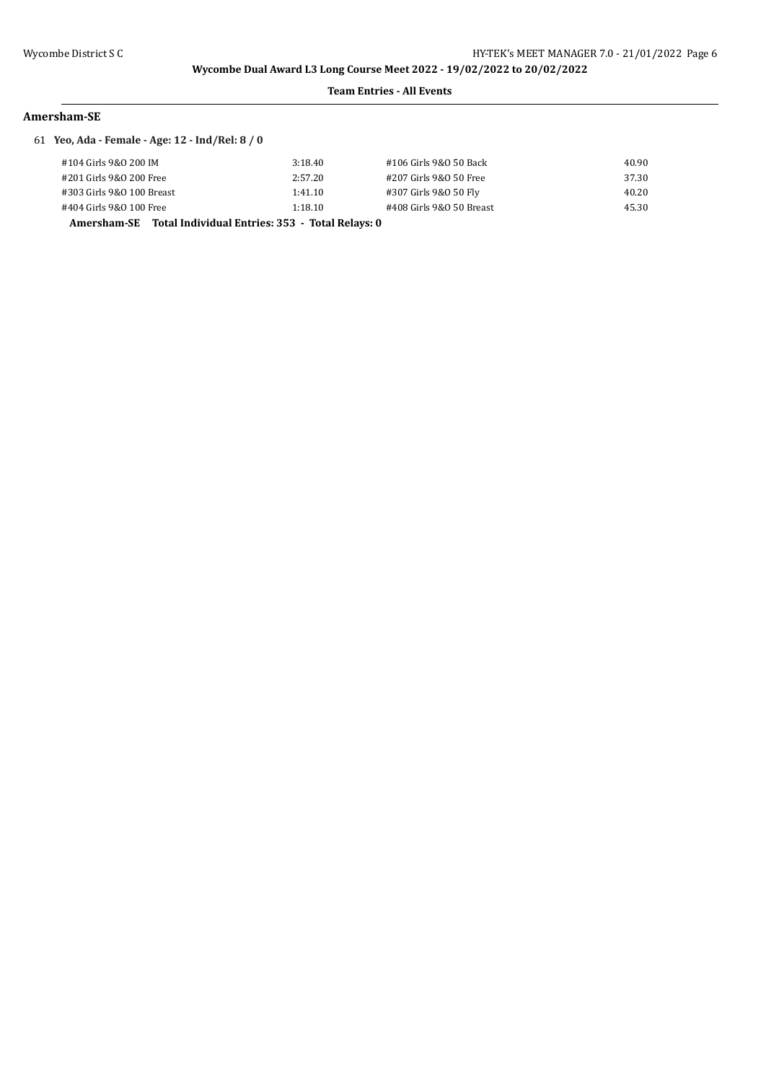## **Team Entries - All Events**

# **Amersham-SE**

61 **Yeo, Ada - Female - Age: 12 - Ind/Rel: 8 / 0**

| Amersham-SE Total Individual Entries: 353 - Total Relays: 0 |         |                          |       |  |
|-------------------------------------------------------------|---------|--------------------------|-------|--|
| #404 Girls 9&0 100 Free                                     | 1:18.10 | #408 Girls 9&0 50 Breast | 45.30 |  |
| #303 Girls 9&0 100 Breast                                   | 1:41.10 | #307 Girls 9&0 50 Fly    | 40.20 |  |
| #201 Girls 9&0 200 Free                                     | 2:57.20 | #207 Girls 9&0 50 Free   | 37.30 |  |
| #104 Girls 9&0 200 IM                                       | 3:18.40 | #106 Girls 9&0 50 Back   | 40.90 |  |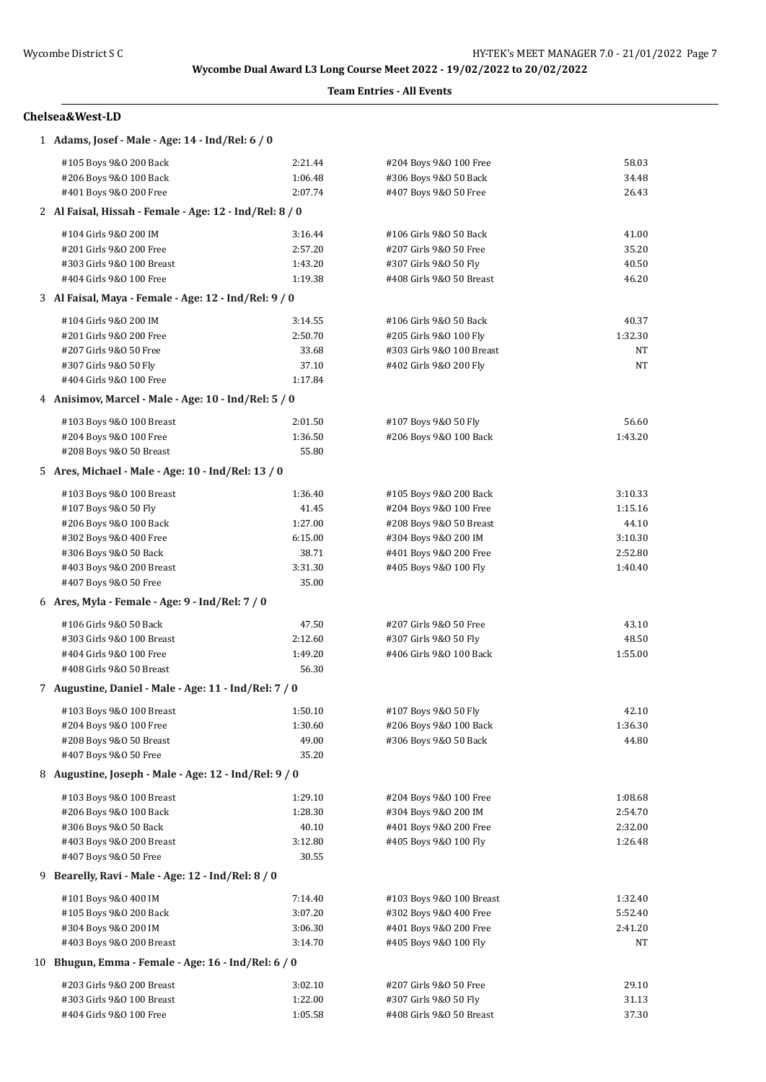### **Team Entries - All Events**

| 1 Adams, Josef - Male - Age: 14 - Ind/Rel: 6 / 0        |         |                           |         |
|---------------------------------------------------------|---------|---------------------------|---------|
| #105 Boys 9&0 200 Back                                  | 2:21.44 | #204 Boys 9&0 100 Free    | 58.03   |
| #206 Boys 9&0 100 Back                                  | 1:06.48 | #306 Boys 9&0 50 Back     | 34.48   |
| #401 Boys 9&0 200 Free                                  | 2:07.74 | #407 Boys 9&0 50 Free     | 26.43   |
| 2 Al Faisal, Hissah - Female - Age: 12 - Ind/Rel: 8 / 0 |         |                           |         |
| #104 Girls 9&0 200 IM                                   | 3:16.44 | #106 Girls 9&0 50 Back    | 41.00   |
| #201 Girls 9&0 200 Free                                 | 2:57.20 | #207 Girls 9&0 50 Free    | 35.20   |
| #303 Girls 9&0 100 Breast                               | 1:43.20 | #307 Girls 9&0 50 Fly     | 40.50   |
| #404 Girls 9&0 100 Free                                 | 1:19.38 | #408 Girls 9&0 50 Breast  | 46.20   |
| 3 Al Faisal, Maya - Female - Age: 12 - Ind/Rel: 9 / 0   |         |                           |         |
|                                                         |         |                           |         |
| #104 Girls 9&0 200 IM                                   | 3:14.55 | #106 Girls 9&0 50 Back    | 40.37   |
| #201 Girls 9&0 200 Free                                 | 2:50.70 | #205 Girls 9&0 100 Fly    | 1:32.30 |
| #207 Girls 9&0 50 Free                                  | 33.68   | #303 Girls 9&0 100 Breast | NT      |
| #307 Girls 9&0 50 Fly                                   | 37.10   | #402 Girls 9&0 200 Fly    | NT      |
| #404 Girls 9&0 100 Free                                 | 1:17.84 |                           |         |
| 4 Anisimov, Marcel - Male - Age: 10 - Ind/Rel: 5 / 0    |         |                           |         |
| #103 Boys 9&0 100 Breast                                | 2:01.50 | #107 Boys 9&0 50 Fly      | 56.60   |
| #204 Boys 9&0 100 Free                                  | 1:36.50 | #206 Boys 9&0 100 Back    | 1:43.20 |
| #208 Boys 9&0 50 Breast                                 | 55.80   |                           |         |
| 5 Ares, Michael - Male - Age: 10 - Ind/Rel: 13 / 0      |         |                           |         |
| #103 Boys 9&0 100 Breast                                | 1:36.40 | #105 Boys 9&0 200 Back    | 3:10.33 |
| #107 Boys 9&0 50 Fly                                    | 41.45   | #204 Boys 9&0 100 Free    | 1:15.16 |
| #206 Boys 9&0 100 Back                                  | 1:27.00 | #208 Boys 9&0 50 Breast   | 44.10   |
| #302 Boys 9&0 400 Free                                  | 6:15.00 | #304 Boys 9&0 200 IM      | 3:10.30 |
| #306 Boys 9&0 50 Back                                   | 38.71   | #401 Boys 9&0 200 Free    | 2:52.80 |
| #403 Boys 9&0 200 Breast                                | 3:31.30 | #405 Boys 9&0 100 Fly     | 1:40.40 |
| #407 Boys 9&0 50 Free                                   | 35.00   |                           |         |
| 6 Ares, Myla - Female - Age: 9 - Ind/Rel: 7 / 0         |         |                           |         |
| #106 Girls 9&0 50 Back                                  | 47.50   | #207 Girls 9&0 50 Free    | 43.10   |
| #303 Girls 9&0 100 Breast                               | 2:12.60 | #307 Girls 9&0 50 Fly     | 48.50   |
| #404 Girls 9&0 100 Free                                 | 1:49.20 | #406 Girls 9&0 100 Back   | 1:55.00 |
| #408 Girls 9&0 50 Breast                                | 56.30   |                           |         |
| 7 Augustine, Daniel - Male - Age: 11 - Ind/Rel: 7 / 0   |         |                           |         |
| #103 Boys 9&0 100 Breast                                | 1:50.10 | #107 Boys 9&0 50 Fly      | 42.10   |
| #204 Boys 9&0 100 Free                                  | 1:30.60 | #206 Boys 9&0 100 Back    | 1:36.30 |
| #208 Boys 9&0 50 Breast                                 | 49.00   | #306 Boys 9&0 50 Back     | 44.80   |
| #407 Boys 9&0 50 Free                                   | 35.20   |                           |         |
| 8 Augustine, Joseph - Male - Age: 12 - Ind/Rel: 9 / 0   |         |                           |         |
| #103 Boys 9&0 100 Breast                                | 1:29.10 | #204 Boys 9&0 100 Free    | 1:08.68 |
| #206 Boys 9&0 100 Back                                  | 1:28.30 | #304 Boys 9&0 200 IM      | 2:54.70 |
| #306 Boys 9&0 50 Back                                   | 40.10   | #401 Boys 9&0 200 Free    | 2:32.00 |
| #403 Boys 9&0 200 Breast                                | 3:12.80 | #405 Boys 9&0 100 Fly     | 1:26.48 |
| #407 Boys 9&0 50 Free                                   | 30.55   |                           |         |
| 9 Bearelly, Ravi - Male - Age: 12 - Ind/Rel: 8 / 0      |         |                           |         |
| #101 Boys 9&0 400 IM                                    | 7:14.40 | #103 Boys 9&0 100 Breast  | 1:32.40 |
| #105 Boys 9&0 200 Back                                  | 3:07.20 | #302 Boys 9&0 400 Free    | 5:52.40 |
| #304 Boys 9&0 200 IM                                    | 3:06.30 | #401 Boys 9&0 200 Free    | 2:41.20 |
| #403 Boys 9&0 200 Breast                                | 3:14.70 | #405 Boys 9&0 100 Fly     | NT      |
| 10 Bhugun, Emma - Female - Age: 16 - Ind/Rel: 6 / 0     |         |                           |         |
| #203 Girls 9&0 200 Breast                               | 3:02.10 | #207 Girls 9&0 50 Free    | 29.10   |
| #303 Girls 9&0 100 Breast                               | 1:22.00 | #307 Girls 9&0 50 Fly     | 31.13   |
| #404 Girls 9&0 100 Free                                 | 1:05.58 | #408 Girls 9&0 50 Breast  | 37.30   |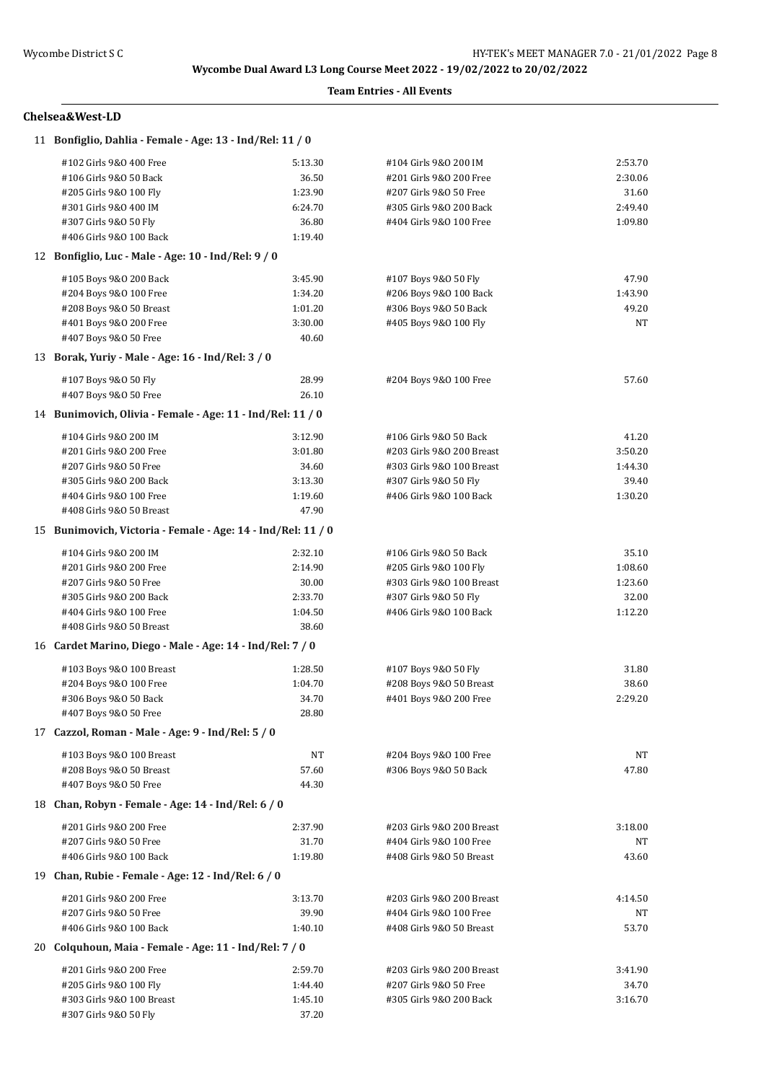## **Team Entries - All Events**

| 11 Bonfiglio, Dahlia - Female - Age: 13 - Ind/Rel: 11 / 0    |                  |                                                     |             |
|--------------------------------------------------------------|------------------|-----------------------------------------------------|-------------|
| #102 Girls 9&0 400 Free                                      | 5:13.30          | #104 Girls 9&0 200 IM                               | 2:53.70     |
| #106 Girls 9&0 50 Back                                       | 36.50            | #201 Girls 9&0 200 Free                             | 2:30.06     |
| #205 Girls 9&0 100 Fly                                       | 1:23.90          | #207 Girls 9&0 50 Free                              | 31.60       |
| #301 Girls 9&0 400 IM                                        | 6:24.70          | #305 Girls 9&0 200 Back                             | 2:49.40     |
| #307 Girls 9&0 50 Fly                                        | 36.80            | #404 Girls 9&0 100 Free                             | 1:09.80     |
| #406 Girls 9&0 100 Back                                      | 1:19.40          |                                                     |             |
| 12 Bonfiglio, Luc - Male - Age: 10 - Ind/Rel: 9 / 0          |                  |                                                     |             |
| #105 Boys 9&0 200 Back                                       | 3:45.90          | #107 Boys 9&0 50 Fly                                | 47.90       |
| #204 Boys 9&0 100 Free                                       | 1:34.20          | #206 Boys 9&0 100 Back                              | 1:43.90     |
| #208 Boys 9&0 50 Breast                                      | 1:01.20          | #306 Boys 9&0 50 Back                               | 49.20       |
| #401 Boys 9&0 200 Free                                       | 3:30.00          | #405 Boys 9&0 100 Fly                               | NT          |
| #407 Boys 9&0 50 Free                                        | 40.60            |                                                     |             |
| 13 Borak, Yuriy - Male - Age: 16 - Ind/Rel: 3 / 0            |                  |                                                     |             |
| #107 Boys 9&0 50 Fly                                         | 28.99            | #204 Boys 9&0 100 Free                              | 57.60       |
| #407 Boys 9&0 50 Free                                        | 26.10            |                                                     |             |
| 14 Bunimovich, Olivia - Female - Age: 11 - Ind/Rel: 11 / 0   |                  |                                                     |             |
|                                                              |                  |                                                     |             |
| #104 Girls 9&0 200 IM                                        | 3:12.90          | #106 Girls 9&0 50 Back                              | 41.20       |
| #201 Girls 9&0 200 Free                                      | 3:01.80          | #203 Girls 9&0 200 Breast                           | 3:50.20     |
| #207 Girls 9&0 50 Free                                       | 34.60            | #303 Girls 9&0 100 Breast                           | 1:44.30     |
| #305 Girls 9&0 200 Back                                      | 3:13.30          | #307 Girls 9&0 50 Fly                               | 39.40       |
| #404 Girls 9&0 100 Free                                      | 1:19.60          | #406 Girls 9&0 100 Back                             | 1:30.20     |
| #408 Girls 9&0 50 Breast                                     | 47.90            |                                                     |             |
| 15 Bunimovich, Victoria - Female - Age: 14 - Ind/Rel: 11 / 0 |                  |                                                     |             |
| #104 Girls 9&0 200 IM                                        | 2:32.10          | #106 Girls 9&0 50 Back                              | 35.10       |
| #201 Girls 9&0 200 Free                                      | 2:14.90          | #205 Girls 9&0 100 Fly                              | 1:08.60     |
| #207 Girls 9&0 50 Free                                       | 30.00            | #303 Girls 9&0 100 Breast                           | 1:23.60     |
| #305 Girls 9&0 200 Back                                      | 2:33.70          | #307 Girls 9&0 50 Fly                               | 32.00       |
| #404 Girls 9&0 100 Free                                      | 1:04.50          | #406 Girls 9&0 100 Back                             | 1:12.20     |
| #408 Girls 9&0 50 Breast                                     | 38.60            |                                                     |             |
| 16 Cardet Marino, Diego - Male - Age: 14 - Ind/Rel: 7 / 0    |                  |                                                     |             |
| #103 Boys 9&0 100 Breast                                     | 1:28.50          | #107 Boys 9&0 50 Fly                                | 31.80       |
| #204 Boys 9&0 100 Free                                       | 1:04.70          | #208 Boys 9&0 50 Breast                             | 38.60       |
| #306 Boys 9&0 50 Back                                        | 34.70            | #401 Boys 9&0 200 Free                              | 2:29.20     |
| #407 Boys 9&0 50 Free                                        | 28.80            |                                                     |             |
| 17 Cazzol, Roman - Male - Age: 9 - Ind/Rel: 5 / 0            |                  |                                                     |             |
| #103 Boys 9&0 100 Breast                                     | NT               | #204 Boys 9&0 100 Free                              | NT          |
| #208 Boys 9&0 50 Breast                                      | 57.60            | #306 Boys 9&0 50 Back                               | 47.80       |
| #407 Boys 9&0 50 Free                                        | 44.30            |                                                     |             |
| 18 Chan, Robyn - Female - Age: 14 - Ind/Rel: 6 / 0           |                  |                                                     |             |
| #201 Girls 9&0 200 Free                                      | 2:37.90          |                                                     | 3:18.00     |
|                                                              |                  | #203 Girls 9&0 200 Breast                           |             |
| #207 Girls 9&0 50 Free<br>#406 Girls 9&0 100 Back            | 31.70<br>1:19.80 | #404 Girls 9&0 100 Free<br>#408 Girls 9&0 50 Breast | NT<br>43.60 |
|                                                              |                  |                                                     |             |
| 19 Chan, Rubie - Female - Age: 12 - Ind/Rel: 6 / 0           |                  |                                                     |             |
| #201 Girls 9&0 200 Free                                      | 3:13.70          | #203 Girls 9&0 200 Breast                           | 4:14.50     |
| #207 Girls 9&0 50 Free                                       | 39.90            | #404 Girls 9&0 100 Free                             | NT          |
| #406 Girls 9&0 100 Back                                      | 1:40.10          | #408 Girls 9&0 50 Breast                            | 53.70       |
| 20 Colquhoun, Maia - Female - Age: 11 - Ind/Rel: 7 / 0       |                  |                                                     |             |
| #201 Girls 9&0 200 Free                                      | 2:59.70          | #203 Girls 9&0 200 Breast                           | 3:41.90     |
| #205 Girls 9&0 100 Fly                                       | 1:44.40          | #207 Girls 9&0 50 Free                              | 34.70       |
| #303 Girls 9&0 100 Breast                                    | 1:45.10          | #305 Girls 9&0 200 Back                             | 3:16.70     |
| #307 Girls 9&0 50 Fly                                        | 37.20            |                                                     |             |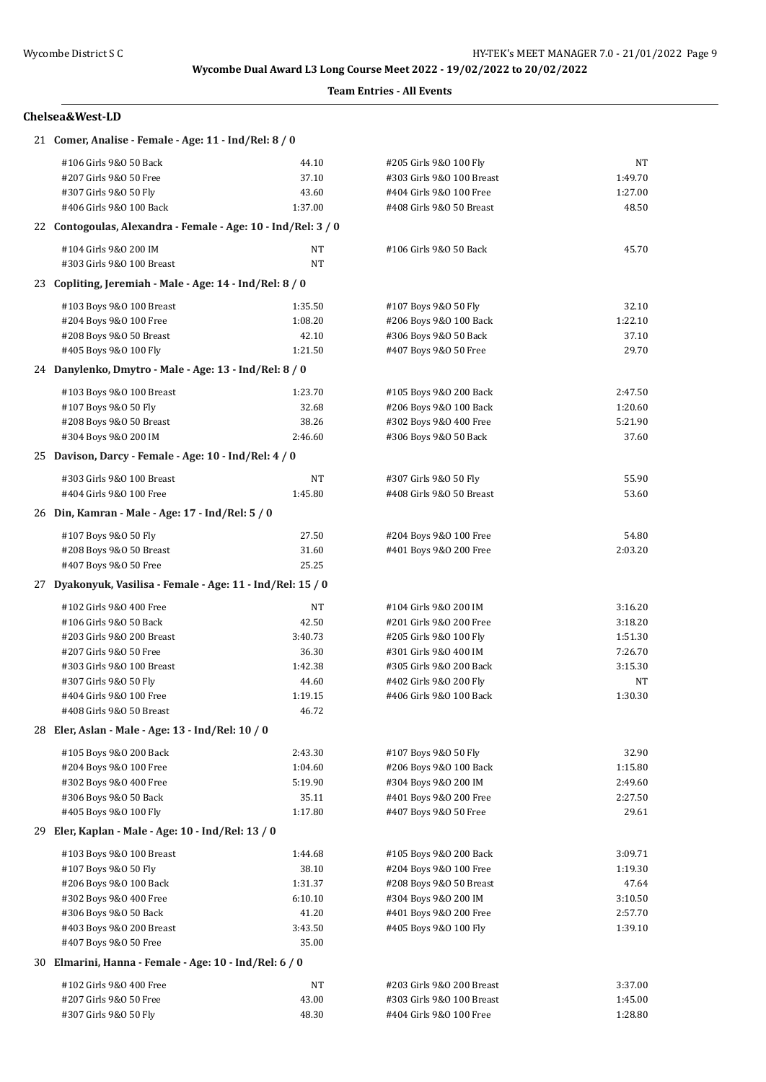## **Team Entries - All Events**

| 21 Comer, Analise - Female - Age: 11 - Ind/Rel: 8 / 0         |                                                          |                                                      |                    |  |  |  |  |
|---------------------------------------------------------------|----------------------------------------------------------|------------------------------------------------------|--------------------|--|--|--|--|
| #106 Girls 9&0 50 Back                                        | 44.10                                                    | #205 Girls 9&0 100 Fly                               | NT                 |  |  |  |  |
| #207 Girls 9&0 50 Free                                        | 37.10                                                    | #303 Girls 9&0 100 Breast                            | 1:49.70            |  |  |  |  |
| #307 Girls 9&0 50 Fly                                         | 43.60                                                    | #404 Girls 9&0 100 Free                              | 1:27.00            |  |  |  |  |
| #406 Girls 9&0 100 Back                                       | 1:37.00                                                  | #408 Girls 9&0 50 Breast                             | 48.50              |  |  |  |  |
| 22 Contogoulas, Alexandra - Female - Age: 10 - Ind/Rel: 3 / 0 |                                                          |                                                      |                    |  |  |  |  |
| #104 Girls 9&0 200 IM                                         | NT                                                       | #106 Girls 9&0 50 Back                               | 45.70              |  |  |  |  |
| #303 Girls 9&0 100 Breast                                     | NT                                                       |                                                      |                    |  |  |  |  |
|                                                               | 23 Copliting, Jeremiah - Male - Age: 14 - Ind/Rel: 8 / 0 |                                                      |                    |  |  |  |  |
| #103 Boys 9&0 100 Breast                                      | 1:35.50                                                  | #107 Boys 9&0 50 Fly                                 | 32.10              |  |  |  |  |
| #204 Boys 9&0 100 Free                                        | 1:08.20                                                  | #206 Boys 9&0 100 Back                               | 1:22.10            |  |  |  |  |
| #208 Boys 9&0 50 Breast                                       | 42.10                                                    | #306 Boys 9&0 50 Back                                | 37.10              |  |  |  |  |
| #405 Boys 9&0 100 Fly                                         | 1:21.50                                                  | #407 Boys 9&0 50 Free                                | 29.70              |  |  |  |  |
| 24 Danylenko, Dmytro - Male - Age: 13 - Ind/Rel: 8 / 0        |                                                          |                                                      |                    |  |  |  |  |
| #103 Boys 9&0 100 Breast                                      | 1:23.70                                                  | #105 Boys 9&0 200 Back                               | 2:47.50            |  |  |  |  |
| #107 Boys 9&0 50 Fly                                          | 32.68                                                    | #206 Boys 9&0 100 Back                               | 1:20.60            |  |  |  |  |
| #208 Boys 9&0 50 Breast                                       | 38.26                                                    | #302 Boys 9&0 400 Free                               | 5:21.90            |  |  |  |  |
| #304 Boys 9&0 200 IM                                          | 2:46.60                                                  | #306 Boys 9&0 50 Back                                | 37.60              |  |  |  |  |
| 25 Davison, Darcy - Female - Age: 10 - Ind/Rel: 4 / 0         |                                                          |                                                      |                    |  |  |  |  |
| #303 Girls 9&0 100 Breast                                     | NT                                                       | #307 Girls 9&0 50 Fly                                | 55.90              |  |  |  |  |
| #404 Girls 9&0 100 Free                                       | 1:45.80                                                  | #408 Girls 9&0 50 Breast                             | 53.60              |  |  |  |  |
| 26 Din, Kamran - Male - Age: 17 - Ind/Rel: 5 / 0              |                                                          |                                                      |                    |  |  |  |  |
| #107 Boys 9&0 50 Fly                                          | 27.50                                                    | #204 Boys 9&0 100 Free                               | 54.80              |  |  |  |  |
| #208 Boys 9&0 50 Breast                                       | 31.60                                                    | #401 Boys 9&0 200 Free                               | 2:03.20            |  |  |  |  |
| #407 Boys 9&0 50 Free                                         | 25.25                                                    |                                                      |                    |  |  |  |  |
| 27 Dyakonyuk, Vasilisa - Female - Age: 11 - Ind/Rel: 15 / 0   |                                                          |                                                      |                    |  |  |  |  |
| #102 Girls 9&0 400 Free                                       | NT                                                       | #104 Girls 9&0 200 IM                                | 3:16.20            |  |  |  |  |
| #106 Girls 9&0 50 Back                                        | 42.50                                                    | #201 Girls 9&0 200 Free                              | 3:18.20            |  |  |  |  |
| #203 Girls 9&0 200 Breast                                     | 3:40.73                                                  | #205 Girls 9&0 100 Fly                               | 1:51.30            |  |  |  |  |
| #207 Girls 9&0 50 Free                                        | 36.30                                                    | #301 Girls 9&0 400 IM                                | 7:26.70            |  |  |  |  |
| #303 Girls 9&0 100 Breast                                     | 1:42.38                                                  | #305 Girls 9&0 200 Back                              | 3:15.30            |  |  |  |  |
| #307 Girls 9&0 50 Fly                                         | 44.60                                                    | #402 Girls 9&0 200 Fly                               | NT                 |  |  |  |  |
| #404 Girls 9&0 100 Free                                       | 1:19.15                                                  | #406 Girls 9&0 100 Back                              | 1:30.30            |  |  |  |  |
| #408 Girls 9&0 50 Breast                                      | 46.72                                                    |                                                      |                    |  |  |  |  |
| 28 Eler, Aslan - Male - Age: 13 - Ind/Rel: 10 / 0             |                                                          |                                                      |                    |  |  |  |  |
| #105 Boys 9&0 200 Back                                        | 2:43.30                                                  | #107 Boys 9&0 50 Fly                                 | 32.90              |  |  |  |  |
| #204 Boys 9&0 100 Free                                        | 1:04.60                                                  | #206 Boys 9&0 100 Back                               | 1:15.80            |  |  |  |  |
| #302 Boys 9&0 400 Free                                        | 5:19.90                                                  | #304 Boys 9&0 200 IM                                 | 2:49.60            |  |  |  |  |
| #306 Boys 9&0 50 Back                                         | 35.11                                                    | #401 Boys 9&0 200 Free                               | 2:27.50            |  |  |  |  |
| #405 Boys 9&0 100 Fly                                         | 1:17.80                                                  | #407 Boys 9&0 50 Free                                | 29.61              |  |  |  |  |
| 29 Eler, Kaplan - Male - Age: 10 - Ind/Rel: 13 / 0            |                                                          |                                                      |                    |  |  |  |  |
| #103 Boys 9&0 100 Breast                                      | 1:44.68                                                  | #105 Boys 9&0 200 Back                               | 3:09.71            |  |  |  |  |
| #107 Boys 9&0 50 Fly                                          | 38.10                                                    | #204 Boys 9&0 100 Free                               | 1:19.30            |  |  |  |  |
| #206 Boys 9&0 100 Back                                        | 1:31.37                                                  | #208 Boys 9&0 50 Breast                              | 47.64              |  |  |  |  |
| #302 Boys 9&0 400 Free                                        | 6:10.10                                                  | #304 Boys 9&0 200 IM                                 | 3:10.50            |  |  |  |  |
|                                                               | 41.20                                                    | #401 Boys 9&0 200 Free                               | 2:57.70            |  |  |  |  |
| #306 Boys 9&0 50 Back                                         |                                                          |                                                      |                    |  |  |  |  |
| #403 Boys 9&0 200 Breast                                      | 3:43.50                                                  | #405 Boys 9&0 100 Fly                                | 1:39.10            |  |  |  |  |
| #407 Boys 9&0 50 Free                                         | 35.00                                                    |                                                      |                    |  |  |  |  |
| 30 Elmarini, Hanna - Female - Age: 10 - Ind/Rel: 6 / 0        |                                                          |                                                      |                    |  |  |  |  |
| #102 Girls 9&0 400 Free                                       | NT                                                       | #203 Girls 9&0 200 Breast                            | 3:37.00            |  |  |  |  |
| #207 Girls 9&0 50 Free<br>#307 Girls 9&0 50 Fly               | 43.00<br>48.30                                           | #303 Girls 9&0 100 Breast<br>#404 Girls 9&0 100 Free | 1:45.00<br>1:28.80 |  |  |  |  |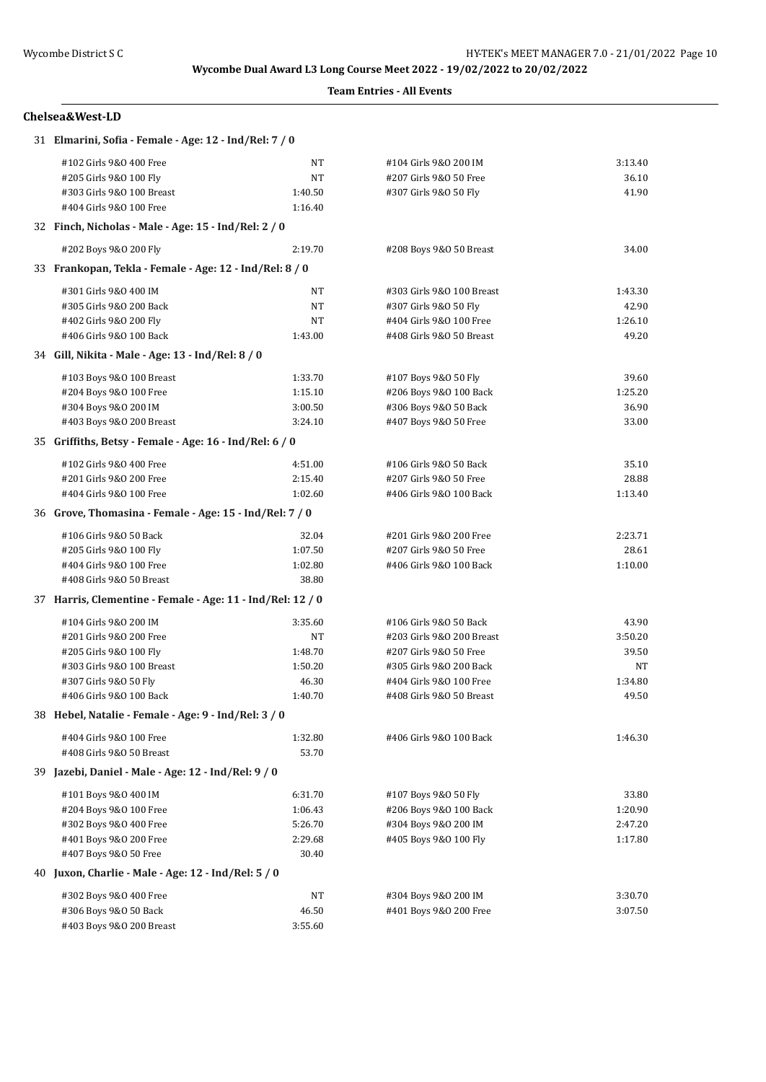## **Team Entries - All Events**

| 31 Elmarini, Sofia - Female - Age: 12 - Ind/Rel: 7 / 0     |         |                           |         |  |
|------------------------------------------------------------|---------|---------------------------|---------|--|
| #102 Girls 9&0 400 Free                                    | NT      | #104 Girls 9&0 200 IM     | 3:13.40 |  |
| #205 Girls 9&0 100 Fly                                     | NT      | #207 Girls 9&0 50 Free    | 36.10   |  |
| #303 Girls 9&0 100 Breast                                  | 1:40.50 | #307 Girls 9&0 50 Fly     | 41.90   |  |
| #404 Girls 9&0 100 Free                                    | 1:16.40 |                           |         |  |
| 32 Finch, Nicholas - Male - Age: 15 - Ind/Rel: 2 / 0       |         |                           |         |  |
| #202 Boys 9&0 200 Fly                                      | 2:19.70 | #208 Boys 9&0 50 Breast   | 34.00   |  |
| 33 Frankopan, Tekla - Female - Age: 12 - Ind/Rel: 8 / 0    |         |                           |         |  |
| #301 Girls 9&0 400 IM                                      | NT      | #303 Girls 9&0 100 Breast | 1:43.30 |  |
| #305 Girls 9&0 200 Back                                    | NT      | #307 Girls 9&0 50 Fly     | 42.90   |  |
| #402 Girls 9&0 200 Fly                                     | NT      | #404 Girls 9&0 100 Free   | 1:26.10 |  |
| #406 Girls 9&0 100 Back                                    | 1:43.00 | #408 Girls 9&0 50 Breast  | 49.20   |  |
| 34 Gill, Nikita - Male - Age: 13 - Ind/Rel: 8 / 0          |         |                           |         |  |
| #103 Boys 9&0 100 Breast                                   | 1:33.70 | #107 Boys 9&0 50 Fly      | 39.60   |  |
| #204 Boys 9&0 100 Free                                     | 1:15.10 | #206 Boys 9&0 100 Back    | 1:25.20 |  |
| #304 Boys 9&0 200 IM                                       | 3:00.50 | #306 Boys 9&0 50 Back     | 36.90   |  |
| #403 Boys 9&0 200 Breast                                   | 3:24.10 | #407 Boys 9&0 50 Free     | 33.00   |  |
| 35 Griffiths, Betsy - Female - Age: 16 - Ind/Rel: 6 / 0    |         |                           |         |  |
| #102 Girls 9&0 400 Free                                    | 4:51.00 | #106 Girls 9&0 50 Back    | 35.10   |  |
| #201 Girls 9&0 200 Free                                    | 2:15.40 | #207 Girls 9&0 50 Free    | 28.88   |  |
| #404 Girls 9&0 100 Free                                    | 1:02.60 | #406 Girls 9&0 100 Back   | 1:13.40 |  |
| 36 Grove, Thomasina - Female - Age: 15 - Ind/Rel: 7 / 0    |         |                           |         |  |
| #106 Girls 9&0 50 Back                                     | 32.04   | #201 Girls 9&0 200 Free   | 2:23.71 |  |
| #205 Girls 9&0 100 Fly                                     | 1:07.50 | #207 Girls 9&0 50 Free    | 28.61   |  |
| #404 Girls 9&0 100 Free                                    | 1:02.80 | #406 Girls 9&0 100 Back   | 1:10.00 |  |
| #408 Girls 9&0 50 Breast                                   | 38.80   |                           |         |  |
| 37 Harris, Clementine - Female - Age: 11 - Ind/Rel: 12 / 0 |         |                           |         |  |
| #104 Girls 9&0 200 IM                                      | 3:35.60 | #106 Girls 9&0 50 Back    | 43.90   |  |
| #201 Girls 9&0 200 Free                                    | NT      | #203 Girls 9&0 200 Breast | 3:50.20 |  |
| #205 Girls 9&0 100 Fly                                     | 1:48.70 | #207 Girls 9&0 50 Free    | 39.50   |  |
| #303 Girls 9&0 100 Breast                                  | 1:50.20 | #305 Girls 9&0 200 Back   | NT      |  |
| #307 Girls 9&0 50 Fly                                      | 46.30   | #404 Girls 9&0 100 Free   | 1:34.80 |  |
| #406 Girls 9&0 100 Back                                    | 1:40.70 | #408 Girls 9&0 50 Breast  | 49.50   |  |
| 38 Hebel, Natalie - Female - Age: 9 - Ind/Rel: 3 / 0       |         |                           |         |  |
| #404 Girls 9&0 100 Free                                    | 1:32.80 | #406 Girls 9&0 100 Back   | 1:46.30 |  |
| #408 Girls 9&0 50 Breast                                   | 53.70   |                           |         |  |
| 39 Jazebi, Daniel - Male - Age: 12 - Ind/Rel: 9 / 0        |         |                           |         |  |
| #101 Boys 9&0 400 IM                                       | 6:31.70 | #107 Boys 9&0 50 Fly      | 33.80   |  |
| #204 Boys 9&0 100 Free                                     | 1:06.43 | #206 Boys 9&0 100 Back    | 1:20.90 |  |
| #302 Boys 9&0 400 Free                                     | 5:26.70 | #304 Boys 9&0 200 IM      | 2:47.20 |  |
| #401 Boys 9&0 200 Free                                     | 2:29.68 | #405 Boys 9&0 100 Fly     | 1:17.80 |  |
| #407 Boys 9&0 50 Free                                      | 30.40   |                           |         |  |
| 40 Juxon, Charlie - Male - Age: 12 - Ind/Rel: 5 / 0        |         |                           |         |  |
| #302 Boys 9&0 400 Free                                     | NT      | #304 Boys 9&0 200 IM      | 3:30.70 |  |
| #306 Boys 9&0 50 Back                                      | 46.50   | #401 Boys 9&0 200 Free    | 3:07.50 |  |
| #403 Boys 9&0 200 Breast                                   | 3:55.60 |                           |         |  |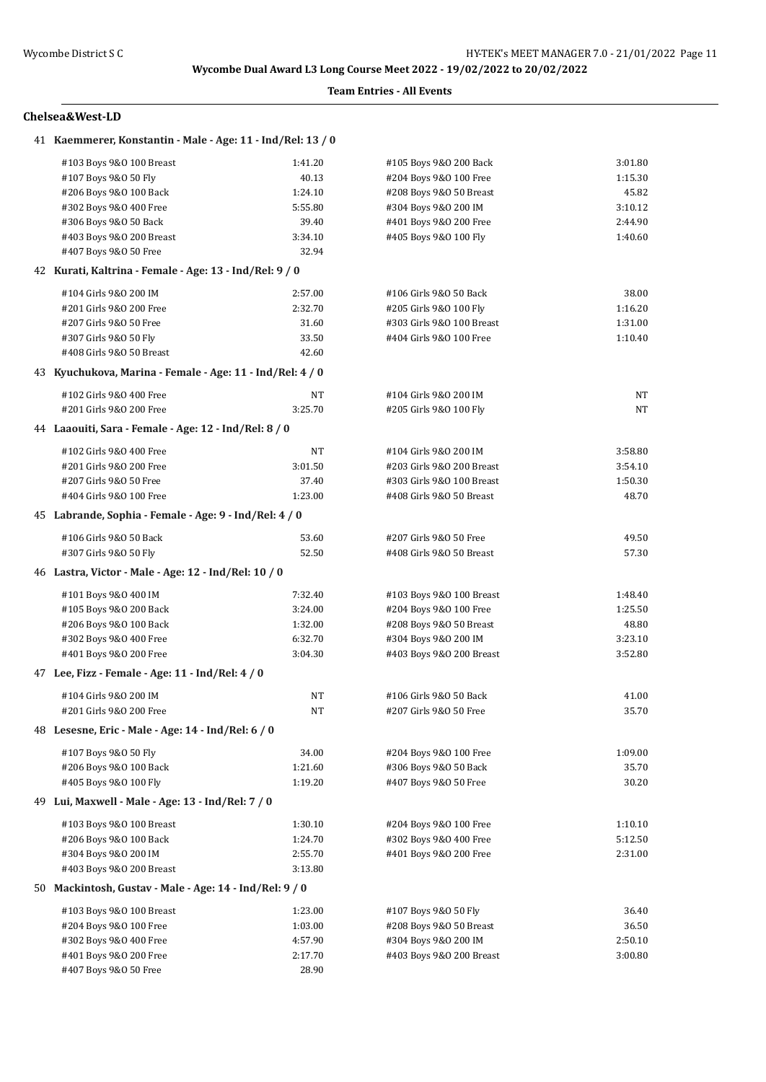**Team Entries - All Events**

| 41 Kaemmerer, Konstantin - Male - Age: 11 - Ind/Rel: 13 / 0 |         |                           |         |
|-------------------------------------------------------------|---------|---------------------------|---------|
| #103 Boys 9&0 100 Breast                                    | 1:41.20 | #105 Boys 9&0 200 Back    | 3:01.80 |
| #107 Boys 9&0 50 Fly                                        | 40.13   | #204 Boys 9&0 100 Free    | 1:15.30 |
| #206 Boys 9&0 100 Back                                      | 1:24.10 | #208 Boys 9&0 50 Breast   | 45.82   |
| #302 Boys 9&0 400 Free                                      | 5:55.80 | #304 Boys 9&0 200 IM      | 3:10.12 |
| #306 Boys 9&0 50 Back                                       | 39.40   | #401 Boys 9&0 200 Free    | 2:44.90 |
| #403 Boys 9&0 200 Breast                                    | 3:34.10 | #405 Boys 9&0 100 Fly     | 1:40.60 |
| #407 Boys 9&0 50 Free                                       | 32.94   |                           |         |
| 42 Kurati, Kaltrina - Female - Age: 13 - Ind/Rel: 9 / 0     |         |                           |         |
| #104 Girls 9&0 200 IM                                       | 2:57.00 | #106 Girls 9&0 50 Back    | 38.00   |
| #201 Girls 9&0 200 Free                                     | 2:32.70 | #205 Girls 9&0 100 Fly    | 1:16.20 |
| #207 Girls 9&0 50 Free                                      | 31.60   | #303 Girls 9&0 100 Breast | 1:31.00 |
| #307 Girls 9&0 50 Fly                                       | 33.50   | #404 Girls 9&0 100 Free   | 1:10.40 |
| #408 Girls 9&0 50 Breast                                    | 42.60   |                           |         |
| 43 Kyuchukova, Marina - Female - Age: 11 - Ind/Rel: 4 / 0   |         |                           |         |
| #102 Girls 9&0 400 Free                                     | NT      | #104 Girls 9&0 200 IM     | NT      |
| #201 Girls 9&0 200 Free                                     | 3:25.70 | #205 Girls 9&0 100 Fly    | NT      |
| 44 Laaouiti, Sara - Female - Age: 12 - Ind/Rel: 8 / 0       |         |                           |         |
| #102 Girls 9&0 400 Free                                     | NT      | #104 Girls 9&0 200 IM     | 3:58.80 |
| #201 Girls 9&0 200 Free                                     | 3:01.50 | #203 Girls 9&0 200 Breast | 3:54.10 |
| #207 Girls 9&0 50 Free                                      | 37.40   | #303 Girls 9&0 100 Breast | 1:50.30 |
| #404 Girls 9&0 100 Free                                     | 1:23.00 | #408 Girls 9&0 50 Breast  | 48.70   |
| 45 Labrande, Sophia - Female - Age: 9 - Ind/Rel: 4 / 0      |         |                           |         |
| #106 Girls 9&0 50 Back                                      | 53.60   | #207 Girls 9&0 50 Free    | 49.50   |
| #307 Girls 9&0 50 Fly                                       | 52.50   | #408 Girls 9&0 50 Breast  | 57.30   |
| 46 Lastra, Victor - Male - Age: 12 - Ind/Rel: 10 / 0        |         |                           |         |
| #101 Boys 9&0 400 IM                                        | 7:32.40 | #103 Boys 9&0 100 Breast  | 1:48.40 |
| #105 Boys 9&0 200 Back                                      | 3:24.00 | #204 Boys 9&0 100 Free    | 1:25.50 |
| #206 Boys 9&0 100 Back                                      | 1:32.00 | #208 Boys 9&0 50 Breast   | 48.80   |
| #302 Boys 9&0 400 Free                                      | 6:32.70 | #304 Boys 9&0 200 IM      | 3:23.10 |
| #401 Boys 9&0 200 Free                                      | 3:04.30 | #403 Boys 9&0 200 Breast  | 3:52.80 |
| 47 Lee, Fizz - Female - Age: 11 - Ind/Rel: 4 / 0            |         |                           |         |
| #104 Girls 9&0 200 IM                                       | NT      | #106 Girls 9&0 50 Back    | 41.00   |
| #201 Girls 9&0 200 Free                                     | NT      | #207 Girls 9&0 50 Free    | 35.70   |
| 48 Lesesne, Eric - Male - Age: 14 - Ind/Rel: 6 / 0          |         |                           |         |
| #107 Boys 9&0 50 Fly                                        | 34.00   | #204 Boys 9&0 100 Free    | 1:09.00 |
| #206 Boys 9&0 100 Back                                      | 1:21.60 | #306 Boys 9&0 50 Back     | 35.70   |
| #405 Boys 9&0 100 Fly                                       | 1:19.20 | #407 Boys 9&0 50 Free     | 30.20   |
| 49 Lui, Maxwell - Male - Age: 13 - Ind/Rel: 7 / 0           |         |                           |         |
| #103 Boys 9&0 100 Breast                                    | 1:30.10 | #204 Boys 9&0 100 Free    | 1:10.10 |
| #206 Boys 9&0 100 Back                                      | 1:24.70 | #302 Boys 9&0 400 Free    | 5:12.50 |
| #304 Boys 9&0 200 IM                                        | 2:55.70 | #401 Boys 9&0 200 Free    | 2:31.00 |
| #403 Boys 9&0 200 Breast                                    | 3:13.80 |                           |         |
| 50 Mackintosh, Gustav - Male - Age: 14 - Ind/Rel: 9 / 0     |         |                           |         |
| #103 Boys 9&0 100 Breast                                    | 1:23.00 | #107 Boys 9&0 50 Fly      | 36.40   |
| #204 Boys 9&0 100 Free                                      | 1:03.00 | #208 Boys 9&0 50 Breast   | 36.50   |
| #302 Boys 9&0 400 Free                                      | 4:57.90 | #304 Boys 9&0 200 IM      | 2:50.10 |
| #401 Boys 9&0 200 Free                                      | 2:17.70 | #403 Boys 9&0 200 Breast  | 3:00.80 |
| #407 Boys 9&0 50 Free                                       | 28.90   |                           |         |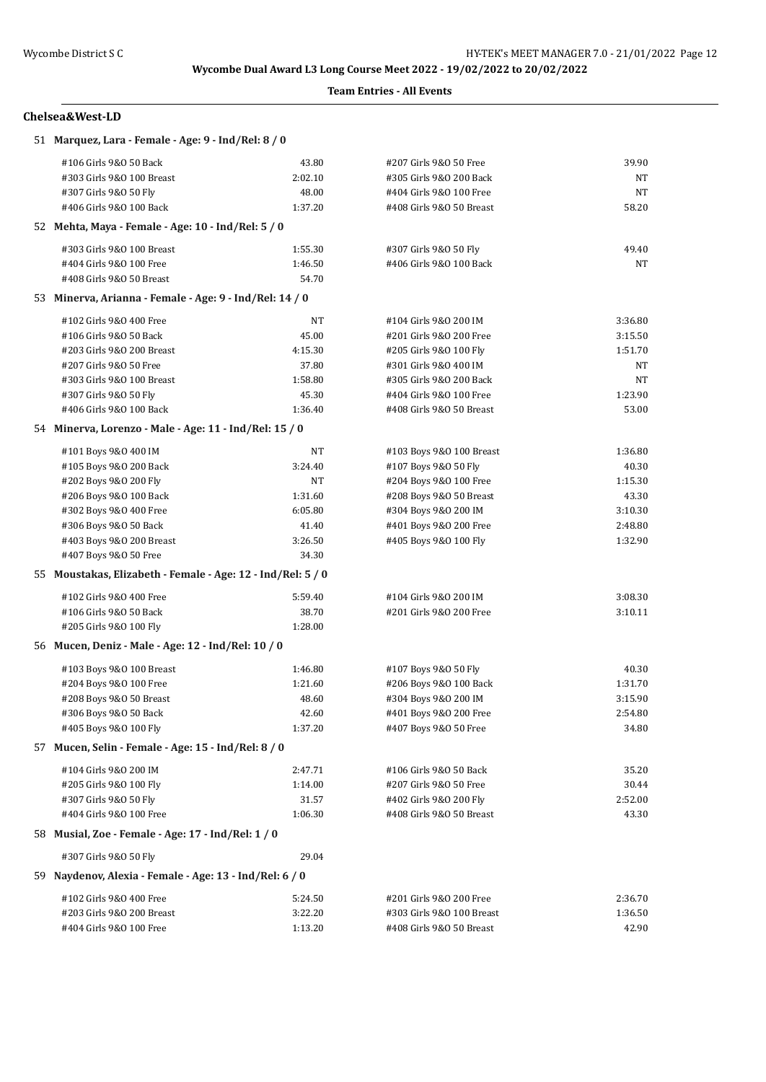## **Team Entries - All Events**

| 51 Marquez, Lara - Female - Age: 9 - Ind/Rel: 8 / 0         |         |                           |         |
|-------------------------------------------------------------|---------|---------------------------|---------|
| #106 Girls 9&0 50 Back                                      | 43.80   | #207 Girls 9&0 50 Free    | 39.90   |
| #303 Girls 9&0 100 Breast                                   | 2:02.10 | #305 Girls 9&0 200 Back   | NT      |
| #307 Girls 9&0 50 Fly                                       | 48.00   | #404 Girls 9&0 100 Free   | NT      |
| #406 Girls 9&0 100 Back                                     | 1:37.20 | #408 Girls 9&0 50 Breast  | 58.20   |
| 52 Mehta, Maya - Female - Age: 10 - Ind/Rel: 5 / 0          |         |                           |         |
| #303 Girls 9&0 100 Breast                                   | 1:55.30 | #307 Girls 9&0 50 Fly     | 49.40   |
| #404 Girls 9&0 100 Free                                     | 1:46.50 | #406 Girls 9&0 100 Back   | NT      |
| #408 Girls 9&0 50 Breast                                    | 54.70   |                           |         |
| 53 Minerva, Arianna - Female - Age: 9 - Ind/Rel: 14 / 0     |         |                           |         |
| #102 Girls 9&0 400 Free                                     | NT      | #104 Girls 9&0 200 IM     | 3:36.80 |
| #106 Girls 9&0 50 Back                                      | 45.00   | #201 Girls 9&0 200 Free   | 3:15.50 |
| #203 Girls 9&0 200 Breast                                   | 4:15.30 | #205 Girls 9&0 100 Fly    | 1:51.70 |
| #207 Girls 9&0 50 Free                                      | 37.80   | #301 Girls 9&0 400 IM     | NT      |
| #303 Girls 9&0 100 Breast                                   | 1:58.80 | #305 Girls 9&0 200 Back   | NT      |
| #307 Girls 9&0 50 Fly                                       | 45.30   | #404 Girls 9&0 100 Free   | 1:23.90 |
| #406 Girls 9&0 100 Back                                     | 1:36.40 | #408 Girls 9&0 50 Breast  | 53.00   |
| 54 Minerva, Lorenzo - Male - Age: 11 - Ind/Rel: 15 / 0      |         |                           |         |
| #101 Boys 9&0 400 IM                                        | NT      | #103 Boys 9&0 100 Breast  | 1:36.80 |
| #105 Boys 9&0 200 Back                                      | 3:24.40 | #107 Boys 9&0 50 Fly      | 40.30   |
| #202 Boys 9&0 200 Fly                                       | NT      | #204 Boys 9&0 100 Free    | 1:15.30 |
| #206 Boys 9&0 100 Back                                      | 1:31.60 | #208 Boys 9&0 50 Breast   | 43.30   |
| #302 Boys 9&0 400 Free                                      | 6:05.80 | #304 Boys 9&0 200 IM      | 3:10.30 |
| #306 Boys 9&0 50 Back                                       | 41.40   | #401 Boys 9&0 200 Free    | 2:48.80 |
| #403 Boys 9&0 200 Breast                                    | 3:26.50 | #405 Boys 9&0 100 Fly     | 1:32.90 |
| #407 Boys 9&0 50 Free                                       | 34.30   |                           |         |
| 55 Moustakas, Elizabeth - Female - Age: 12 - Ind/Rel: 5 / 0 |         |                           |         |
| #102 Girls 9&0 400 Free                                     | 5:59.40 | #104 Girls 9&0 200 IM     | 3:08.30 |
| #106 Girls 9&0 50 Back                                      | 38.70   | #201 Girls 9&0 200 Free   | 3:10.11 |
| #205 Girls 9&0 100 Fly                                      | 1:28.00 |                           |         |
| 56 Mucen, Deniz - Male - Age: 12 - Ind/Rel: 10 / 0          |         |                           |         |
| #103 Boys 9&0 100 Breast                                    | 1:46.80 | #107 Boys 9&0 50 Fly      | 40.30   |
| #204 Boys 9&0 100 Free                                      | 1:21.60 | #206 Boys 9&0 100 Back    | 1:31.70 |
| #208 Boys 9&0 50 Breast                                     | 48.60   | #304 Boys 9&0 200 IM      | 3:15.90 |
| #306 Boys 9&0 50 Back                                       | 42.60   | #401 Boys 9&0 200 Free    | 2:54.80 |
| #405 Boys 9&0 100 Fly                                       | 1:37.20 | #407 Boys 9&0 50 Free     | 34.80   |
| 57 Mucen, Selin - Female - Age: 15 - Ind/Rel: 8 / 0         |         |                           |         |
| #104 Girls 9&0 200 IM                                       | 2:47.71 | #106 Girls 9&0 50 Back    | 35.20   |
| #205 Girls 9&0 100 Fly                                      | 1:14.00 | #207 Girls 9&0 50 Free    | 30.44   |
| #307 Girls 9&0 50 Fly                                       | 31.57   | #402 Girls 9&0 200 Fly    | 2:52.00 |
| #404 Girls 9&0 100 Free                                     | 1:06.30 | #408 Girls 9&0 50 Breast  | 43.30   |
| 58 Musial, Zoe - Female - Age: 17 - Ind/Rel: 1 / 0          |         |                           |         |
| #307 Girls 9&0 50 Fly                                       | 29.04   |                           |         |
| 59 Naydenov, Alexia - Female - Age: 13 - Ind/Rel: 6 / 0     |         |                           |         |
| #102 Girls 9&0 400 Free                                     | 5:24.50 | #201 Girls 9&0 200 Free   | 2:36.70 |
| #203 Girls 9&0 200 Breast                                   | 3:22.20 | #303 Girls 9&0 100 Breast | 1:36.50 |
| #404 Girls 9&0 100 Free                                     | 1:13.20 | #408 Girls 9&0 50 Breast  | 42.90   |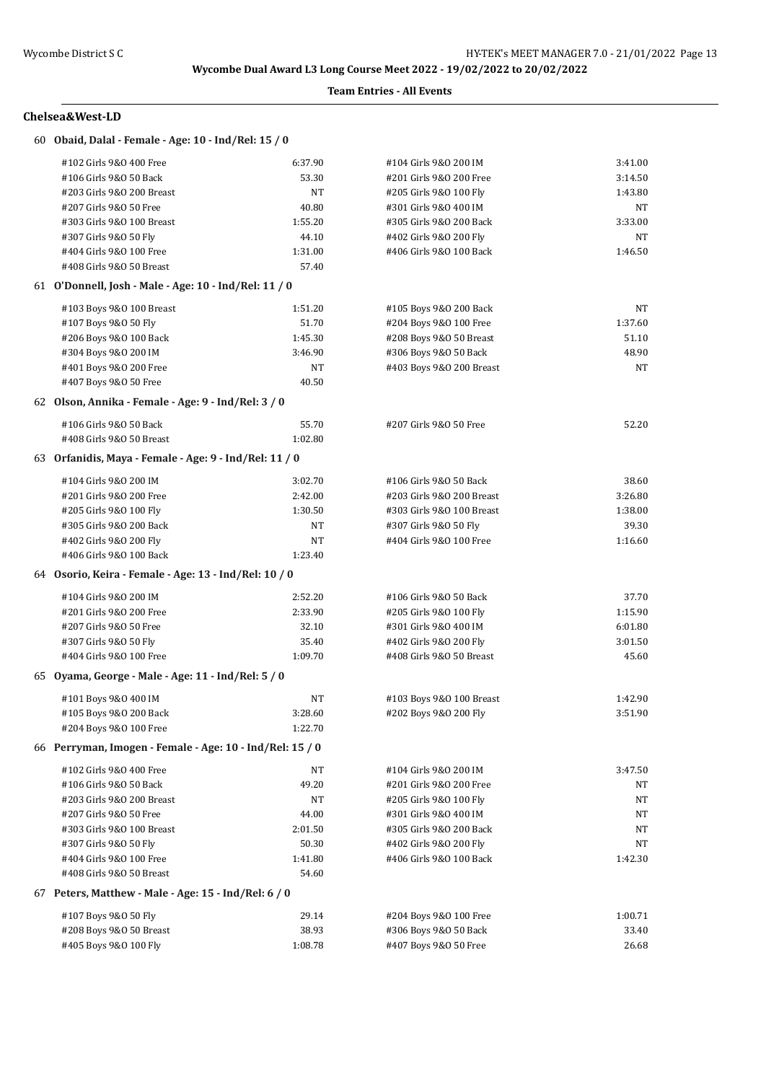## **Team Entries - All Events**

|  | 60 Obaid, Dalal - Female - Age: 10 - Ind/Rel: 15 / 0     |         |                           |           |
|--|----------------------------------------------------------|---------|---------------------------|-----------|
|  | #102 Girls 9&0 400 Free                                  | 6:37.90 | #104 Girls 9&0 200 IM     | 3:41.00   |
|  | #106 Girls 9&0 50 Back                                   | 53.30   | #201 Girls 9&0 200 Free   | 3:14.50   |
|  | #203 Girls 9&0 200 Breast                                | NT      | #205 Girls 9&0 100 Fly    | 1:43.80   |
|  | #207 Girls 9&0 50 Free                                   | 40.80   | #301 Girls 9&0 400 IM     | <b>NT</b> |
|  | #303 Girls 9&0 100 Breast                                | 1:55.20 | #305 Girls 9&0 200 Back   | 3:33.00   |
|  | #307 Girls 9&0 50 Fly                                    | 44.10   | #402 Girls 9&0 200 Fly    | NT        |
|  | #404 Girls 9&0 100 Free                                  | 1:31.00 | #406 Girls 9&0 100 Back   | 1:46.50   |
|  | #408 Girls 9&0 50 Breast                                 | 57.40   |                           |           |
|  | 61 O'Donnell, Josh - Male - Age: 10 - Ind/Rel: 11 / 0    |         |                           |           |
|  | #103 Boys 9&0 100 Breast                                 | 1:51.20 | #105 Boys 9&0 200 Back    | NT        |
|  | #107 Boys 9&0 50 Fly                                     | 51.70   | #204 Boys 9&0 100 Free    | 1:37.60   |
|  | #206 Boys 9&0 100 Back                                   | 1:45.30 | #208 Boys 9&0 50 Breast   | 51.10     |
|  | #304 Boys 9&0 200 IM                                     | 3:46.90 | #306 Boys 9&0 50 Back     | 48.90     |
|  | #401 Boys 9&0 200 Free                                   | NT      | #403 Boys 9&0 200 Breast  | NT        |
|  | #407 Boys 9&0 50 Free                                    | 40.50   |                           |           |
|  | 62 Olson, Annika - Female - Age: 9 - Ind/Rel: 3 / 0      |         |                           |           |
|  | #106 Girls 9&0 50 Back                                   | 55.70   | #207 Girls 9&0 50 Free    | 52.20     |
|  | #408 Girls 9&0 50 Breast                                 | 1:02.80 |                           |           |
|  | 63 Orfanidis, Maya - Female - Age: 9 - Ind/Rel: 11 / 0   |         |                           |           |
|  | #104 Girls 9&0 200 IM                                    | 3:02.70 | #106 Girls 9&0 50 Back    | 38.60     |
|  | #201 Girls 9&0 200 Free                                  | 2:42.00 | #203 Girls 9&0 200 Breast | 3:26.80   |
|  | #205 Girls 9&0 100 Fly                                   | 1:30.50 | #303 Girls 9&0 100 Breast | 1:38.00   |
|  | #305 Girls 9&0 200 Back                                  | NT      | #307 Girls 9&0 50 Fly     | 39.30     |
|  | #402 Girls 9&0 200 Fly                                   | NT      | #404 Girls 9&0 100 Free   | 1:16.60   |
|  | #406 Girls 9&0 100 Back                                  | 1:23.40 |                           |           |
|  | 64 Osorio, Keira - Female - Age: 13 - Ind/Rel: 10 / 0    |         |                           |           |
|  | #104 Girls 9&0 200 IM                                    | 2:52.20 | #106 Girls 9&0 50 Back    | 37.70     |
|  | #201 Girls 9&0 200 Free                                  | 2:33.90 | #205 Girls 9&0 100 Fly    | 1:15.90   |
|  | #207 Girls 9&0 50 Free                                   | 32.10   | #301 Girls 9&0 400 IM     | 6:01.80   |
|  | #307 Girls 9&0 50 Fly                                    | 35.40   | #402 Girls 9&0 200 Fly    | 3:01.50   |
|  | #404 Girls 9&0 100 Free                                  | 1:09.70 | #408 Girls 9&0 50 Breast  | 45.60     |
|  | 65 Oyama, George - Male - Age: 11 - Ind/Rel: 5 / 0       |         |                           |           |
|  | #101 Boys 9&0 400 IM                                     | NT      | #103 Boys 9&0 100 Breast  | 1:42.90   |
|  | #105 Boys 9&0 200 Back                                   | 3:28.60 | #202 Boys 9&0 200 Fly     | 3:51.90   |
|  | #204 Boys 9&0 100 Free                                   | 1:22.70 |                           |           |
|  | 66 Perryman, Imogen - Female - Age: 10 - Ind/Rel: 15 / 0 |         |                           |           |
|  | #102 Girls 9&0 400 Free                                  | NT      | #104 Girls 9&0 200 IM     | 3:47.50   |
|  | #106 Girls 9&0 50 Back                                   | 49.20   | #201 Girls 9&0 200 Free   | NΤ        |
|  | #203 Girls 9&0 200 Breast                                | NT      | #205 Girls 9&0 100 Fly    | NT        |
|  | #207 Girls 9&0 50 Free                                   | 44.00   | #301 Girls 9&0 400 IM     | NT        |
|  | #303 Girls 9&0 100 Breast                                | 2:01.50 | #305 Girls 9&0 200 Back   | NT        |
|  | #307 Girls 9&0 50 Fly                                    | 50.30   | #402 Girls 9&0 200 Fly    | <b>NT</b> |
|  | #404 Girls 9&0 100 Free                                  | 1:41.80 | #406 Girls 9&0 100 Back   | 1:42.30   |
|  | #408 Girls 9&0 50 Breast                                 | 54.60   |                           |           |
|  | 67 Peters, Matthew - Male - Age: $15$ - Ind/Rel: $6/0$   |         |                           |           |
|  | #107 Boys 9&0 50 Fly                                     | 29.14   | #204 Boys 9&0 100 Free    | 1:00.71   |
|  | #208 Boys 9&0 50 Breast                                  | 38.93   | #306 Boys 9&0 50 Back     | 33.40     |
|  | #405 Boys 9&0 100 Fly                                    | 1:08.78 | #407 Boys 9&0 50 Free     | 26.68     |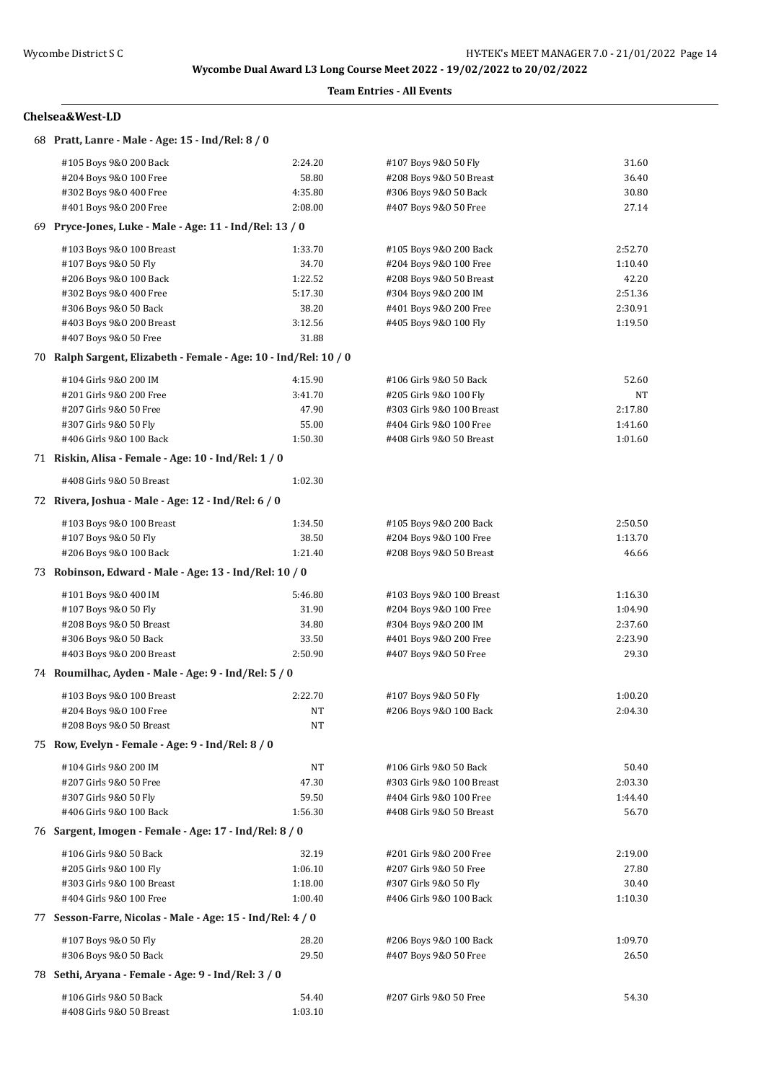## **Team Entries - All Events**

| 68 Pratt, Lanre - Male - Age: 15 - Ind/Rel: 8 / 0                |           |                           |         |
|------------------------------------------------------------------|-----------|---------------------------|---------|
| #105 Boys 9&0 200 Back                                           | 2:24.20   | #107 Boys 9&0 50 Fly      | 31.60   |
| #204 Boys 9&0 100 Free                                           | 58.80     | #208 Boys 9&0 50 Breast   | 36.40   |
| #302 Boys 9&0 400 Free                                           | 4:35.80   | #306 Boys 9&0 50 Back     | 30.80   |
| #401 Boys 9&0 200 Free                                           | 2:08.00   | #407 Boys 9&0 50 Free     | 27.14   |
| 69 Pryce-Jones, Luke - Male - Age: 11 - Ind/Rel: 13 / 0          |           |                           |         |
| #103 Boys 9&0 100 Breast                                         | 1:33.70   | #105 Boys 9&0 200 Back    | 2:52.70 |
| #107 Boys 9&0 50 Fly                                             | 34.70     | #204 Boys 9&0 100 Free    | 1:10.40 |
| #206 Boys 9&0 100 Back                                           | 1:22.52   | #208 Boys 9&0 50 Breast   | 42.20   |
| #302 Boys 9&0 400 Free                                           | 5:17.30   | #304 Boys 9&0 200 IM      | 2:51.36 |
| #306 Boys 9&0 50 Back                                            | 38.20     | #401 Boys 9&0 200 Free    | 2:30.91 |
| #403 Boys 9&0 200 Breast                                         | 3:12.56   | #405 Boys 9&0 100 Fly     | 1:19.50 |
| #407 Boys 9&0 50 Free                                            | 31.88     |                           |         |
| 70 Ralph Sargent, Elizabeth - Female - Age: 10 - Ind/Rel: 10 / 0 |           |                           |         |
| #104 Girls 9&0 200 IM                                            | 4:15.90   | #106 Girls 9&0 50 Back    | 52.60   |
| #201 Girls 9&0 200 Free                                          | 3:41.70   | #205 Girls 9&0 100 Fly    | NT      |
| #207 Girls 9&0 50 Free                                           | 47.90     | #303 Girls 9&0 100 Breast | 2:17.80 |
| #307 Girls 9&0 50 Fly                                            | 55.00     | #404 Girls 9&0 100 Free   | 1:41.60 |
| #406 Girls 9&0 100 Back                                          | 1:50.30   | #408 Girls 9&0 50 Breast  | 1:01.60 |
| 71 Riskin, Alisa - Female - Age: 10 - Ind/Rel: 1 / 0             |           |                           |         |
| #408 Girls 9&0 50 Breast                                         | 1:02.30   |                           |         |
| 72 Rivera, Joshua - Male - Age: 12 - Ind/Rel: 6 / 0              |           |                           |         |
| #103 Boys 9&0 100 Breast                                         | 1:34.50   | #105 Boys 9&0 200 Back    | 2:50.50 |
| #107 Boys 9&0 50 Fly                                             | 38.50     | #204 Boys 9&0 100 Free    | 1:13.70 |
| #206 Boys 9&0 100 Back                                           | 1:21.40   | #208 Boys 9&0 50 Breast   | 46.66   |
| 73 Robinson, Edward - Male - Age: 13 - Ind/Rel: 10 / 0           |           |                           |         |
| #101 Boys 9&0 400 IM                                             | 5:46.80   | #103 Boys 9&0 100 Breast  | 1:16.30 |
| #107 Boys 9&0 50 Fly                                             | 31.90     | #204 Boys 9&0 100 Free    | 1:04.90 |
| #208 Boys 9&0 50 Breast                                          | 34.80     | #304 Boys 9&0 200 IM      | 2:37.60 |
| #306 Boys 9&0 50 Back                                            | 33.50     | #401 Boys 9&0 200 Free    | 2:23.90 |
| #403 Boys 9&0 200 Breast                                         | 2:50.90   | #407 Boys 9&0 50 Free     | 29.30   |
| 74 Roumilhac, Ayden - Male - Age: 9 - Ind/Rel: 5 / 0             |           |                           |         |
| #103 Boys 9&0 100 Breast                                         | 2:22.70   | #107 Boys 9&0 50 Fly      | 1:00.20 |
| #204 Boys 9&0 100 Free                                           | $\rm{NT}$ | #206 Boys 9&0 100 Back    | 2:04.30 |
| #208 Boys 9&0 50 Breast                                          | NT        |                           |         |
| 75 Row, Evelyn - Female - Age: 9 - Ind/Rel: 8 / 0                |           |                           |         |
| #104 Girls 9&0 200 IM                                            | NT        | #106 Girls 9&0 50 Back    | 50.40   |
| #207 Girls 9&0 50 Free                                           | 47.30     | #303 Girls 9&0 100 Breast | 2:03.30 |
| #307 Girls 9&0 50 Fly                                            | 59.50     | #404 Girls 9&0 100 Free   | 1:44.40 |
| #406 Girls 9&0 100 Back                                          | 1:56.30   | #408 Girls 9&0 50 Breast  | 56.70   |
| 76 Sargent, Imogen - Female - Age: 17 - Ind/Rel: 8 / 0           |           |                           |         |
| #106 Girls 9&0 50 Back                                           | 32.19     | #201 Girls 9&0 200 Free   | 2:19.00 |
| #205 Girls 9&0 100 Fly                                           | 1:06.10   | #207 Girls 9&0 50 Free    | 27.80   |
| #303 Girls 9&0 100 Breast                                        | 1:18.00   | #307 Girls 9&0 50 Fly     | 30.40   |
| #404 Girls 9&0 100 Free                                          | 1:00.40   | #406 Girls 9&0 100 Back   | 1:10.30 |
| 77 Sesson-Farre, Nicolas - Male - Age: 15 - Ind/Rel: 4 / 0       |           |                           |         |
| #107 Boys 9&0 50 Fly                                             | 28.20     | #206 Boys 9&0 100 Back    | 1:09.70 |
| #306 Boys 9&0 50 Back                                            | 29.50     | #407 Boys 9&0 50 Free     | 26.50   |
| 78 Sethi, Aryana - Female - Age: 9 - Ind/Rel: 3 / 0              |           |                           |         |
| #106 Girls 9&0 50 Back                                           | 54.40     | #207 Girls 9&0 50 Free    | 54.30   |
| #408 Girls 9&0 50 Breast                                         | 1:03.10   |                           |         |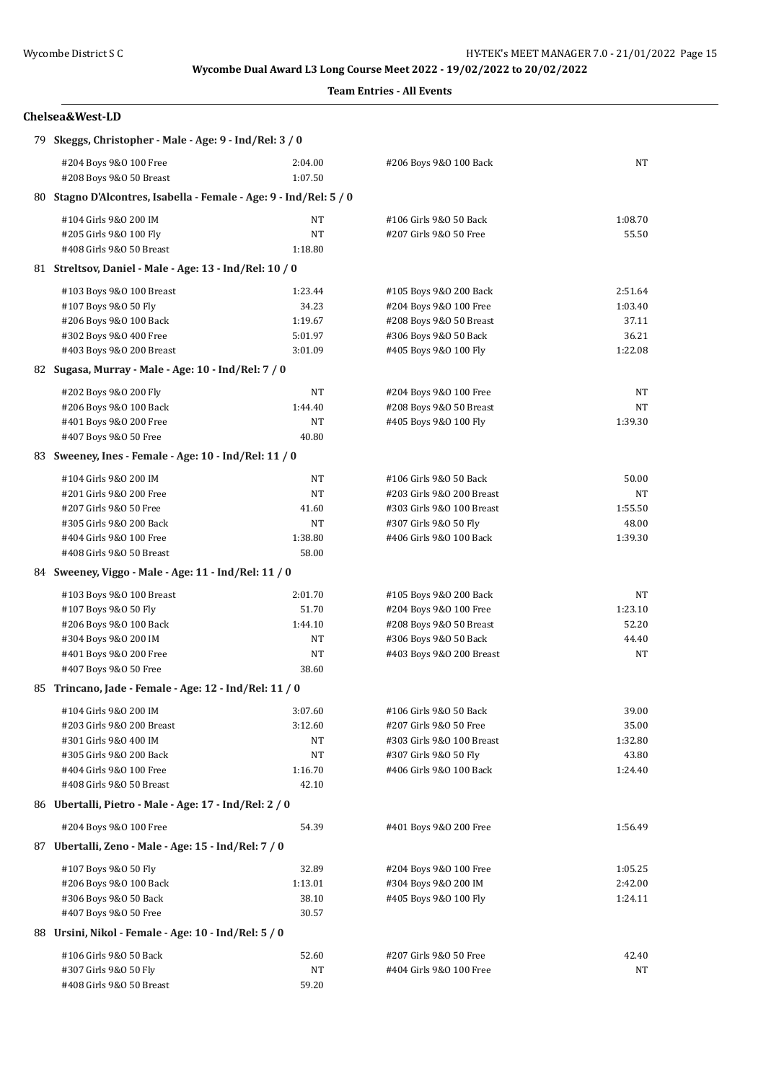### **Team Entries - All Events**

| 79 Skeggs, Christopher - Male - Age: 9 - Ind/Rel: 3 / 0                            |           |                                                        |                |
|------------------------------------------------------------------------------------|-----------|--------------------------------------------------------|----------------|
| #204 Boys 9&0 100 Free                                                             | 2:04.00   | #206 Boys 9&0 100 Back                                 | NT             |
| #208 Boys 9&0 50 Breast                                                            | 1:07.50   |                                                        |                |
| 80 Stagno D'Alcontres, Isabella - Female - Age: 9 - Ind/Rel: 5 / 0                 |           |                                                        |                |
| #104 Girls 9&0 200 IM                                                              | NT        | #106 Girls 9&0 50 Back                                 | 1:08.70        |
| #205 Girls 9&0 100 Fly                                                             | <b>NT</b> | #207 Girls 9&0 50 Free                                 | 55.50          |
| #408 Girls 9&0 50 Breast                                                           | 1:18.80   |                                                        |                |
| 81 Streltsov, Daniel - Male - Age: 13 - Ind/Rel: 10 / 0                            |           |                                                        |                |
| #103 Boys 9&0 100 Breast                                                           | 1:23.44   | #105 Boys 9&0 200 Back                                 | 2:51.64        |
| #107 Boys 9&0 50 Fly                                                               | 34.23     | #204 Boys 9&0 100 Free                                 | 1:03.40        |
| #206 Boys 9&0 100 Back                                                             | 1:19.67   | #208 Boys 9&0 50 Breast                                | 37.11          |
| #302 Boys 9&0 400 Free                                                             | 5:01.97   | #306 Boys 9&0 50 Back                                  | 36.21          |
| #403 Boys 9&0 200 Breast                                                           | 3:01.09   | #405 Boys 9&0 100 Fly                                  | 1:22.08        |
| 82 Sugasa, Murray - Male - Age: 10 - Ind/Rel: 7 / 0                                |           |                                                        |                |
| #202 Boys 9&0 200 Fly                                                              | NT        | #204 Boys 9&0 100 Free                                 | NT             |
| #206 Boys 9&0 100 Back                                                             | 1:44.40   | #208 Boys 9&0 50 Breast                                | NT             |
| #401 Boys 9&0 200 Free                                                             | NT        | #405 Boys 9&0 100 Fly                                  | 1:39.30        |
| #407 Boys 9&0 50 Free                                                              | 40.80     |                                                        |                |
| 83 Sweeney, Ines - Female - Age: 10 - Ind/Rel: 11 / 0                              |           |                                                        |                |
| #104 Girls 9&0 200 IM                                                              | NT        | #106 Girls 9&0 50 Back                                 | 50.00          |
|                                                                                    | NT        |                                                        |                |
| #201 Girls 9&0 200 Free<br>#207 Girls 9&0 50 Free                                  | 41.60     | #203 Girls 9&0 200 Breast<br>#303 Girls 9&0 100 Breast | NT<br>1:55.50  |
| #305 Girls 9&0 200 Back                                                            | NT        | #307 Girls 9&0 50 Fly                                  | 48.00          |
| #404 Girls 9&0 100 Free                                                            | 1:38.80   | #406 Girls 9&0 100 Back                                | 1:39.30        |
| #408 Girls 9&0 50 Breast                                                           | 58.00     |                                                        |                |
| 84 Sweeney, Viggo - Male - Age: 11 - Ind/Rel: 11 / 0                               |           |                                                        |                |
|                                                                                    |           |                                                        |                |
| #103 Boys 9&0 100 Breast                                                           | 2:01.70   | #105 Boys 9&0 200 Back                                 | NT             |
| #107 Boys 9&0 50 Fly                                                               | 51.70     | #204 Boys 9&0 100 Free                                 | 1:23.10        |
| #206 Boys 9&0 100 Back                                                             | 1:44.10   | #208 Boys 9&0 50 Breast<br>#306 Boys 9&0 50 Back       | 52.20<br>44.40 |
| #304 Boys 9&0 200 IM<br>#401 Boys 9&0 200 Free                                     | NT<br>NT  | #403 Boys 9&0 200 Breast                               | NT             |
| #407 Boys 9&0 50 Free                                                              | 38.60     |                                                        |                |
| 85 Trincano, Jade - Female - Age: 12 - Ind/Rel: 11 / 0                             |           |                                                        |                |
|                                                                                    |           |                                                        |                |
| #104 Girls 9&0 200 IM                                                              | 3:07.60   | #106 Girls 9&0 50 Back                                 | 39.00          |
| #203 Girls 9&0 200 Breast                                                          | 3:12.60   | #207 Girls 9&0 50 Free                                 | 35.00          |
| #301 Girls 9&0 400 IM                                                              | NT        | #303 Girls 9&0 100 Breast                              | 1:32.80        |
| #305 Girls 9&0 200 Back                                                            | NT        | #307 Girls 9&0 50 Fly                                  | 43.80          |
| #404 Girls 9&0 100 Free                                                            | 1:16.70   | #406 Girls 9&0 100 Back                                | 1:24.40        |
| #408 Girls 9&0 50 Breast<br>86 Ubertalli, Pietro - Male - Age: 17 - Ind/Rel: 2 / 0 | 42.10     |                                                        |                |
|                                                                                    |           |                                                        |                |
| #204 Boys 9&0 100 Free<br>87 Ubertalli, Zeno - Male - Age: 15 - Ind/Rel: 7 / 0     | 54.39     | #401 Boys 9&0 200 Free                                 | 1:56.49        |
|                                                                                    |           |                                                        |                |
| #107 Boys 9&0 50 Fly                                                               | 32.89     | #204 Boys 9&0 100 Free                                 | 1:05.25        |
| #206 Boys 9&0 100 Back                                                             | 1:13.01   | #304 Boys 9&0 200 IM                                   | 2:42.00        |
| #306 Boys 9&0 50 Back                                                              | 38.10     | #405 Boys 9&0 100 Fly                                  | 1:24.11        |
| #407 Boys 9&0 50 Free                                                              | 30.57     |                                                        |                |
| 88 Ursini, Nikol - Female - Age: 10 - Ind/Rel: 5 / 0                               |           |                                                        |                |
| #106 Girls 9&0 50 Back                                                             | 52.60     | #207 Girls 9&0 50 Free                                 | 42.40          |
| #307 Girls 9&0 50 Fly                                                              | NT        | #404 Girls 9&0 100 Free                                | NT             |
| #408 Girls 9&0 50 Breast                                                           | 59.20     |                                                        |                |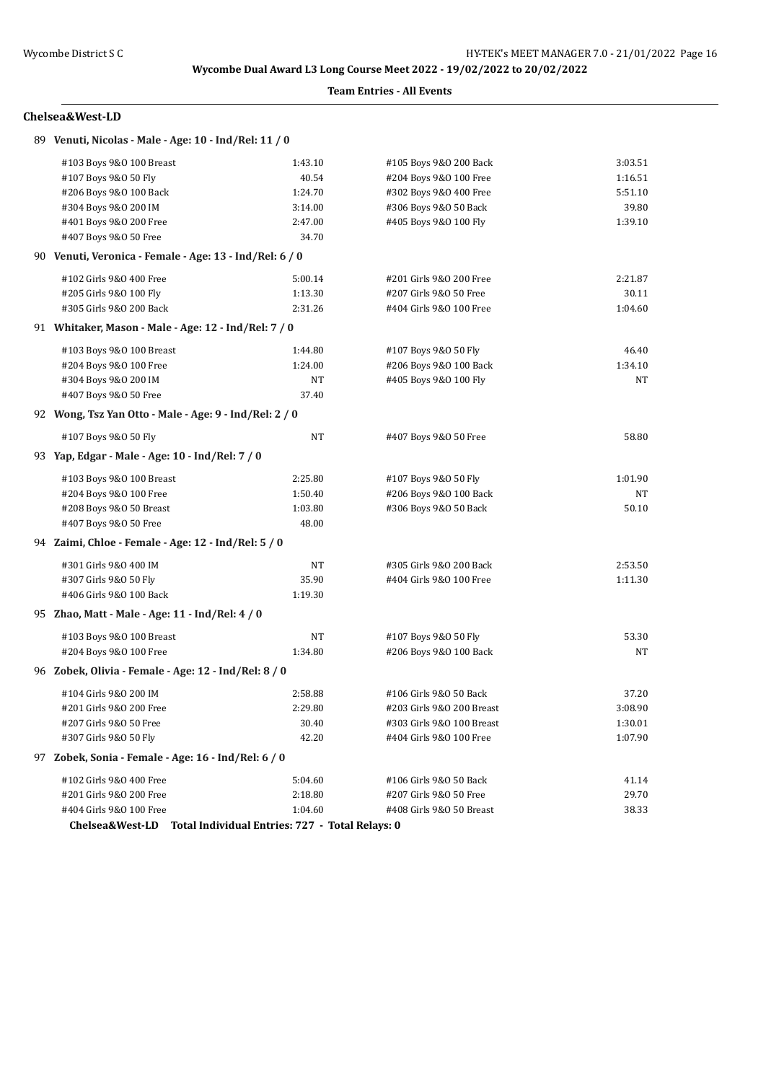## **Team Entries - All Events**

| 89 Venuti, Nicolas - Male - Age: 10 - Ind/Rel: 11 / 0   |                                                 |                                                 |             |
|---------------------------------------------------------|-------------------------------------------------|-------------------------------------------------|-------------|
| #103 Boys 9&0 100 Breast                                | 1:43.10                                         | #105 Boys 9&0 200 Back                          | 3:03.51     |
| #107 Boys 9&0 50 Fly                                    | 40.54                                           | #204 Boys 9&0 100 Free                          | 1:16.51     |
| #206 Boys 9&0 100 Back                                  | 1:24.70                                         | #302 Boys 9&0 400 Free                          | 5:51.10     |
| #304 Boys 9&0 200 IM                                    | 3:14.00                                         | #306 Boys 9&0 50 Back                           | 39.80       |
| #401 Boys 9&0 200 Free                                  | 2:47.00                                         | #405 Boys 9&0 100 Fly                           | 1:39.10     |
| #407 Boys 9&0 50 Free                                   | 34.70                                           |                                                 |             |
| 90 Venuti, Veronica - Female - Age: 13 - Ind/Rel: 6 / 0 |                                                 |                                                 |             |
| #102 Girls 9&0 400 Free                                 | 5:00.14                                         | #201 Girls 9&0 200 Free                         | 2:21.87     |
| #205 Girls 9&0 100 Fly                                  | 1:13.30                                         | #207 Girls 9&0 50 Free                          | 30.11       |
| #305 Girls 9&0 200 Back                                 | 2:31.26                                         | #404 Girls 9&0 100 Free                         | 1:04.60     |
| 91 Whitaker, Mason - Male - Age: 12 - Ind/Rel: 7 / 0    |                                                 |                                                 |             |
| #103 Boys 9&0 100 Breast                                | 1:44.80                                         | #107 Boys 9&0 50 Fly                            | 46.40       |
| #204 Boys 9&0 100 Free                                  | 1:24.00                                         | #206 Boys 9&0 100 Back                          | 1:34.10     |
| #304 Boys 9&0 200 IM                                    | NT                                              | #405 Boys 9&0 100 Fly                           | NT          |
| #407 Boys 9&0 50 Free                                   | 37.40                                           |                                                 |             |
| 92 Wong, Tsz Yan Otto - Male - Age: 9 - Ind/Rel: 2 / 0  |                                                 |                                                 |             |
| #107 Boys 9&0 50 Fly                                    | NT                                              | #407 Boys 9&0 50 Free                           | 58.80       |
| 93 Yap, Edgar - Male - Age: 10 - Ind/Rel: 7 / 0         |                                                 |                                                 |             |
|                                                         |                                                 |                                                 |             |
| #103 Boys 9&0 100 Breast                                | 2:25.80                                         | #107 Boys 9&0 50 Fly                            | 1:01.90     |
| #204 Boys 9&0 100 Free<br>#208 Boys 9&0 50 Breast       | 1:50.40<br>1:03.80                              | #206 Boys 9&0 100 Back<br>#306 Boys 9&0 50 Back | NT<br>50.10 |
| #407 Boys 9&0 50 Free                                   | 48.00                                           |                                                 |             |
|                                                         |                                                 |                                                 |             |
| 94 Zaimi, Chloe - Female - Age: 12 - Ind/Rel: 5 / 0     |                                                 |                                                 |             |
| #301 Girls 9&0 400 IM                                   | NT                                              | #305 Girls 9&0 200 Back                         | 2:53.50     |
| #307 Girls 9&0 50 Fly                                   | 35.90                                           | #404 Girls 9&0 100 Free                         | 1:11.30     |
| #406 Girls 9&0 100 Back                                 | 1:19.30                                         |                                                 |             |
| 95 Zhao, Matt - Male - Age: 11 - Ind/Rel: 4 / 0         |                                                 |                                                 |             |
| #103 Boys 9&0 100 Breast                                | NT                                              | #107 Boys 9&0 50 Fly                            | 53.30       |
| #204 Boys 9&0 100 Free                                  | 1:34.80                                         | #206 Boys 9&0 100 Back                          | NΤ          |
| 96 Zobek, Olivia - Female - Age: 12 - Ind/Rel: 8 / 0    |                                                 |                                                 |             |
| #104 Girls 9&0 200 IM                                   | 2:58.88                                         | #106 Girls 9&0 50 Back                          | 37.20       |
| #201 Girls 9&0 200 Free                                 | 2:29.80                                         | #203 Girls 9&0 200 Breast                       | 3:08.90     |
| #207 Girls 9&0 50 Free                                  | 30.40                                           | #303 Girls 9&0 100 Breast                       | 1:30.01     |
| #307 Girls 9&0 50 Fly                                   | 42.20                                           | #404 Girls 9&0 100 Free                         | 1:07.90     |
| 97 Zobek, Sonia - Female - Age: 16 - Ind/Rel: 6 / 0     |                                                 |                                                 |             |
|                                                         |                                                 |                                                 |             |
| #102 Girls 9&0 400 Free                                 | 5:04.60                                         | #106 Girls 9&0 50 Back                          | 41.14       |
| #201 Girls 9&0 200 Free                                 | 2:18.80                                         | #207 Girls 9&0 50 Free                          | 29.70       |
| #404 Girls 9&0 100 Free                                 | 1:04.60                                         | #408 Girls 9&0 50 Breast                        | 38.33       |
| Chelsea&West-LD                                         | Total Individual Entries: 727 - Total Relays: 0 |                                                 |             |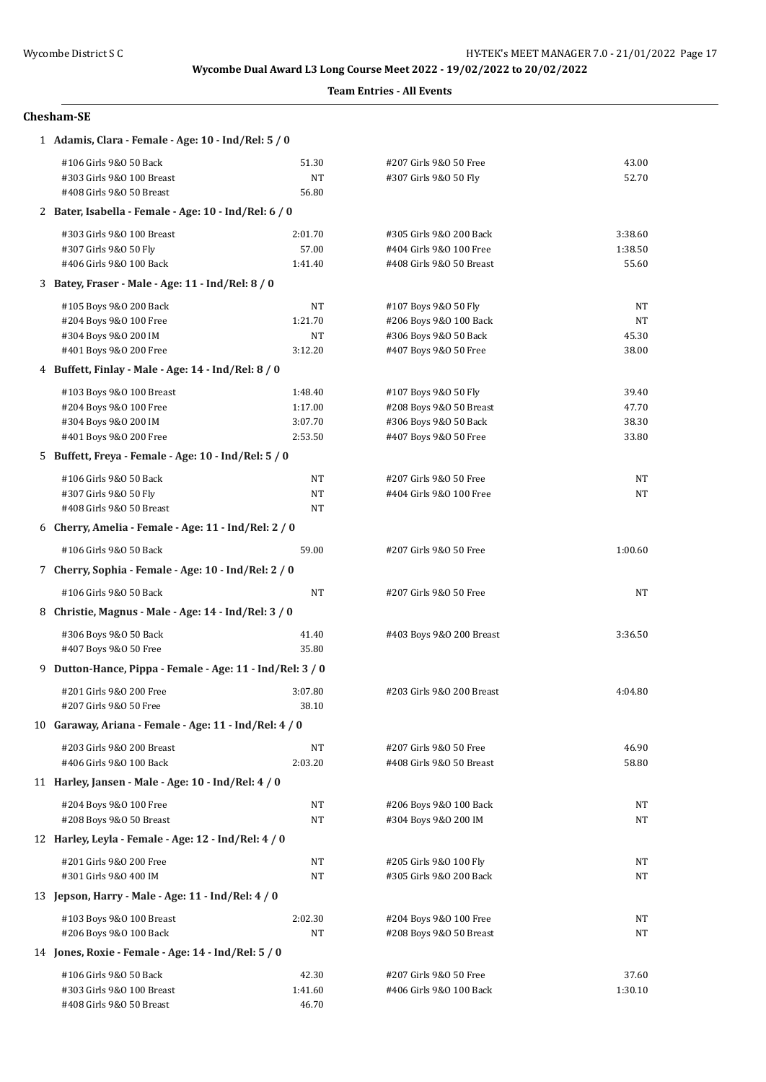### **Team Entries - All Events**

# **Chesham-SE**

| 1 Adamis, Clara - Female - Age: 10 - Ind/Rel: 5 / 0                                                  |                                          |                                                                                                   |                                  |
|------------------------------------------------------------------------------------------------------|------------------------------------------|---------------------------------------------------------------------------------------------------|----------------------------------|
| #106 Girls 9&0 50 Back<br>#303 Girls 9&0 100 Breast<br>#408 Girls 9&0 50 Breast                      | 51.30<br>NT<br>56.80                     | #207 Girls 9&0 50 Free<br>#307 Girls 9&0 50 Fly                                                   | 43.00<br>52.70                   |
| 2 Bater, Isabella - Female - Age: 10 - Ind/Rel: 6 / 0                                                |                                          |                                                                                                   |                                  |
| #303 Girls 9&0 100 Breast<br>#307 Girls 9&0 50 Fly<br>#406 Girls 9&0 100 Back                        | 2:01.70<br>57.00<br>1:41.40              | #305 Girls 9&0 200 Back<br>#404 Girls 9&0 100 Free<br>#408 Girls 9&0 50 Breast                    | 3:38.60<br>1:38.50<br>55.60      |
| 3 Batey, Fraser - Male - Age: 11 - Ind/Rel: 8 / 0                                                    |                                          |                                                                                                   |                                  |
| #105 Boys 9&0 200 Back<br>#204 Boys 9&0 100 Free<br>#304 Boys 9&0 200 IM<br>#401 Boys 9&0 200 Free   | NT<br>1:21.70<br>NT<br>3:12.20           | #107 Boys 9&0 50 Fly<br>#206 Boys 9&0 100 Back<br>#306 Boys 9&0 50 Back<br>#407 Boys 9&0 50 Free  | NT<br>NT<br>45.30<br>38.00       |
| 4 Buffett, Finlay - Male - Age: 14 - Ind/Rel: 8 / 0                                                  |                                          |                                                                                                   |                                  |
| #103 Boys 9&0 100 Breast<br>#204 Boys 9&0 100 Free<br>#304 Boys 9&0 200 IM<br>#401 Boys 9&0 200 Free | 1:48.40<br>1:17.00<br>3:07.70<br>2:53.50 | #107 Boys 9&0 50 Fly<br>#208 Boys 9&0 50 Breast<br>#306 Boys 9&0 50 Back<br>#407 Boys 9&0 50 Free | 39.40<br>47.70<br>38.30<br>33.80 |
| 5 Buffett, Freya - Female - Age: 10 - Ind/Rel: 5 / 0                                                 |                                          |                                                                                                   |                                  |
| #106 Girls 9&0 50 Back<br>#307 Girls 9&0 50 Fly<br>#408 Girls 9&0 50 Breast                          | NT<br>NT<br>NT                           | #207 Girls 9&0 50 Free<br>#404 Girls 9&0 100 Free                                                 | NT<br>NT                         |
| 6 Cherry, Amelia - Female - Age: 11 - Ind/Rel: 2 / 0                                                 |                                          |                                                                                                   |                                  |
| #106 Girls 9&0 50 Back                                                                               | 59.00                                    | #207 Girls 9&0 50 Free                                                                            | 1:00.60                          |
| 7 Cherry, Sophia - Female - Age: 10 - Ind/Rel: 2 / 0                                                 |                                          |                                                                                                   |                                  |
| #106 Girls 9&0 50 Back                                                                               | <b>NT</b>                                | #207 Girls 9&0 50 Free                                                                            | NT                               |
| 8 Christie, Magnus - Male - Age: 14 - Ind/Rel: 3 / 0                                                 |                                          |                                                                                                   |                                  |
| #306 Boys 9&0 50 Back<br>#407 Boys 9&0 50 Free                                                       | 41.40<br>35.80                           | #403 Boys 9&0 200 Breast                                                                          | 3:36.50                          |
| 9 Dutton-Hance, Pippa - Female - Age: 11 - Ind/Rel: 3 / 0                                            |                                          |                                                                                                   |                                  |
| #201 Girls 9&0 200 Free<br>#207 Girls 9&0 50 Free                                                    | 3:07.80<br>38.10                         | #203 Girls 9&0 200 Breast                                                                         | 4:04.80                          |
| 10 Garaway, Ariana - Female - Age: 11 - Ind/Rel: 4 / 0                                               |                                          |                                                                                                   |                                  |
| #203 Girls 9&0 200 Breast<br>#406 Girls 9&0 100 Back                                                 | NT<br>2:03.20                            | #207 Girls 9&0 50 Free<br>#408 Girls 9&0 50 Breast                                                | 46.90<br>58.80                   |
| 11 Harley, Jansen - Male - Age: 10 - Ind/Rel: 4 / 0                                                  |                                          |                                                                                                   |                                  |
| #204 Boys 9&0 100 Free<br>#208 Boys 9&0 50 Breast                                                    | NT<br>NT                                 | #206 Boys 9&0 100 Back<br>#304 Boys 9&0 200 IM                                                    | NT<br>NT                         |
| 12 Harley, Leyla - Female - Age: 12 - Ind/Rel: 4 / 0                                                 |                                          |                                                                                                   |                                  |
| #201 Girls 9&0 200 Free<br>#301 Girls 9&0 400 IM                                                     | NT<br>NT                                 | #205 Girls 9&0 100 Fly<br>#305 Girls 9&0 200 Back                                                 | NT<br>NT                         |
| 13 Jepson, Harry - Male - Age: 11 - Ind/Rel: 4 / 0                                                   |                                          |                                                                                                   |                                  |
| #103 Boys 9&0 100 Breast<br>#206 Boys 9&0 100 Back                                                   | 2:02.30<br>NT                            | #204 Boys 9&0 100 Free<br>#208 Boys 9&0 50 Breast                                                 | NT<br>NT                         |
| 14 Jones, Roxie - Female - Age: 14 - Ind/Rel: 5 / 0                                                  |                                          |                                                                                                   |                                  |
| #106 Girls 9&0 50 Back<br>#303 Girls 9&0 100 Breast<br>#408 Girls 9&0 50 Breast                      | 42.30<br>1:41.60<br>46.70                | #207 Girls 9&0 50 Free<br>#406 Girls 9&0 100 Back                                                 | 37.60<br>1:30.10                 |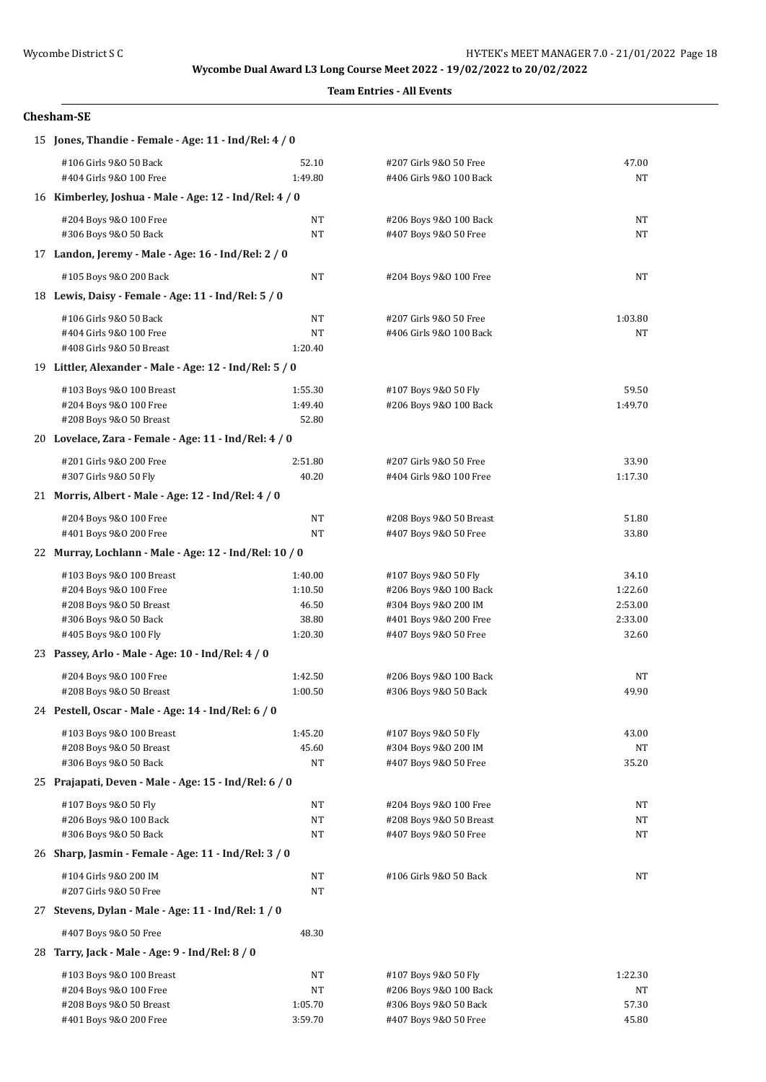## **Team Entries - All Events**

# **Chesham-SE**

| 15 Jones, Thandie - Female - Age: 11 - Ind/Rel: 4 / 0   |           |                         |         |
|---------------------------------------------------------|-----------|-------------------------|---------|
| #106 Girls 9&0 50 Back                                  | 52.10     | #207 Girls 9&0 50 Free  | 47.00   |
| #404 Girls 9&0 100 Free                                 | 1:49.80   | #406 Girls 9&0 100 Back | NT      |
| 16 Kimberley, Joshua - Male - Age: 12 - Ind/Rel: 4 / 0  |           |                         |         |
| #204 Boys 9&0 100 Free                                  | NT        | #206 Boys 9&0 100 Back  | NT      |
| #306 Boys 9&0 50 Back                                   | NT        | #407 Boys 9&0 50 Free   | NT      |
| 17 Landon, Jeremy - Male - Age: 16 - Ind/Rel: 2 / 0     |           |                         |         |
| #105 Boys 9&0 200 Back                                  | NT        | #204 Boys 9&0 100 Free  | NT      |
| 18 Lewis, Daisy - Female - Age: 11 - Ind/Rel: 5 / 0     |           |                         |         |
| #106 Girls 9&0 50 Back                                  | NT        | #207 Girls 9&0 50 Free  | 1:03.80 |
| #404 Girls 9&0 100 Free                                 | NT        | #406 Girls 9&0 100 Back | NT      |
| #408 Girls 9&0 50 Breast                                | 1:20.40   |                         |         |
| 19 Littler, Alexander - Male - Age: 12 - Ind/Rel: 5 / 0 |           |                         |         |
| #103 Boys 9&0 100 Breast                                | 1:55.30   | #107 Boys 9&0 50 Fly    | 59.50   |
| #204 Boys 9&0 100 Free                                  | 1:49.40   | #206 Boys 9&0 100 Back  | 1:49.70 |
| #208 Boys 9&0 50 Breast                                 | 52.80     |                         |         |
| 20 Lovelace, Zara - Female - Age: 11 - Ind/Rel: 4 / 0   |           |                         |         |
| #201 Girls 9&0 200 Free                                 | 2:51.80   | #207 Girls 9&0 50 Free  | 33.90   |
| #307 Girls 9&0 50 Fly                                   | 40.20     | #404 Girls 9&0 100 Free | 1:17.30 |
| 21 Morris, Albert - Male - Age: 12 - Ind/Rel: 4 / 0     |           |                         |         |
| #204 Boys 9&0 100 Free                                  | NT        | #208 Boys 9&0 50 Breast | 51.80   |
| #401 Boys 9&0 200 Free                                  | NT        | #407 Boys 9&0 50 Free   | 33.80   |
| 22 Murray, Lochlann - Male - Age: 12 - Ind/Rel: 10 / 0  |           |                         |         |
| #103 Boys 9&0 100 Breast                                | 1:40.00   | #107 Boys 9&0 50 Fly    | 34.10   |
| #204 Boys 9&0 100 Free                                  | 1:10.50   | #206 Boys 9&0 100 Back  | 1:22.60 |
| #208 Boys 9&0 50 Breast                                 | 46.50     | #304 Boys 9&0 200 IM    | 2:53.00 |
| #306 Boys 9&0 50 Back                                   | 38.80     | #401 Boys 9&0 200 Free  | 2:33.00 |
| #405 Boys 9&0 100 Fly                                   | 1:20.30   | #407 Boys 9&0 50 Free   | 32.60   |
| 23 Passey, Arlo - Male - Age: 10 - Ind/Rel: 4 / 0       |           |                         |         |
| #204 Boys 9&0 100 Free                                  | 1:42.50   | #206 Boys 9&0 100 Back  | NT      |
| #208 Boys 9&0 50 Breast                                 | 1:00.50   | #306 Boys 9&0 50 Back   | 49.90   |
| 24 Pestell, Oscar - Male - Age: 14 - Ind/Rel: 6 / 0     |           |                         |         |
| #103 Boys 9&0 100 Breast                                | 1:45.20   | #107 Boys 9&0 50 Fly    | 43.00   |
| #208 Boys 9&0 50 Breast                                 | 45.60     | #304 Boys 9&0 200 IM    | NT      |
| #306 Boys 9&0 50 Back                                   | NT        | #407 Boys 9&0 50 Free   | 35.20   |
| 25 Prajapati, Deven - Male - Age: 15 - Ind/Rel: 6 / 0   |           |                         |         |
| #107 Boys 9&0 50 Fly                                    | NT        | #204 Boys 9&0 100 Free  | NT      |
| #206 Boys 9&0 100 Back                                  | NT        | #208 Boys 9&0 50 Breast | NT      |
| #306 Boys 9&0 50 Back                                   | NT        | #407 Boys 9&0 50 Free   | NT      |
| 26 Sharp, Jasmin - Female - Age: 11 - Ind/Rel: 3 / 0    |           |                         |         |
| #104 Girls 9&0 200 IM                                   | NT        | #106 Girls 9&0 50 Back  | NT      |
| #207 Girls 9&0 50 Free                                  | $\rm{NT}$ |                         |         |
| 27 Stevens, Dylan - Male - Age: 11 - Ind/Rel: 1 / 0     |           |                         |         |
| #407 Boys 9&0 50 Free                                   | 48.30     |                         |         |
| 28 Tarry, Jack - Male - Age: 9 - Ind/Rel: 8 / 0         |           |                         |         |
| #103 Boys 9&0 100 Breast                                | NT        | #107 Boys 9&0 50 Fly    | 1:22.30 |
| #204 Boys 9&0 100 Free                                  | NT        | #206 Boys 9&0 100 Back  | NT      |
| #208 Boys 9&0 50 Breast                                 | 1:05.70   | #306 Boys 9&0 50 Back   | 57.30   |
| #401 Boys 9&0 200 Free                                  | 3:59.70   | #407 Boys 9&0 50 Free   | 45.80   |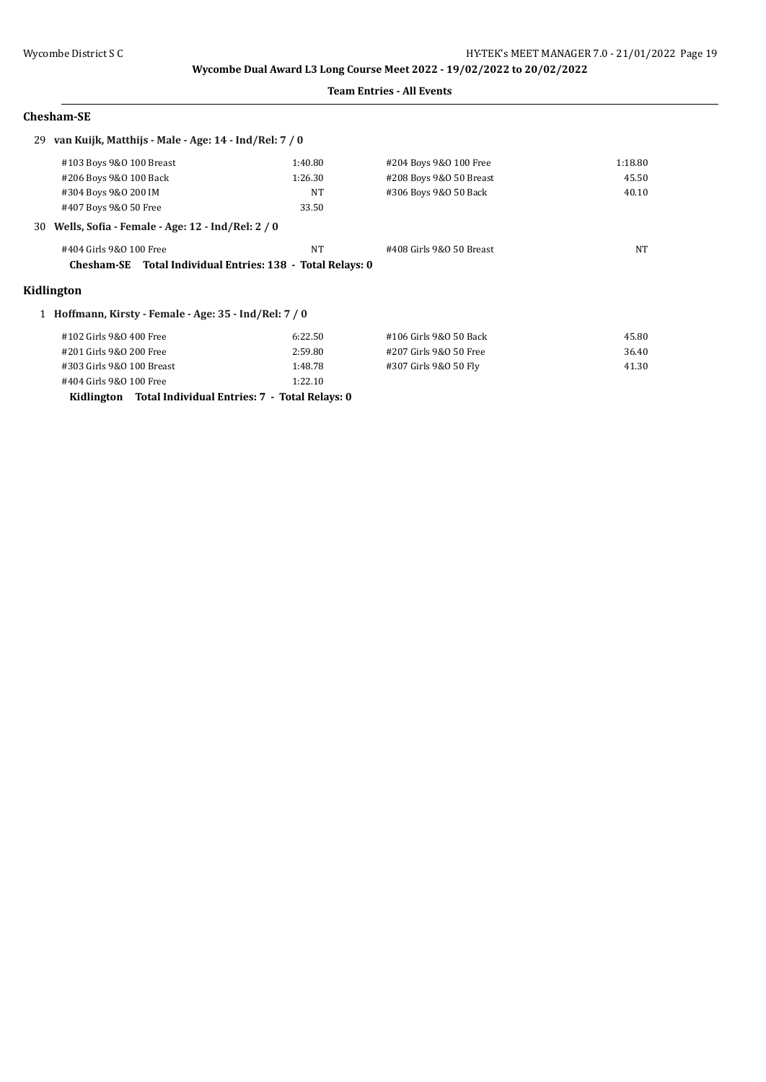### **Team Entries - All Events**

### **Chesham-SE**

| van Kuijk, Matthijs - Male - Age: 14 - Ind/Rel: 7 / 0<br>29 |         |                          |         |
|-------------------------------------------------------------|---------|--------------------------|---------|
| #103 Boys 9&0 100 Breast                                    | 1:40.80 | #204 Boys 9&0 100 Free   | 1:18.80 |
| #206 Boys 9&0 100 Back                                      | 1:26.30 | #208 Boys 9&0 50 Breast  | 45.50   |
| #304 Boys 9&0 200 IM                                        | NT      | #306 Boys 9&0 50 Back    | 40.10   |
| #407 Boys 9&0 50 Free                                       | 33.50   |                          |         |
| Wells, Sofia - Female - Age: 12 - Ind/Rel: 2 / 0<br>30      |         |                          |         |
| #404 Girls 9&0 100 Free                                     | NT      | #408 Girls 9&0 50 Breast | NT      |
| Chesham-SE Total Individual Entries: 138 - Total Relays: 0  |         |                          |         |
| Kidlington                                                  |         |                          |         |
| Hoffmann, Kirsty - Female - Age: 35 - Ind/Rel: 7 / 0        |         |                          |         |
| #102 Girls 9&0 400 Free                                     | 6:22.50 | #106 Girls 9&0 50 Back   | 45.80   |
| #201 Girls 9&0 200 Free                                     | 2:59.80 | #207 Girls 9&0 50 Free   | 36.40   |
| #303 Girls 9&0 100 Breast                                   | 1:48.78 | #307 Girls 9&0 50 Fly    | 41.30   |

#404 Girls 9&O 100 Free 1:22.10

**Kidlington Total Individual Entries: 7 - Total Relays: 0**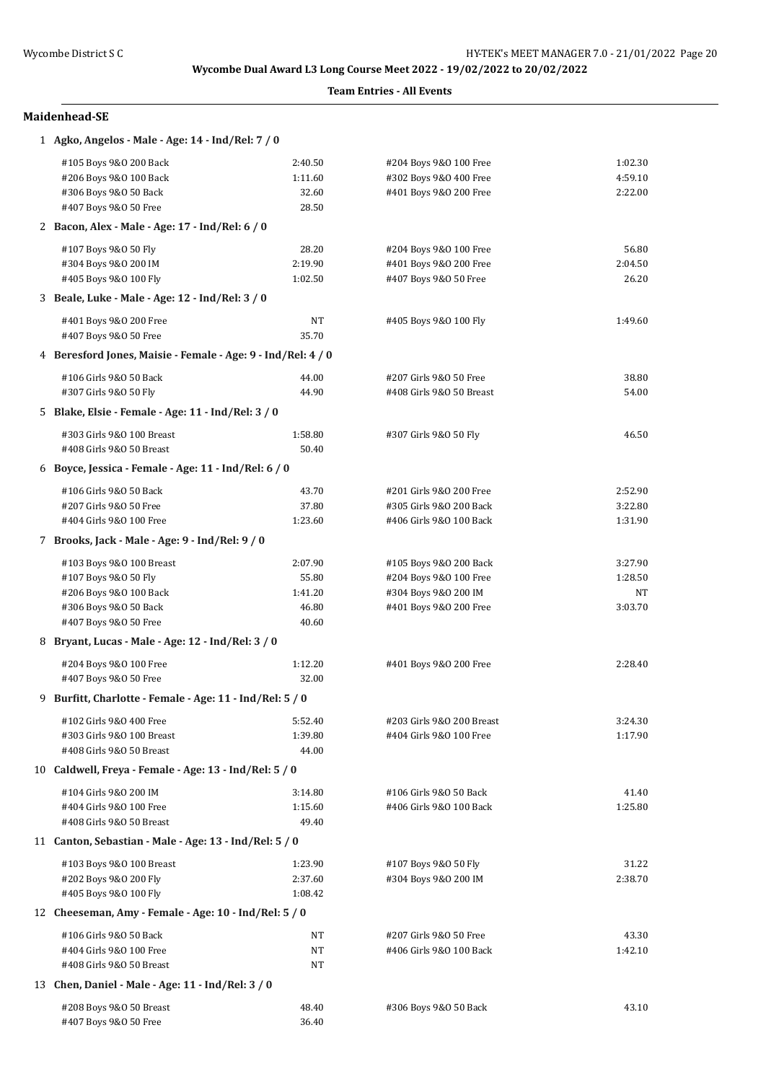### **Team Entries - All Events**

# **Maidenhead-SE**

| 1 Agko, Angelos - Male - Age: 14 - Ind/Rel: 7 / 0                                  |                    |                           |         |
|------------------------------------------------------------------------------------|--------------------|---------------------------|---------|
| #105 Boys 9&0 200 Back                                                             | 2:40.50            | #204 Boys 9&0 100 Free    | 1:02.30 |
| #206 Boys 9&0 100 Back                                                             | 1:11.60            | #302 Boys 9&0 400 Free    | 4:59.10 |
| #306 Boys 9&0 50 Back                                                              | 32.60              | #401 Boys 9&0 200 Free    | 2:22.00 |
| #407 Boys 9&0 50 Free                                                              | 28.50              |                           |         |
| 2 Bacon, Alex - Male - Age: 17 - Ind/Rel: 6 / 0                                    |                    |                           |         |
| #107 Boys 9&0 50 Fly                                                               | 28.20              | #204 Boys 9&0 100 Free    | 56.80   |
| #304 Boys 9&0 200 IM                                                               | 2:19.90            | #401 Boys 9&0 200 Free    | 2:04.50 |
| #405 Boys 9&0 100 Fly                                                              | 1:02.50            | #407 Boys 9&0 50 Free     | 26.20   |
| 3 Beale, Luke - Male - Age: 12 - Ind/Rel: 3 / 0                                    |                    |                           |         |
| #401 Boys 9&0 200 Free                                                             | NT                 | #405 Boys 9&0 100 Fly     | 1:49.60 |
| #407 Boys 9&0 50 Free                                                              | 35.70              |                           |         |
| 4 Beresford Jones, Maisie - Female - Age: 9 - Ind/Rel: 4 / 0                       |                    |                           |         |
| #106 Girls 9&0 50 Back                                                             | 44.00              | #207 Girls 9&0 50 Free    | 38.80   |
| #307 Girls 9&0 50 Fly                                                              | 44.90              | #408 Girls 9&0 50 Breast  | 54.00   |
| 5 Blake, Elsie - Female - Age: 11 - Ind/Rel: 3 / 0                                 |                    |                           |         |
| #303 Girls 9&0 100 Breast                                                          | 1:58.80            | #307 Girls 9&0 50 Fly     | 46.50   |
| #408 Girls 9&0 50 Breast                                                           | 50.40              |                           |         |
| 6 Boyce, Jessica - Female - Age: 11 - Ind/Rel: 6 / 0                               |                    |                           |         |
| #106 Girls 9&0 50 Back                                                             | 43.70              | #201 Girls 9&0 200 Free   | 2:52.90 |
| #207 Girls 9&0 50 Free                                                             | 37.80              | #305 Girls 9&0 200 Back   | 3:22.80 |
| #404 Girls 9&0 100 Free                                                            | 1:23.60            | #406 Girls 9&0 100 Back   | 1:31.90 |
| 7 Brooks, Jack - Male - Age: 9 - Ind/Rel: 9 / 0                                    |                    |                           |         |
| #103 Boys 9&0 100 Breast                                                           | 2:07.90            | #105 Boys 9&0 200 Back    | 3:27.90 |
| #107 Boys 9&0 50 Fly                                                               | 55.80              | #204 Boys 9&0 100 Free    | 1:28.50 |
| #206 Boys 9&0 100 Back                                                             | 1:41.20            | #304 Boys 9&0 200 IM      | NT      |
| #306 Boys 9&0 50 Back                                                              | 46.80              | #401 Boys 9&0 200 Free    | 3:03.70 |
| #407 Boys 9&0 50 Free                                                              | 40.60              |                           |         |
| 8 Bryant, Lucas - Male - Age: 12 - Ind/Rel: 3 / 0                                  |                    |                           |         |
| #204 Boys 9&0 100 Free                                                             | 1:12.20            | #401 Boys 9&0 200 Free    | 2:28.40 |
| #407 Boys 9&0 50 Free                                                              | 32.00              |                           |         |
| 9 Burfitt, Charlotte - Female - Age: 11 - Ind/Rel: 5 / 0                           |                    |                           |         |
| #102 Girls 9&0 400 Free                                                            | 5:52.40            | #203 Girls 9&0 200 Breast | 3:24.30 |
| #303 Girls 9&0 100 Breast                                                          | 1:39.80            | #404 Girls 9&0 100 Free   | 1:17.90 |
| #408 Girls 9&0 50 Breast                                                           | 44.00              |                           |         |
| 10 Caldwell, Freya - Female - Age: 13 - Ind/Rel: 5 / 0                             |                    |                           |         |
| #104 Girls 9&0 200 IM                                                              | 3:14.80            | #106 Girls 9&0 50 Back    | 41.40   |
| #404 Girls 9&0 100 Free                                                            | 1:15.60            | #406 Girls 9&0 100 Back   | 1:25.80 |
| #408 Girls 9&0 50 Breast<br>11 Canton, Sebastian - Male - Age: 13 - Ind/Rel: 5 / 0 | 49.40              |                           |         |
|                                                                                    |                    |                           |         |
| #103 Boys 9&0 100 Breast                                                           | 1:23.90            | #107 Boys 9&0 50 Fly      | 31.22   |
| #202 Boys 9&0 200 Fly<br>#405 Boys 9&0 100 Fly                                     | 2:37.60<br>1:08.42 | #304 Boys 9&0 200 IM      | 2:38.70 |
|                                                                                    |                    |                           |         |
| 12 Cheeseman, Amy - Female - Age: 10 - Ind/Rel: 5 / 0                              |                    |                           |         |
| #106 Girls 9&0 50 Back                                                             | NT                 | #207 Girls 9&0 50 Free    | 43.30   |
| #404 Girls 9&0 100 Free<br>#408 Girls 9&0 50 Breast                                | NT<br>NT           | #406 Girls 9&0 100 Back   | 1:42.10 |
|                                                                                    |                    |                           |         |
| 13 Chen, Daniel - Male - Age: 11 - Ind/Rel: 3 / 0                                  |                    |                           |         |
| #208 Boys 9&0 50 Breast                                                            | 48.40              | #306 Boys 9&0 50 Back     | 43.10   |
| #407 Boys 9&0 50 Free                                                              | 36.40              |                           |         |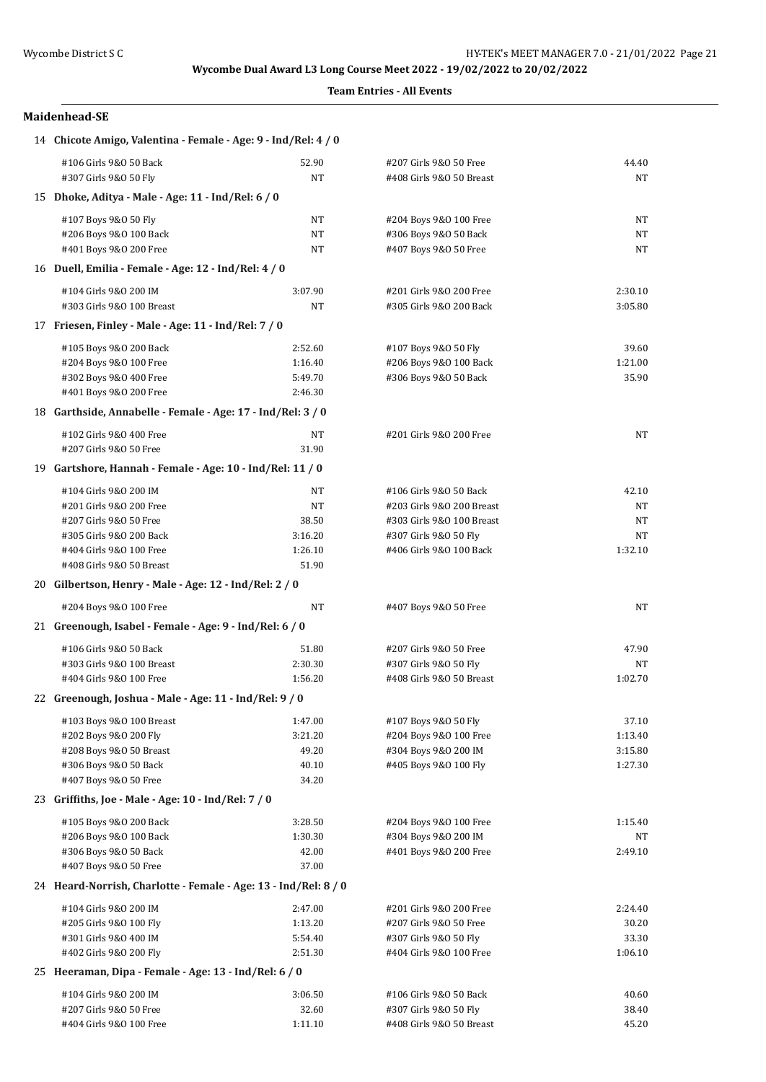## **Team Entries - All Events**

# **Maidenhead-SE**

| 14 Chicote Amigo, Valentina - Female - Age: 9 - Ind/Rel: 4 / 0 |                                                                                  |                    |                                                |               |
|----------------------------------------------------------------|----------------------------------------------------------------------------------|--------------------|------------------------------------------------|---------------|
|                                                                | #106 Girls 9&0 50 Back                                                           | 52.90              | #207 Girls 9&0 50 Free                         | 44.40         |
|                                                                | #307 Girls 9&0 50 Fly                                                            | NT                 | #408 Girls 9&0 50 Breast                       | NT            |
|                                                                | 15 Dhoke, Aditya - Male - Age: 11 - Ind/Rel: 6 / 0                               |                    |                                                |               |
|                                                                | #107 Boys 9&0 50 Fly                                                             | NT                 | #204 Boys 9&0 100 Free                         | NT            |
|                                                                | #206 Boys 9&0 100 Back                                                           | NT                 | #306 Boys 9&0 50 Back                          | NT            |
|                                                                | #401 Boys 9&0 200 Free                                                           | NT                 | #407 Boys 9&0 50 Free                          | NT            |
|                                                                | 16 Duell, Emilia - Female - Age: 12 - Ind/Rel: 4 / 0                             |                    |                                                |               |
|                                                                | #104 Girls 9&0 200 IM                                                            | 3:07.90            | #201 Girls 9&0 200 Free                        | 2:30.10       |
|                                                                | #303 Girls 9&0 100 Breast                                                        | NT                 | #305 Girls 9&0 200 Back                        | 3:05.80       |
|                                                                | 17 Friesen, Finley - Male - Age: 11 - Ind/Rel: 7 / 0                             |                    |                                                |               |
|                                                                | #105 Boys 9&0 200 Back                                                           | 2:52.60            | #107 Boys 9&0 50 Fly                           | 39.60         |
|                                                                | #204 Boys 9&0 100 Free                                                           | 1:16.40            | #206 Boys 9&0 100 Back                         | 1:21.00       |
|                                                                | #302 Boys 9&0 400 Free                                                           | 5:49.70            | #306 Boys 9&0 50 Back                          | 35.90         |
|                                                                | #401 Boys 9&0 200 Free                                                           | 2:46.30            |                                                |               |
|                                                                | 18 Garthside, Annabelle - Female - Age: 17 - Ind/Rel: 3 / 0                      |                    |                                                |               |
|                                                                | #102 Girls 9&0 400 Free                                                          | NT                 | #201 Girls 9&0 200 Free                        | NT            |
|                                                                | #207 Girls 9&0 50 Free                                                           | 31.90              |                                                |               |
|                                                                | 19 Gartshore, Hannah - Female - Age: 10 - Ind/Rel: 11 / 0                        |                    |                                                |               |
|                                                                | #104 Girls 9&0 200 IM                                                            | NT                 | #106 Girls 9&0 50 Back                         | 42.10         |
|                                                                | #201 Girls 9&0 200 Free                                                          | $\rm{NT}$          | #203 Girls 9&0 200 Breast                      | NT            |
|                                                                | #207 Girls 9&0 50 Free                                                           | 38.50              | #303 Girls 9&0 100 Breast                      | NT            |
|                                                                | #305 Girls 9&0 200 Back                                                          | 3:16.20<br>1:26.10 | #307 Girls 9&0 50 Fly                          | NT<br>1:32.10 |
|                                                                | #404 Girls 9&0 100 Free<br>#408 Girls 9&0 50 Breast                              | 51.90              | #406 Girls 9&0 100 Back                        |               |
|                                                                |                                                                                  |                    |                                                |               |
|                                                                | 20 Gilbertson, Henry - Male - Age: 12 - Ind/Rel: 2 / 0<br>#204 Boys 9&0 100 Free | NT                 |                                                | NT            |
|                                                                | 21 Greenough, Isabel - Female - Age: 9 - Ind/Rel: 6 / 0                          |                    | #407 Boys 9&0 50 Free                          |               |
|                                                                |                                                                                  |                    |                                                |               |
|                                                                | #106 Girls 9&0 50 Back                                                           | 51.80              | #207 Girls 9&0 50 Free                         | 47.90         |
|                                                                | #303 Girls 9&0 100 Breast                                                        | 2:30.30            | #307 Girls 9&0 50 Fly                          | NT            |
|                                                                | #404 Girls 9&0 100 Free                                                          | 1:56.20            | #408 Girls 9&0 50 Breast                       | 1:02.70       |
|                                                                | 22 Greenough, Joshua - Male - Age: 11 - Ind/Rel: 9 / 0                           |                    |                                                |               |
|                                                                | #103 Boys 9&0 100 Breast                                                         | 1:47.00            | #107 Boys 9&0 50 Fly                           | 37.10         |
|                                                                | #202 Boys 9&0 200 Fly                                                            | 3:21.20            | #204 Boys 9&0 100 Free                         | 1:13.40       |
|                                                                | #208 Boys 9&0 50 Breast                                                          | 49.20              | #304 Boys 9&0 200 IM                           | 3:15.80       |
|                                                                | #306 Boys 9&0 50 Back<br>#407 Boys 9&0 50 Free                                   | 40.10<br>34.20     | #405 Boys 9&0 100 Fly                          | 1:27.30       |
|                                                                | 23 Griffiths, Joe - Male - Age: 10 - Ind/Rel: 7 / 0                              |                    |                                                |               |
|                                                                |                                                                                  |                    |                                                |               |
|                                                                | #105 Boys 9&0 200 Back<br>#206 Boys 9&0 100 Back                                 | 3:28.50<br>1:30.30 | #204 Boys 9&0 100 Free<br>#304 Boys 9&0 200 IM | 1:15.40<br>NT |
|                                                                | #306 Boys 9&0 50 Back                                                            | 42.00              | #401 Boys 9&0 200 Free                         | 2:49.10       |
|                                                                | #407 Boys 9&0 50 Free                                                            | 37.00              |                                                |               |
|                                                                | 24 Heard-Norrish, Charlotte - Female - Age: 13 - Ind/Rel: 8 / 0                  |                    |                                                |               |
|                                                                | #104 Girls 9&0 200 IM                                                            | 2:47.00            | #201 Girls 9&0 200 Free                        | 2:24.40       |
|                                                                | #205 Girls 9&0 100 Fly                                                           | 1:13.20            | #207 Girls 9&0 50 Free                         | 30.20         |
|                                                                | #301 Girls 9&0 400 IM                                                            | 5:54.40            | #307 Girls 9&0 50 Fly                          | 33.30         |
|                                                                | #402 Girls 9&0 200 Fly                                                           | 2:51.30            | #404 Girls 9&0 100 Free                        | 1:06.10       |
|                                                                | 25 Heeraman, Dipa - Female - Age: 13 - Ind/Rel: 6 / 0                            |                    |                                                |               |
|                                                                | #104 Girls 9&0 200 IM                                                            | 3:06.50            | #106 Girls 9&0 50 Back                         | 40.60         |
|                                                                | #207 Girls 9&0 50 Free                                                           | 32.60              | #307 Girls 9&0 50 Fly                          | 38.40         |
|                                                                | #404 Girls 9&0 100 Free                                                          | 1:11.10            | #408 Girls 9&0 50 Breast                       | 45.20         |
|                                                                |                                                                                  |                    |                                                |               |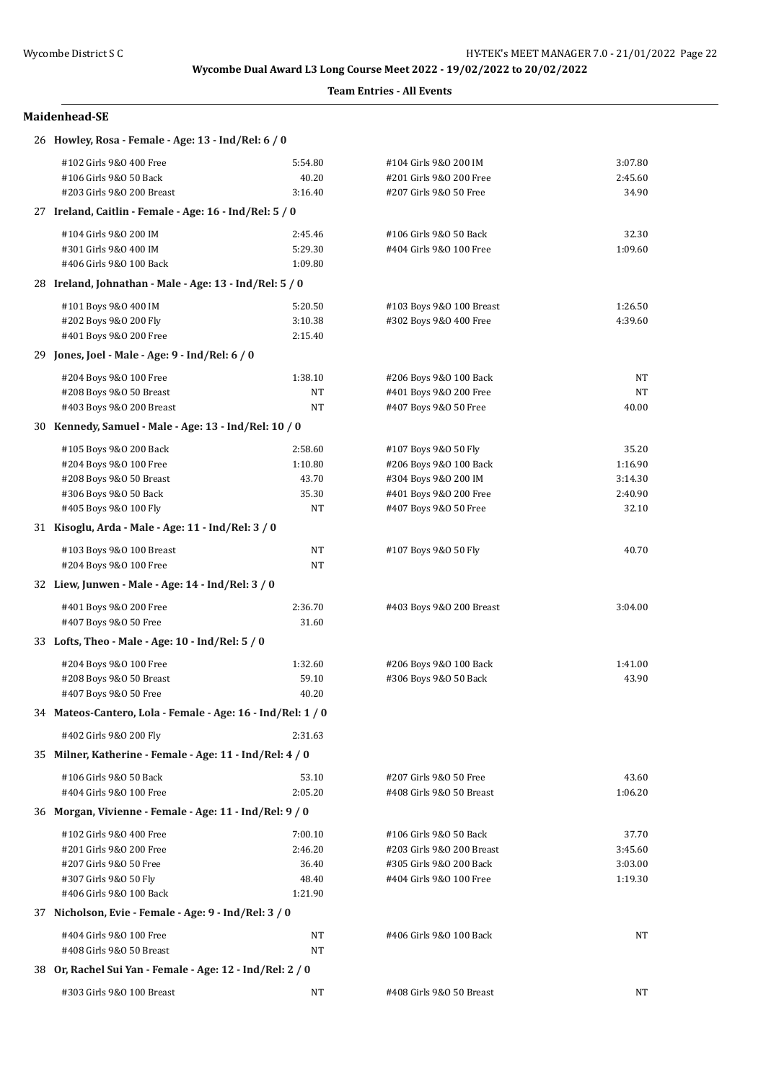## **Team Entries - All Events**

# **Maidenhead-SE**

| 26 Howley, Rosa - Female - Age: 13 - Ind/Rel: 6 / 0         |         |                           |         |  |
|-------------------------------------------------------------|---------|---------------------------|---------|--|
| #102 Girls 9&0 400 Free                                     | 5:54.80 | #104 Girls 9&0 200 IM     | 3:07.80 |  |
| #106 Girls 9&0 50 Back                                      | 40.20   | #201 Girls 9&0 200 Free   | 2:45.60 |  |
| #203 Girls 9&0 200 Breast                                   | 3:16.40 | #207 Girls 9&0 50 Free    | 34.90   |  |
| 27 Ireland, Caitlin - Female - Age: 16 - Ind/Rel: 5 / 0     |         |                           |         |  |
| #104 Girls 9&0 200 IM                                       | 2:45.46 | #106 Girls 9&0 50 Back    | 32.30   |  |
| #301 Girls 9&0 400 IM                                       | 5:29.30 | #404 Girls 9&0 100 Free   | 1:09.60 |  |
| #406 Girls 9&0 100 Back                                     | 1:09.80 |                           |         |  |
| 28 Ireland, Johnathan - Male - Age: 13 - Ind/Rel: 5 / 0     |         |                           |         |  |
| #101 Boys 9&0 400 IM                                        | 5:20.50 | #103 Boys 9&0 100 Breast  | 1:26.50 |  |
| #202 Boys 9&0 200 Fly                                       | 3:10.38 | #302 Boys 9&0 400 Free    | 4:39.60 |  |
| #401 Boys 9&0 200 Free                                      | 2:15.40 |                           |         |  |
| 29 Jones, Joel - Male - Age: 9 - Ind/Rel: 6 / 0             |         |                           |         |  |
| #204 Boys 9&0 100 Free                                      | 1:38.10 | #206 Boys 9&0 100 Back    | NT      |  |
| #208 Boys 9&0 50 Breast                                     | NT      | #401 Boys 9&0 200 Free    | NT      |  |
| #403 Boys 9&0 200 Breast                                    | NT      | #407 Boys 9&0 50 Free     | 40.00   |  |
| 30 Kennedy, Samuel - Male - Age: 13 - Ind/Rel: 10 / 0       |         |                           |         |  |
| #105 Boys 9&0 200 Back                                      | 2:58.60 | #107 Boys 9&0 50 Fly      | 35.20   |  |
| #204 Boys 9&0 100 Free                                      | 1:10.80 | #206 Boys 9&0 100 Back    | 1:16.90 |  |
| #208 Boys 9&0 50 Breast                                     | 43.70   | #304 Boys 9&0 200 IM      | 3:14.30 |  |
| #306 Boys 9&0 50 Back                                       | 35.30   | #401 Boys 9&0 200 Free    | 2:40.90 |  |
| #405 Boys 9&0 100 Fly                                       | NT      | #407 Boys 9&0 50 Free     | 32.10   |  |
| 31 Kisoglu, Arda - Male - Age: 11 - Ind/Rel: 3 / 0          |         |                           |         |  |
| #103 Boys 9&0 100 Breast                                    | NT      | #107 Boys 9&0 50 Fly      | 40.70   |  |
| #204 Boys 9&0 100 Free                                      | NT      |                           |         |  |
| 32 Liew, Junwen - Male - Age: 14 - Ind/Rel: 3 / 0           |         |                           |         |  |
|                                                             |         |                           |         |  |
| #401 Boys 9&0 200 Free                                      | 2:36.70 | #403 Boys 9&0 200 Breast  | 3:04.00 |  |
| #407 Boys 9&0 50 Free                                       | 31.60   |                           |         |  |
| 33 Lofts, Theo - Male - Age: 10 - Ind/Rel: 5 / 0            |         |                           |         |  |
| #204 Boys 9&0 100 Free                                      | 1:32.60 | #206 Boys 9&0 100 Back    | 1:41.00 |  |
| #208 Boys 9&0 50 Breast                                     | 59.10   | #306 Boys 9&0 50 Back     | 43.90   |  |
| #407 Boys 9&0 50 Free                                       | 40.20   |                           |         |  |
| 34 Mateos-Cantero, Lola - Female - Age: 16 - Ind/Rel: 1 / 0 |         |                           |         |  |
| #402 Girls 9&0 200 Fly                                      | 2:31.63 |                           |         |  |
| 35 Milner, Katherine - Female - Age: 11 - Ind/Rel: 4 / 0    |         |                           |         |  |
| #106 Girls 9&0 50 Back                                      | 53.10   | #207 Girls 9&0 50 Free    | 43.60   |  |
| #404 Girls 9&0 100 Free                                     | 2:05.20 | #408 Girls 9&0 50 Breast  | 1:06.20 |  |
| 36 Morgan, Vivienne - Female - Age: 11 - Ind/Rel: 9 / 0     |         |                           |         |  |
| #102 Girls 9&0 400 Free                                     | 7:00.10 | #106 Girls 9&0 50 Back    | 37.70   |  |
| #201 Girls 9&0 200 Free                                     | 2:46.20 | #203 Girls 9&0 200 Breast | 3:45.60 |  |
| #207 Girls 9&0 50 Free                                      | 36.40   | #305 Girls 9&0 200 Back   | 3:03.00 |  |
| #307 Girls 9&0 50 Fly                                       | 48.40   | #404 Girls 9&0 100 Free   | 1:19.30 |  |
| #406 Girls 9&0 100 Back                                     | 1:21.90 |                           |         |  |
| 37 Nicholson, Evie - Female - Age: 9 - Ind/Rel: 3 / 0       |         |                           |         |  |
| #404 Girls 9&0 100 Free                                     | NT      | #406 Girls 9&0 100 Back   | NT      |  |
| #408 Girls 9&0 50 Breast                                    | NT      |                           |         |  |
| 38 Or, Rachel Sui Yan - Female - Age: 12 - Ind/Rel: 2 / 0   |         |                           |         |  |
| #303 Girls 9&0 100 Breast                                   | NT      | #408 Girls 9&0 50 Breast  | NT      |  |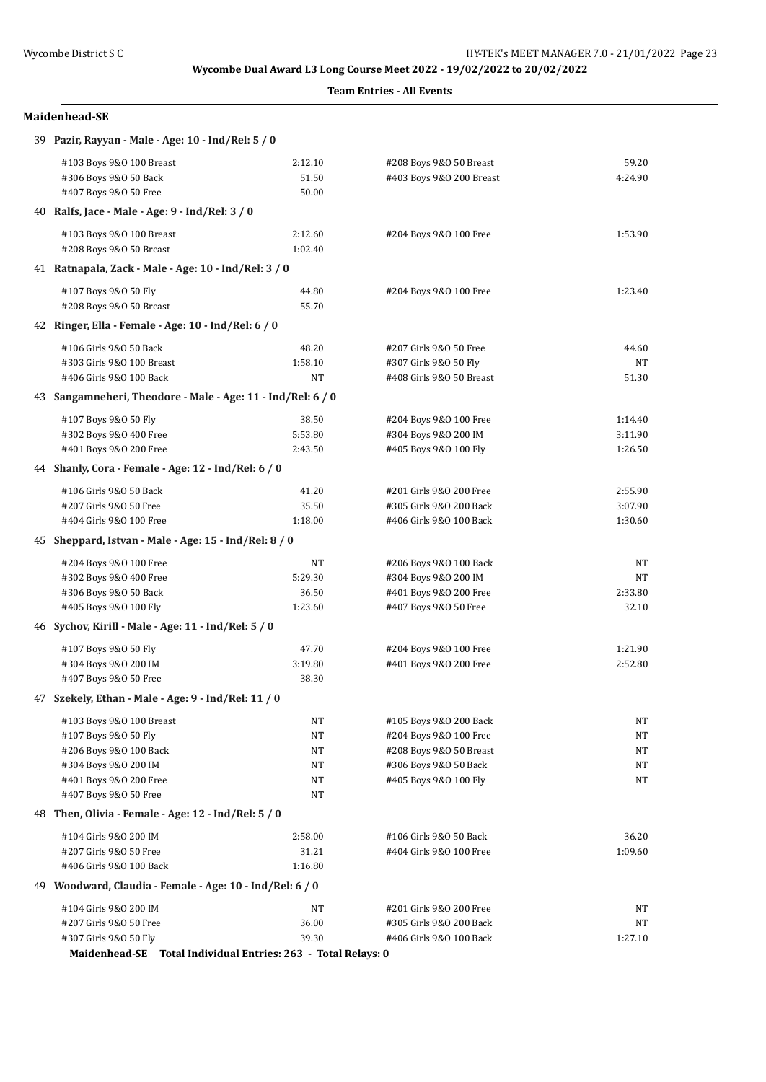### **Team Entries - All Events**

# **Maidenhead-SE**

| 39 Pazir, Rayyan - Male - Age: 10 - Ind/Rel: 5 / 0                                                                                                    |                                   |                                                                                                                               |                               |
|-------------------------------------------------------------------------------------------------------------------------------------------------------|-----------------------------------|-------------------------------------------------------------------------------------------------------------------------------|-------------------------------|
| #103 Boys 9&0 100 Breast<br>#306 Boys 9&0 50 Back<br>#407 Boys 9&0 50 Free                                                                            | 2:12.10<br>51.50<br>50.00         | #208 Boys 9&0 50 Breast<br>#403 Boys 9&0 200 Breast                                                                           | 59.20<br>4:24.90              |
| 40 Ralfs, Jace - Male - Age: 9 - Ind/Rel: 3 / 0                                                                                                       |                                   |                                                                                                                               |                               |
| #103 Boys 9&0 100 Breast<br>#208 Boys 9&0 50 Breast                                                                                                   | 2:12.60<br>1:02.40                | #204 Boys 9&0 100 Free                                                                                                        | 1:53.90                       |
| 41 Ratnapala, Zack - Male - Age: 10 - Ind/Rel: 3 / 0                                                                                                  |                                   |                                                                                                                               |                               |
| #107 Boys 9&0 50 Fly<br>#208 Boys 9&0 50 Breast                                                                                                       | 44.80<br>55.70                    | #204 Boys 9&0 100 Free                                                                                                        | 1:23.40                       |
| 42 Ringer, Ella - Female - Age: 10 - Ind/Rel: 6 / 0                                                                                                   |                                   |                                                                                                                               |                               |
| #106 Girls 9&0 50 Back<br>#303 Girls 9&0 100 Breast<br>#406 Girls 9&0 100 Back                                                                        | 48.20<br>1:58.10<br>NT            | #207 Girls 9&0 50 Free<br>#307 Girls 9&0 50 Fly<br>#408 Girls 9&0 50 Breast                                                   | 44.60<br>NT<br>51.30          |
| 43 Sangamneheri, Theodore - Male - Age: 11 - Ind/Rel: 6 / 0                                                                                           |                                   |                                                                                                                               |                               |
| #107 Boys 9&0 50 Fly<br>#302 Boys 9&0 400 Free<br>#401 Boys 9&0 200 Free                                                                              | 38.50<br>5:53.80<br>2:43.50       | #204 Boys 9&0 100 Free<br>#304 Boys 9&0 200 IM<br>#405 Boys 9&0 100 Fly                                                       | 1:14.40<br>3:11.90<br>1:26.50 |
| 44 Shanly, Cora - Female - Age: 12 - Ind/Rel: 6 / 0                                                                                                   |                                   |                                                                                                                               |                               |
| #106 Girls 9&0 50 Back<br>#207 Girls 9&0 50 Free<br>#404 Girls 9&0 100 Free                                                                           | 41.20<br>35.50<br>1:18.00         | #201 Girls 9&0 200 Free<br>#305 Girls 9&0 200 Back<br>#406 Girls 9&0 100 Back                                                 | 2:55.90<br>3:07.90<br>1:30.60 |
| 45 Sheppard, Istvan - Male - Age: 15 - Ind/Rel: 8 / 0                                                                                                 |                                   |                                                                                                                               |                               |
| #204 Boys 9&0 100 Free<br>#302 Boys 9&0 400 Free<br>#306 Boys 9&0 50 Back<br>#405 Boys 9&0 100 Fly                                                    | NT<br>5:29.30<br>36.50<br>1:23.60 | #206 Boys 9&0 100 Back<br>#304 Boys 9&0 200 IM<br>#401 Boys 9&0 200 Free<br>#407 Boys 9&0 50 Free                             | NT<br>NT<br>2:33.80<br>32.10  |
| 46 Sychov, Kirill - Male - Age: 11 - Ind/Rel: 5 / 0                                                                                                   |                                   |                                                                                                                               |                               |
| #107 Boys 9&0 50 Fly<br>#304 Boys 9&0 200 IM<br>#407 Boys 9&0 50 Free                                                                                 | 47.70<br>3:19.80<br>38.30         | #204 Boys 9&0 100 Free<br>#401 Boys 9&0 200 Free                                                                              | 1:21.90<br>2:52.80            |
| 47 Szekely, Ethan - Male - Age: 9 - Ind/Rel: 11 / 0                                                                                                   |                                   |                                                                                                                               |                               |
| #103 Boys 9&0 100 Breast<br>#107 Boys 9&0 50 Fly<br>#206 Boys 9&0 100 Back<br>#304 Boys 9&0 200 IM<br>#401 Boys 9&0 200 Free<br>#407 Boys 9&0 50 Free | NT<br>NT<br>NT<br>NT<br>NT<br>NT  | #105 Boys 9&0 200 Back<br>#204 Boys 9&0 100 Free<br>#208 Boys 9&0 50 Breast<br>#306 Boys 9&0 50 Back<br>#405 Boys 9&0 100 Fly | NT<br>NT<br>NT<br>NT<br>NT    |
| 48 Then, Olivia - Female - Age: 12 - Ind/Rel: 5 / 0                                                                                                   |                                   |                                                                                                                               |                               |
| #104 Girls 9&0 200 IM<br>#207 Girls 9&0 50 Free<br>#406 Girls 9&0 100 Back                                                                            | 2:58.00<br>31.21<br>1:16.80       | #106 Girls 9&0 50 Back<br>#404 Girls 9&0 100 Free                                                                             | 36.20<br>1:09.60              |
| 49 Woodward, Claudia - Female - Age: 10 - Ind/Rel: 6 / 0                                                                                              |                                   |                                                                                                                               |                               |
| #104 Girls 9&0 200 IM<br>#207 Girls 9&0 50 Free<br>#307 Girls 9&0 50 Fly                                                                              | NT<br>36.00<br>39.30              | #201 Girls 9&0 200 Free<br>#305 Girls 9&0 200 Back<br>#406 Girls 9&0 100 Back                                                 | NT<br>NT<br>1:27.10           |

**Maidenhead-SE Total Individual Entries: 263 - Total Relays: 0**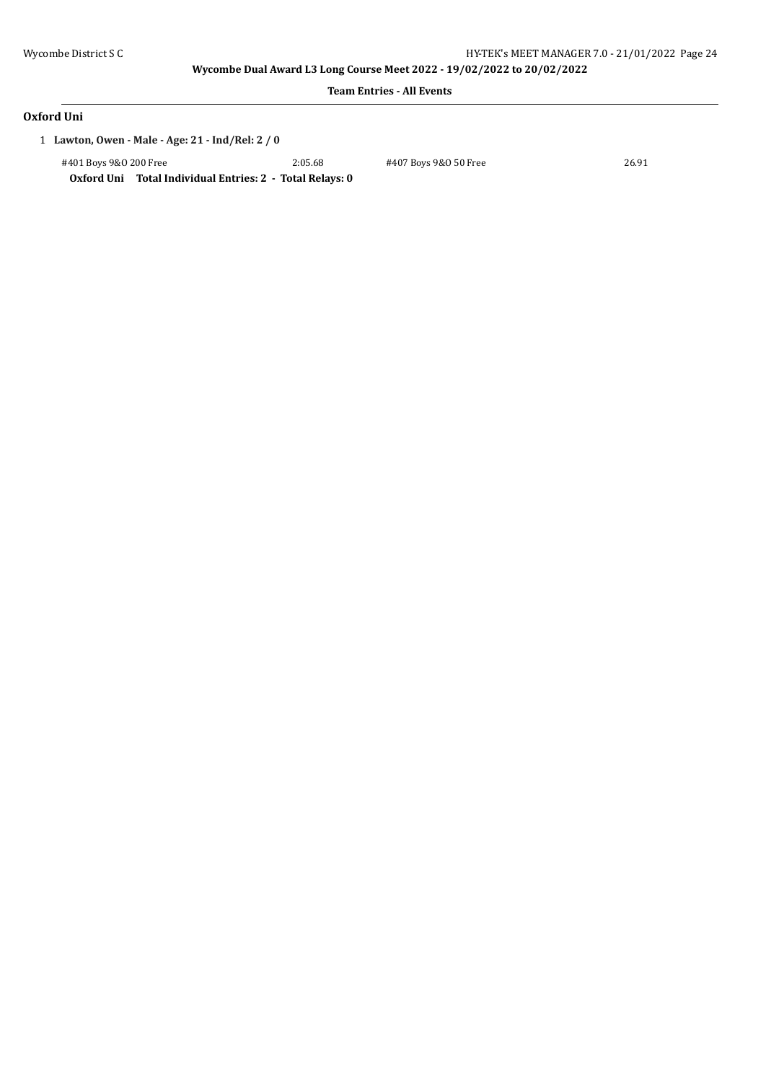## **Team Entries - All Events**

# **Oxford Uni**

1 **Lawton, Owen - Male - Age: 21 - Ind/Rel: 2 / 0**

#401 Boys 9&O 200 Free 2:05.68 #407 Boys 9&O 50 Free 26.91 **Oxford Uni Total Individual Entries: 2 - Total Relays: 0**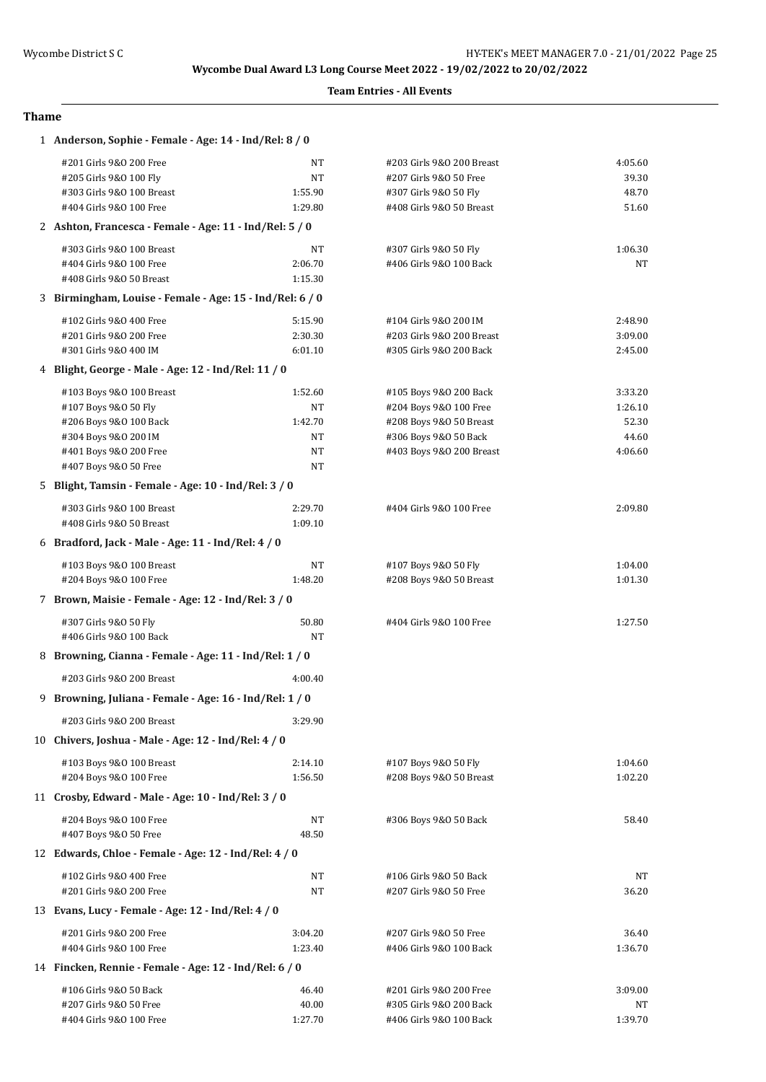## **Team Entries - All Events**

# **Thame**

| 1 Anderson, Sophie - Female - Age: 14 - Ind/Rel: 8 / 0   |                    |                           |         |
|----------------------------------------------------------|--------------------|---------------------------|---------|
| #201 Girls 9&0 200 Free                                  | NT                 | #203 Girls 9&0 200 Breast | 4:05.60 |
| #205 Girls 9&0 100 Fly                                   | NT                 | #207 Girls 9&0 50 Free    | 39.30   |
| #303 Girls 9&0 100 Breast                                | 1:55.90            | #307 Girls 9&0 50 Fly     | 48.70   |
| #404 Girls 9&0 100 Free                                  | 1:29.80            | #408 Girls 9&0 50 Breast  | 51.60   |
| 2 Ashton, Francesca - Female - Age: 11 - Ind/Rel: 5 / 0  |                    |                           |         |
| #303 Girls 9&0 100 Breast                                | NT                 | #307 Girls 9&0 50 Fly     | 1:06.30 |
| #404 Girls 9&0 100 Free                                  | 2:06.70            | #406 Girls 9&0 100 Back   | NT      |
| #408 Girls 9&0 50 Breast                                 | 1:15.30            |                           |         |
| 3 Birmingham, Louise - Female - Age: 15 - Ind/Rel: 6 / 0 |                    |                           |         |
| #102 Girls 9&0 400 Free                                  | 5:15.90            | #104 Girls 9&0 200 IM     | 2:48.90 |
| #201 Girls 9&0 200 Free                                  | 2:30.30            | #203 Girls 9&0 200 Breast | 3:09.00 |
| #301 Girls 9&0 400 IM                                    | 6:01.10            | #305 Girls 9&0 200 Back   | 2:45.00 |
| 4 Blight, George - Male - Age: 12 - Ind/Rel: 11 / 0      |                    |                           |         |
| #103 Boys 9&0 100 Breast                                 | 1:52.60            | #105 Boys 9&0 200 Back    | 3:33.20 |
| #107 Boys 9&0 50 Fly                                     | NT                 | #204 Boys 9&0 100 Free    | 1:26.10 |
| #206 Boys 9&0 100 Back                                   | 1:42.70            | #208 Boys 9&0 50 Breast   | 52.30   |
| #304 Boys 9&0 200 IM                                     | NT                 | #306 Boys 9&0 50 Back     | 44.60   |
| #401 Boys 9&0 200 Free<br>#407 Boys 9&0 50 Free          | NT<br>NT           | #403 Boys 9&0 200 Breast  | 4:06.60 |
| 5 Blight, Tamsin - Female - Age: 10 - Ind/Rel: 3 / 0     |                    |                           |         |
|                                                          |                    |                           |         |
| #303 Girls 9&0 100 Breast<br>#408 Girls 9&0 50 Breast    | 2:29.70<br>1:09.10 | #404 Girls 9&0 100 Free   | 2:09.80 |
| 6 Bradford, Jack - Male - Age: 11 - Ind/Rel: 4 / 0       |                    |                           |         |
|                                                          |                    |                           |         |
| #103 Boys 9&0 100 Breast                                 | NT                 | #107 Boys 9&0 50 Fly      | 1:04.00 |
| #204 Boys 9&0 100 Free                                   | 1:48.20            | #208 Boys 9&0 50 Breast   | 1:01.30 |
| 7 Brown, Maisie - Female - Age: 12 - Ind/Rel: 3 / 0      |                    |                           |         |
| #307 Girls 9&0 50 Fly                                    | 50.80              | #404 Girls 9&0 100 Free   | 1:27.50 |
| #406 Girls 9&0 100 Back                                  | NT                 |                           |         |
| 8 Browning, Cianna - Female - Age: 11 - Ind/Rel: 1 / 0   |                    |                           |         |
| #203 Girls 9&0 200 Breast                                | 4:00.40            |                           |         |
| 9 Browning, Juliana - Female - Age: 16 - Ind/Rel: 1 / 0  |                    |                           |         |
| #203 Girls 9&0 200 Breast                                | 3:29.90            |                           |         |
| 10 Chivers, Joshua - Male - Age: 12 - Ind/Rel: 4 / 0     |                    |                           |         |
| #103 Boys 9&0 100 Breast                                 | 2:14.10            | #107 Boys 9&0 50 Fly      | 1:04.60 |
| #204 Boys 9&0 100 Free                                   | 1:56.50            | #208 Boys 9&0 50 Breast   | 1:02.20 |
| 11 Crosby, Edward - Male - Age: 10 - Ind/Rel: 3 / 0      |                    |                           |         |
| #204 Boys 9&0 100 Free                                   | NT                 | #306 Boys 9&0 50 Back     | 58.40   |
| #407 Boys 9&0 50 Free                                    | 48.50              |                           |         |
| 12 Edwards, Chloe - Female - Age: 12 - Ind/Rel: 4 / 0    |                    |                           |         |
| #102 Girls 9&0 400 Free                                  | NT                 | #106 Girls 9&0 50 Back    | NT      |
| #201 Girls 9&0 200 Free                                  | NT                 | #207 Girls 9&0 50 Free    | 36.20   |
| 13 Evans, Lucy - Female - Age: 12 - Ind/Rel: 4 / 0       |                    |                           |         |
| #201 Girls 9&0 200 Free                                  | 3:04.20            | #207 Girls 9&0 50 Free    | 36.40   |
| #404 Girls 9&0 100 Free                                  | 1:23.40            | #406 Girls 9&0 100 Back   | 1:36.70 |
| 14 Fincken, Rennie - Female - Age: 12 - Ind/Rel: 6 / 0   |                    |                           |         |
| #106 Girls 9&0 50 Back                                   | 46.40              | #201 Girls 9&0 200 Free   | 3:09.00 |
| #207 Girls 9&0 50 Free                                   | 40.00              | #305 Girls 9&0 200 Back   | NΤ      |
| #404 Girls 9&0 100 Free                                  | 1:27.70            | #406 Girls 9&0 100 Back   | 1:39.70 |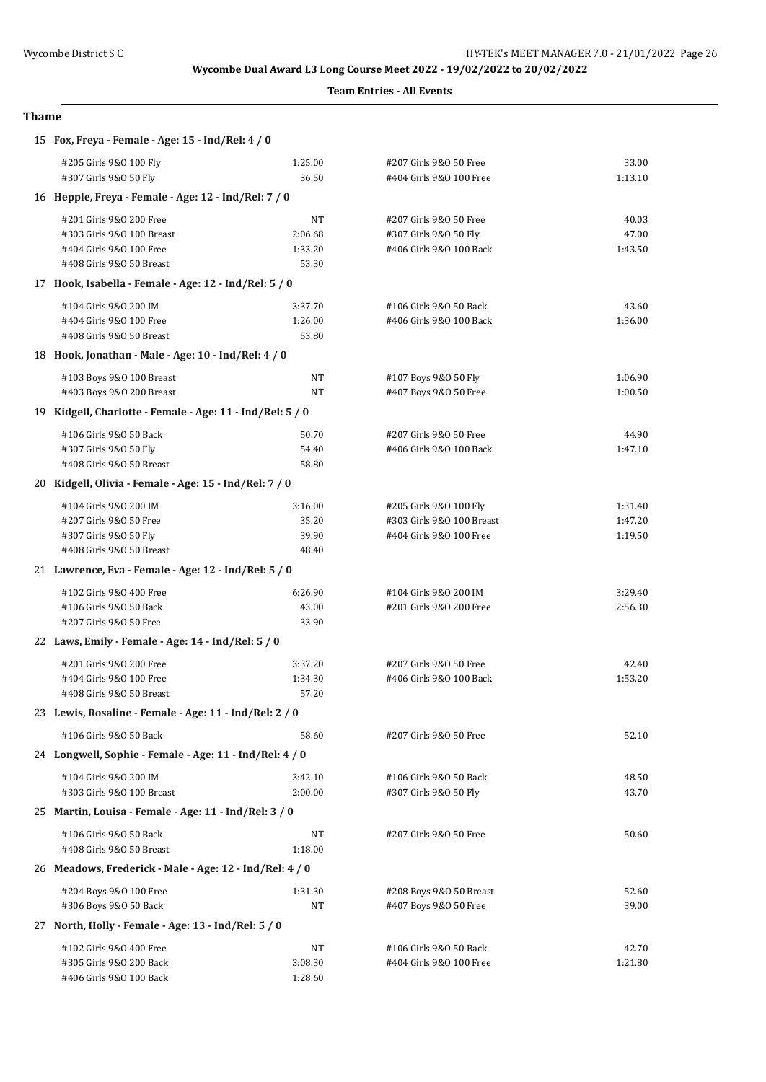## **Team Entries - All Events**

# **Thame**

| 15 Fox, Freya - Female - Age: 15 - Ind/Rel: 4 / 0         |         |                           |         |  |  |
|-----------------------------------------------------------|---------|---------------------------|---------|--|--|
| #205 Girls 9&0 100 Fly                                    | 1:25.00 | #207 Girls 9&0 50 Free    | 33.00   |  |  |
| #307 Girls 9&0 50 Fly                                     | 36.50   | #404 Girls 9&0 100 Free   | 1:13.10 |  |  |
| 16 Hepple, Freya - Female - Age: 12 - Ind/Rel: 7 / 0      |         |                           |         |  |  |
| #201 Girls 9&0 200 Free                                   | NT      | #207 Girls 9&0 50 Free    | 40.03   |  |  |
| #303 Girls 9&0 100 Breast                                 | 2:06.68 | #307 Girls 9&0 50 Fly     | 47.00   |  |  |
| #404 Girls 9&0 100 Free                                   | 1:33.20 | #406 Girls 9&0 100 Back   | 1:43.50 |  |  |
| #408 Girls 9&0 50 Breast                                  | 53.30   |                           |         |  |  |
| 17 Hook, Isabella - Female - Age: 12 - Ind/Rel: 5 / 0     |         |                           |         |  |  |
| #104 Girls 9&0 200 IM                                     | 3:37.70 | #106 Girls 9&0 50 Back    | 43.60   |  |  |
| #404 Girls 9&0 100 Free                                   | 1:26.00 | #406 Girls 9&0 100 Back   | 1:36.00 |  |  |
| #408 Girls 9&0 50 Breast                                  | 53.80   |                           |         |  |  |
| 18 Hook, Jonathan - Male - Age: 10 - Ind/Rel: 4 / 0       |         |                           |         |  |  |
| #103 Boys 9&0 100 Breast                                  | NT      | #107 Boys 9&0 50 Fly      | 1:06.90 |  |  |
| #403 Boys 9&0 200 Breast                                  | NT      | #407 Boys 9&0 50 Free     | 1:00.50 |  |  |
| 19 Kidgell, Charlotte - Female - Age: 11 - Ind/Rel: 5 / 0 |         |                           |         |  |  |
| #106 Girls 9&0 50 Back                                    | 50.70   | #207 Girls 9&0 50 Free    | 44.90   |  |  |
| #307 Girls 9&0 50 Fly                                     | 54.40   | #406 Girls 9&0 100 Back   | 1:47.10 |  |  |
| #408 Girls 9&0 50 Breast                                  | 58.80   |                           |         |  |  |
| 20 Kidgell, Olivia - Female - Age: 15 - Ind/Rel: 7 / 0    |         |                           |         |  |  |
| #104 Girls 9&0 200 IM                                     | 3:16.00 | #205 Girls 9&0 100 Fly    | 1:31.40 |  |  |
| #207 Girls 9&0 50 Free                                    | 35.20   | #303 Girls 9&0 100 Breast | 1:47.20 |  |  |
| #307 Girls 9&0 50 Fly                                     | 39.90   | #404 Girls 9&0 100 Free   | 1:19.50 |  |  |
| #408 Girls 9&0 50 Breast                                  | 48.40   |                           |         |  |  |
| 21 Lawrence, Eva - Female - Age: 12 - Ind/Rel: 5 / 0      |         |                           |         |  |  |
| #102 Girls 9&0 400 Free                                   | 6:26.90 | #104 Girls 9&0 200 IM     | 3:29.40 |  |  |
| #106 Girls 9&0 50 Back                                    | 43.00   | #201 Girls 9&0 200 Free   | 2:56.30 |  |  |
| #207 Girls 9&0 50 Free                                    | 33.90   |                           |         |  |  |
| 22 Laws, Emily - Female - Age: 14 - Ind/Rel: 5 / 0        |         |                           |         |  |  |
| #201 Girls 9&0 200 Free                                   | 3:37.20 | #207 Girls 9&0 50 Free    | 42.40   |  |  |
| #404 Girls 9&0 100 Free                                   | 1:34.30 | #406 Girls 9&0 100 Back   | 1:53.20 |  |  |
| #408 Girls 9&0 50 Breast                                  | 57.20   |                           |         |  |  |
| 23 Lewis, Rosaline - Female - Age: 11 - Ind/Rel: 2 / 0    |         |                           |         |  |  |
| #106 Girls 9&0 50 Back                                    | 58.60   | #207 Girls 9&0 50 Free    | 52.10   |  |  |
| 24 Longwell, Sophie - Female - Age: 11 - Ind/Rel: 4 / 0   |         |                           |         |  |  |
| #104 Girls 9&0 200 IM                                     | 3:42.10 | #106 Girls 9&0 50 Back    | 48.50   |  |  |
| #303 Girls 9&0 100 Breast                                 | 2:00.00 | #307 Girls 9&0 50 Fly     | 43.70   |  |  |
| 25 Martin, Louisa - Female - Age: 11 - Ind/Rel: 3 / 0     |         |                           |         |  |  |
| #106 Girls 9&0 50 Back                                    | NT      | #207 Girls 9&0 50 Free    | 50.60   |  |  |
| #408 Girls 9&0 50 Breast                                  | 1:18.00 |                           |         |  |  |
| 26 Meadows, Frederick - Male - Age: 12 - Ind/Rel: 4 / 0   |         |                           |         |  |  |
| #204 Boys 9&0 100 Free                                    | 1:31.30 | #208 Boys 9&0 50 Breast   | 52.60   |  |  |
| #306 Boys 9&0 50 Back                                     | NT      | #407 Boys 9&0 50 Free     | 39.00   |  |  |
| 27 North, Holly - Female - Age: 13 - Ind/Rel: 5 / 0       |         |                           |         |  |  |
| #102 Girls 9&0 400 Free                                   | NT      | #106 Girls 9&0 50 Back    | 42.70   |  |  |
| #305 Girls 9&0 200 Back                                   | 3:08.30 | #404 Girls 9&0 100 Free   | 1:21.80 |  |  |
| #406 Girls 9&0 100 Back                                   | 1:28.60 |                           |         |  |  |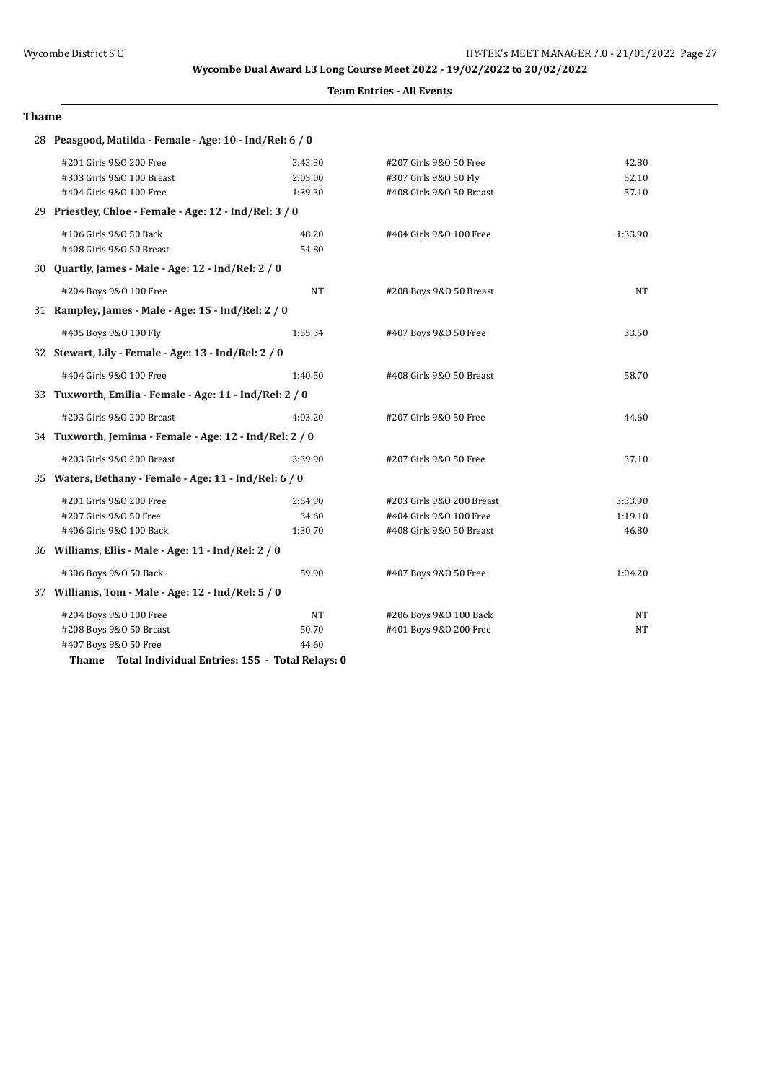## **Team Entries - All Events**

# **Thame**

| 28 Peasgood, Matilda - Female - Age: 10 - Ind/Rel: 6 / 0 |           |                           |         |  |
|----------------------------------------------------------|-----------|---------------------------|---------|--|
| #201 Girls 9&0 200 Free                                  | 3:43.30   | #207 Girls 9&0 50 Free    | 42.80   |  |
| #303 Girls 9&0 100 Breast                                | 2:05.00   | #307 Girls 9&0 50 Fly     | 52.10   |  |
| #404 Girls 9&0 100 Free                                  | 1:39.30   | #408 Girls 9&0 50 Breast  | 57.10   |  |
| 29 Priestley, Chloe - Female - Age: 12 - Ind/Rel: 3 / 0  |           |                           |         |  |
| #106 Girls 9&0 50 Back                                   | 48.20     | #404 Girls 9&0 100 Free   | 1:33.90 |  |
| #408 Girls 9&0 50 Breast                                 | 54.80     |                           |         |  |
| 30 Quartly, James - Male - Age: 12 - Ind/Rel: 2 / 0      |           |                           |         |  |
| #204 Boys 9&0 100 Free                                   | <b>NT</b> | #208 Boys 9&0 50 Breast   | NT      |  |
| 31 Rampley, James - Male - Age: 15 - Ind/Rel: 2 / 0      |           |                           |         |  |
| #405 Boys 9&0 100 Fly                                    | 1:55.34   | #407 Boys 9&0 50 Free     | 33.50   |  |
| 32 Stewart, Lily - Female - Age: 13 - Ind/Rel: 2 / 0     |           |                           |         |  |
| #404 Girls 9&0 100 Free                                  | 1:40.50   | #408 Girls 9&0 50 Breast  | 58.70   |  |
| 33 Tuxworth, Emilia - Female - Age: 11 - Ind/Rel: 2 / 0  |           |                           |         |  |
| #203 Girls 9&0 200 Breast                                | 4:03.20   | #207 Girls 9&0 50 Free    | 44.60   |  |
| 34 Tuxworth, Jemima - Female - Age: 12 - Ind/Rel: 2 / 0  |           |                           |         |  |
| #203 Girls 9&0 200 Breast                                | 3:39.90   | #207 Girls 9&0 50 Free    | 37.10   |  |
| 35 Waters, Bethany - Female - Age: 11 - Ind/Rel: 6 / 0   |           |                           |         |  |
| #201 Girls 9&0 200 Free                                  | 2:54.90   | #203 Girls 9&0 200 Breast | 3:33.90 |  |
| #207 Girls 9&0 50 Free                                   | 34.60     | #404 Girls 9&0 100 Free   | 1:19.10 |  |
| #406 Girls 9&0 100 Back                                  | 1:30.70   | #408 Girls 9&0 50 Breast  | 46.80   |  |
| 36 Williams, Ellis - Male - Age: 11 - Ind/Rel: 2 / 0     |           |                           |         |  |
| #306 Boys 9&0 50 Back                                    | 59.90     | #407 Boys 9&0 50 Free     | 1:04.20 |  |
| 37 Williams, Tom - Male - Age: 12 - Ind/Rel: 5 / 0       |           |                           |         |  |
| #204 Boys 9&0 100 Free                                   | <b>NT</b> | #206 Boys 9&0 100 Back    | NT      |  |
| #208 Boys 9&0 50 Breast                                  | 50.70     | #401 Boys 9&0 200 Free    | NT      |  |
| #407 Boys 9&0 50 Free                                    | 44.60     |                           |         |  |

**Thame Total Individual Entries: 155 - Total Relays: 0**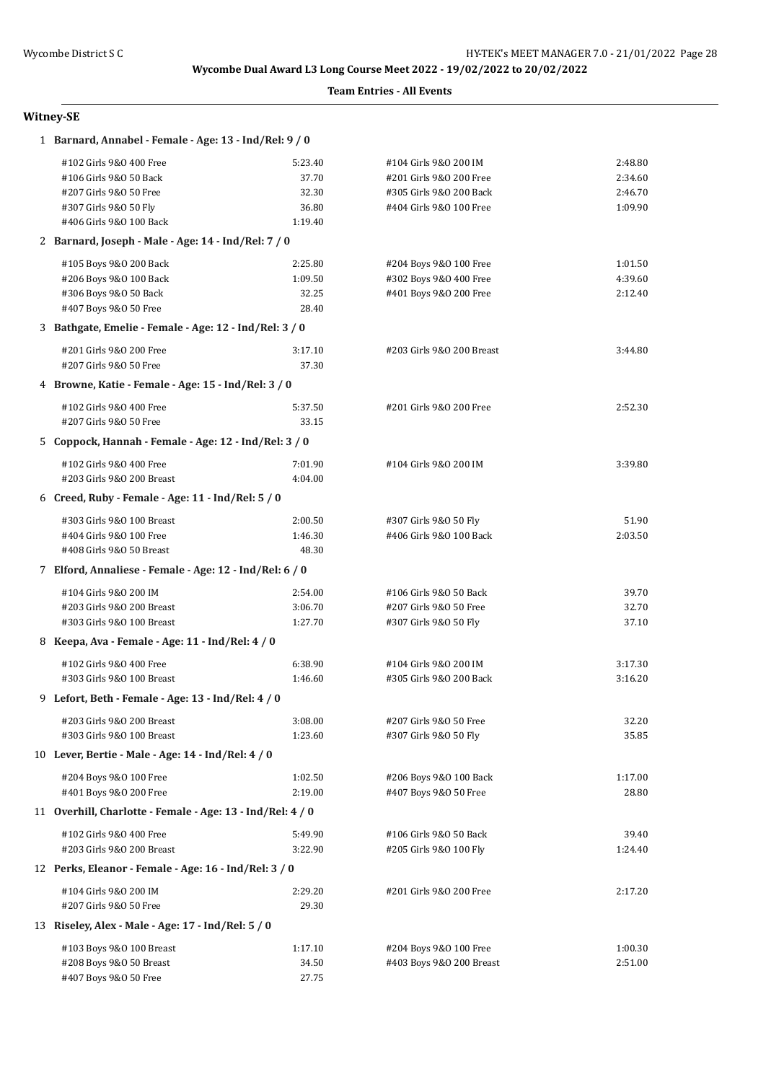## **Team Entries - All Events**

# **Witney-SE**

| 1 Barnard, Annabel - Female - Age: 13 - Ind/Rel: 9 / 0     |                    |                           |         |  |
|------------------------------------------------------------|--------------------|---------------------------|---------|--|
| #102 Girls 9&0 400 Free                                    | 5:23.40            | #104 Girls 9&0 200 IM     | 2:48.80 |  |
| #106 Girls 9&0 50 Back                                     | 37.70              | #201 Girls 9&0 200 Free   | 2:34.60 |  |
| #207 Girls 9&0 50 Free                                     | 32.30              | #305 Girls 9&0 200 Back   | 2:46.70 |  |
| #307 Girls 9&0 50 Fly                                      | 36.80              | #404 Girls 9&0 100 Free   | 1:09.90 |  |
| #406 Girls 9&0 100 Back                                    | 1:19.40            |                           |         |  |
| 2 Barnard, Joseph - Male - Age: 14 - Ind/Rel: 7 / 0        |                    |                           |         |  |
| #105 Boys 9&0 200 Back                                     | 2:25.80            | #204 Boys 9&0 100 Free    | 1:01.50 |  |
| #206 Boys 9&0 100 Back                                     | 1:09.50            | #302 Boys 9&0 400 Free    | 4:39.60 |  |
| #306 Boys 9&0 50 Back                                      | 32.25              | #401 Boys 9&0 200 Free    | 2:12.40 |  |
| #407 Boys 9&0 50 Free                                      | 28.40              |                           |         |  |
| 3 Bathgate, Emelie - Female - Age: 12 - Ind/Rel: 3 / 0     |                    |                           |         |  |
| #201 Girls 9&0 200 Free                                    | 3:17.10            | #203 Girls 9&0 200 Breast | 3:44.80 |  |
| #207 Girls 9&0 50 Free                                     | 37.30              |                           |         |  |
| 4 Browne, Katie - Female - Age: 15 - Ind/Rel: 3 / 0        |                    |                           |         |  |
| #102 Girls 9&0 400 Free                                    | 5:37.50            | #201 Girls 9&0 200 Free   | 2:52.30 |  |
| #207 Girls 9&0 50 Free                                     | 33.15              |                           |         |  |
| 5 Coppock, Hannah - Female - Age: 12 - Ind/Rel: 3 / 0      |                    |                           |         |  |
|                                                            |                    |                           |         |  |
| #102 Girls 9&0 400 Free<br>#203 Girls 9&0 200 Breast       | 7:01.90<br>4:04.00 | #104 Girls 9&0 200 IM     | 3:39.80 |  |
| 6 Creed, Ruby - Female - Age: 11 - Ind/Rel: 5 / 0          |                    |                           |         |  |
|                                                            |                    |                           |         |  |
| #303 Girls 9&0 100 Breast                                  | 2:00.50            | #307 Girls 9&0 50 Fly     | 51.90   |  |
| #404 Girls 9&0 100 Free                                    | 1:46.30            | #406 Girls 9&0 100 Back   | 2:03.50 |  |
| #408 Girls 9&0 50 Breast                                   | 48.30              |                           |         |  |
| 7 Elford, Annaliese - Female - Age: 12 - Ind/Rel: 6 / 0    |                    |                           |         |  |
| #104 Girls 9&0 200 IM                                      | 2:54.00            | #106 Girls 9&0 50 Back    | 39.70   |  |
| #203 Girls 9&0 200 Breast                                  | 3:06.70            | #207 Girls 9&0 50 Free    | 32.70   |  |
| #303 Girls 9&0 100 Breast                                  | 1:27.70            | #307 Girls 9&0 50 Fly     | 37.10   |  |
| 8 Keepa, Ava - Female - Age: 11 - Ind/Rel: 4 / 0           |                    |                           |         |  |
| #102 Girls 9&0 400 Free                                    | 6:38.90            | #104 Girls 9&0 200 IM     | 3:17.30 |  |
| #303 Girls 9&0 100 Breast                                  | 1:46.60            | #305 Girls 9&0 200 Back   | 3:16.20 |  |
| 9 Lefort, Beth - Female - Age: 13 - Ind/Rel: 4 / 0         |                    |                           |         |  |
| #203 Girls 9&0 200 Breast                                  | 3:08.00            | #207 Girls 9&0 50 Free    | 32.20   |  |
| #303 Girls 9&0 100 Breast                                  | 1:23.60            | #307 Girls 9&0 50 Fly     | 35.85   |  |
| 10 Lever, Bertie - Male - Age: 14 - Ind/Rel: 4 / 0         |                    |                           |         |  |
| #204 Boys 9&0 100 Free                                     | 1:02.50            | #206 Boys 9&0 100 Back    | 1:17.00 |  |
| #401 Boys 9&0 200 Free                                     | 2:19.00            | #407 Boys 9&0 50 Free     | 28.80   |  |
| 11 Overhill, Charlotte - Female - Age: 13 - Ind/Rel: 4 / 0 |                    |                           |         |  |
|                                                            |                    |                           |         |  |
| #102 Girls 9&0 400 Free                                    | 5:49.90            | #106 Girls 9&0 50 Back    | 39.40   |  |
| #203 Girls 9&0 200 Breast                                  | 3:22.90            | #205 Girls 9&0 100 Fly    | 1:24.40 |  |
| 12 Perks, Eleanor - Female - Age: 16 - Ind/Rel: 3 / 0      |                    |                           |         |  |
| #104 Girls 9&0 200 IM                                      | 2:29.20            | #201 Girls 9&0 200 Free   | 2:17.20 |  |
| #207 Girls 9&0 50 Free                                     | 29.30              |                           |         |  |
| 13 Riseley, Alex - Male - Age: 17 - Ind/Rel: 5 / 0         |                    |                           |         |  |
| #103 Boys 9&0 100 Breast                                   | 1:17.10            | #204 Boys 9&0 100 Free    | 1:00.30 |  |
| #208 Boys 9&0 50 Breast                                    | 34.50              | #403 Boys 9&0 200 Breast  | 2:51.00 |  |
| #407 Boys 9&0 50 Free                                      | 27.75              |                           |         |  |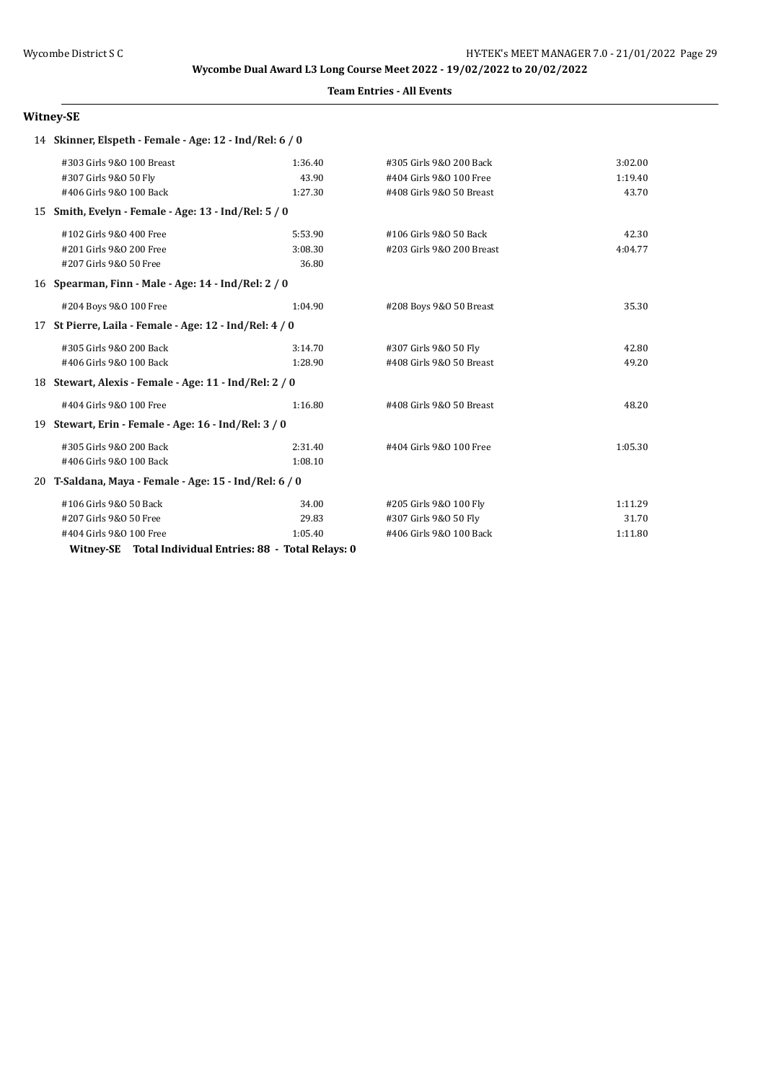## **Team Entries - All Events**

# **Witney-SE**

|    | 14 Skinner, Elspeth - Female - Age: 12 - Ind/Rel: 6 / 0  |         |                           |         |
|----|----------------------------------------------------------|---------|---------------------------|---------|
|    | #303 Girls 9&0 100 Breast                                | 1:36.40 | #305 Girls 9&0 200 Back   | 3:02.00 |
|    | #307 Girls 9&0 50 Fly                                    | 43.90   | #404 Girls 9&0 100 Free   | 1:19.40 |
|    | #406 Girls 9&0 100 Back                                  | 1:27.30 | #408 Girls 9&0 50 Breast  | 43.70   |
| 15 | Smith, Evelyn - Female - Age: 13 - Ind/Rel: 5 / 0        |         |                           |         |
|    | #102 Girls 9&0 400 Free                                  | 5:53.90 | #106 Girls 9&0 50 Back    | 42.30   |
|    | #201 Girls 9&0 200 Free                                  | 3:08.30 | #203 Girls 9&0 200 Breast | 4:04.77 |
|    | #207 Girls 9&0 50 Free                                   | 36.80   |                           |         |
|    | 16 Spearman, Finn - Male - Age: 14 - Ind/Rel: 2 / 0      |         |                           |         |
|    | #204 Boys 9&0 100 Free                                   | 1:04.90 | #208 Boys 9&0 50 Breast   | 35.30   |
|    | 17 St Pierre, Laila - Female - Age: 12 - Ind/Rel: 4 / 0  |         |                           |         |
|    | #305 Girls 9&0 200 Back                                  | 3:14.70 | #307 Girls 9&0 50 Fly     | 42.80   |
|    | #406 Girls 9&0 100 Back                                  | 1:28.90 | #408 Girls 9&0 50 Breast  | 49.20   |
|    | 18 Stewart, Alexis - Female - Age: 11 - Ind/Rel: 2 / 0   |         |                           |         |
|    | #404 Girls 9&0 100 Free                                  | 1:16.80 | #408 Girls 9&0 50 Breast  | 48.20   |
|    | 19 Stewart, Erin - Female - Age: 16 - Ind/Rel: 3 / 0     |         |                           |         |
|    | #305 Girls 9&0 200 Back                                  | 2:31.40 | #404 Girls 9&0 100 Free   | 1:05.30 |
|    | #406 Girls 9&0 100 Back                                  | 1:08.10 |                           |         |
|    | 20 T-Saldana, Maya - Female - Age: 15 - Ind/Rel: 6 / 0   |         |                           |         |
|    | #106 Girls 9&0 50 Back                                   | 34.00   | #205 Girls 9&0 100 Fly    | 1:11.29 |
|    | #207 Girls 9&0 50 Free                                   | 29.83   | #307 Girls 9&0 50 Fly     | 31.70   |
|    | #404 Girls 9&0 100 Free                                  | 1:05.40 | #406 Girls 9&0 100 Back   | 1:11.80 |
|    | Witney-SE Total Individual Entries: 88 - Total Relays: 0 |         |                           |         |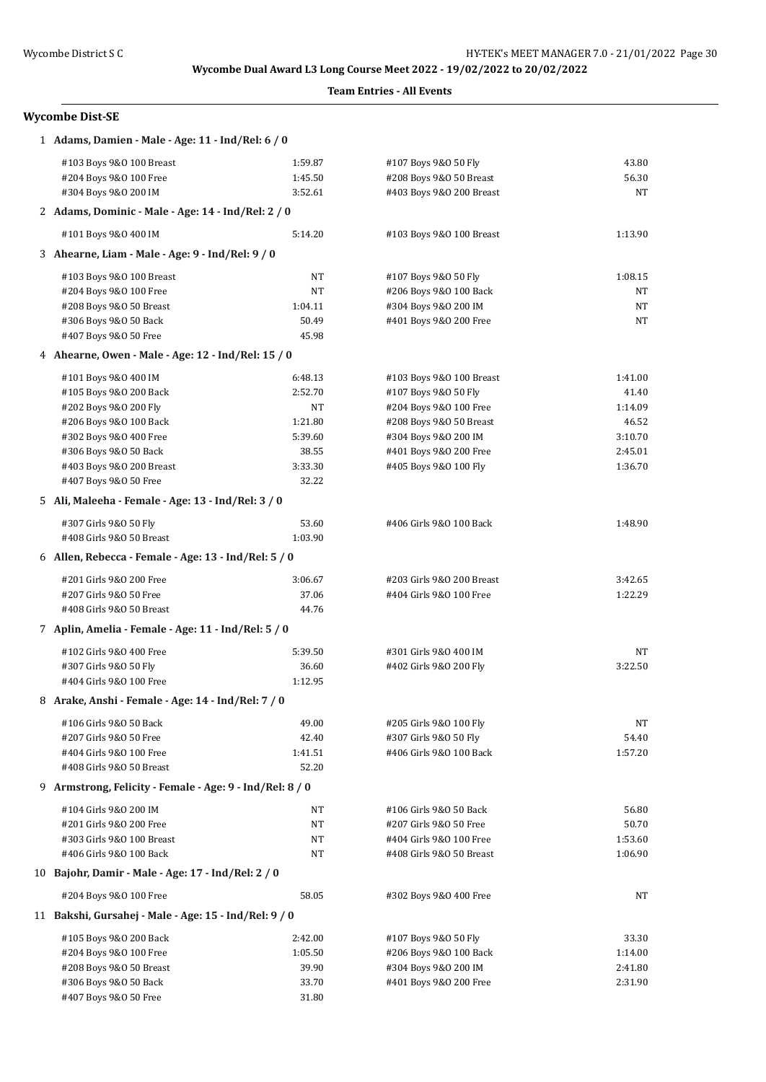## **Team Entries - All Events**

| 1 Adams, Damien - Male - Age: 11 - Ind/Rel: 6 / 0        |                  |                                                  |                |
|----------------------------------------------------------|------------------|--------------------------------------------------|----------------|
| #103 Boys 9&0 100 Breast                                 | 1:59.87          | #107 Boys 9&0 50 Fly                             | 43.80          |
| #204 Boys 9&0 100 Free                                   | 1:45.50          | #208 Boys 9&0 50 Breast                          | 56.30          |
| #304 Boys 9&0 200 IM                                     | 3:52.61          | #403 Boys 9&0 200 Breast                         | NT             |
| 2 Adams, Dominic - Male - Age: 14 - Ind/Rel: 2 / 0       |                  |                                                  |                |
| #101 Boys 9&0 400 IM                                     | 5:14.20          | #103 Boys 9&0 100 Breast                         | 1:13.90        |
| 3 Ahearne, Liam - Male - Age: 9 - Ind/Rel: 9 / 0         |                  |                                                  |                |
|                                                          |                  |                                                  |                |
| #103 Boys 9&0 100 Breast                                 | NT               | #107 Boys 9&0 50 Fly                             | 1:08.15        |
| #204 Boys 9&0 100 Free                                   | NT<br>1:04.11    | #206 Boys 9&0 100 Back                           | NT             |
| #208 Boys 9&0 50 Breast<br>#306 Boys 9&0 50 Back         | 50.49            | #304 Boys 9&0 200 IM<br>#401 Boys 9&0 200 Free   | NT<br>NT       |
| #407 Boys 9&0 50 Free                                    | 45.98            |                                                  |                |
| 4 Ahearne, Owen - Male - Age: 12 - Ind/Rel: 15 / 0       |                  |                                                  |                |
|                                                          |                  |                                                  |                |
| #101 Boys 9&0 400 IM                                     | 6:48.13          | #103 Boys 9&0 100 Breast                         | 1:41.00        |
| #105 Boys 9&0 200 Back                                   | 2:52.70          | #107 Boys 9&0 50 Fly                             | 41.40          |
| #202 Boys 9&0 200 Fly                                    | NT               | #204 Boys 9&0 100 Free                           | 1:14.09        |
| #206 Boys 9&0 100 Back                                   | 1:21.80          | #208 Boys 9&0 50 Breast                          | 46.52          |
| #302 Boys 9&0 400 Free                                   | 5:39.60          | #304 Boys 9&0 200 IM                             | 3:10.70        |
| #306 Boys 9&0 50 Back                                    | 38.55            | #401 Boys 9&0 200 Free                           | 2:45.01        |
| #403 Boys 9&0 200 Breast<br>#407 Boys 9&0 50 Free        | 3:33.30<br>32.22 | #405 Boys 9&0 100 Fly                            | 1:36.70        |
| 5 Ali, Maleeha - Female - Age: 13 - Ind/Rel: 3 / 0       |                  |                                                  |                |
|                                                          |                  |                                                  |                |
| #307 Girls 9&0 50 Fly                                    | 53.60            | #406 Girls 9&0 100 Back                          | 1:48.90        |
| #408 Girls 9&0 50 Breast                                 | 1:03.90          |                                                  |                |
| 6 Allen, Rebecca - Female - Age: $13$ - Ind/Rel: $5/0$   |                  |                                                  |                |
| #201 Girls 9&0 200 Free                                  | 3:06.67          | #203 Girls 9&0 200 Breast                        | 3:42.65        |
| #207 Girls 9&0 50 Free                                   | 37.06            | #404 Girls 9&0 100 Free                          | 1:22.29        |
| #408 Girls 9&0 50 Breast                                 | 44.76            |                                                  |                |
| 7 Aplin, Amelia - Female - Age: 11 - Ind/Rel: 5 / 0      |                  |                                                  |                |
| #102 Girls 9&0 400 Free                                  | 5:39.50          | #301 Girls 9&0 400 IM                            | NΤ             |
| #307 Girls 9&0 50 Fly                                    | 36.60            | #402 Girls 9&0 200 Fly                           | 3:22.50        |
| #404 Girls 9&0 100 Free                                  | 1:12.95          |                                                  |                |
| 8 Arake, Anshi - Female - Age: 14 - Ind/Rel: 7 / 0       |                  |                                                  |                |
| #106 Girls 9&0 50 Back                                   | 49.00            | #205 Girls 9&0 100 Fly                           | NT             |
| #207 Girls 9&0 50 Free                                   | 42.40            | #307 Girls 9&0 50 Fly                            | 54.40          |
| #404 Girls 9&0 100 Free                                  | 1:41.51          | #406 Girls 9&0 100 Back                          | 1:57.20        |
| #408 Girls 9&0 50 Breast                                 | 52.20            |                                                  |                |
| 9 Armstrong, Felicity - Female - Age: 9 - Ind/Rel: 8 / 0 |                  |                                                  |                |
|                                                          |                  |                                                  |                |
| #104 Girls 9&0 200 IM<br>#201 Girls 9&0 200 Free         | NT<br>NT         | #106 Girls 9&0 50 Back<br>#207 Girls 9&0 50 Free | 56.80<br>50.70 |
| #303 Girls 9&0 100 Breast                                | NT               | #404 Girls 9&0 100 Free                          | 1:53.60        |
| #406 Girls 9&0 100 Back                                  | NT               | #408 Girls 9&0 50 Breast                         | 1:06.90        |
| 10 Bajohr, Damir - Male - Age: 17 - Ind/Rel: 2 / 0       |                  |                                                  |                |
|                                                          |                  |                                                  |                |
| #204 Boys 9&0 100 Free                                   | 58.05            | #302 Boys 9&0 400 Free                           | NT             |
| 11 Bakshi, Gursahej - Male - Age: 15 - Ind/Rel: 9 / 0    |                  |                                                  |                |
| #105 Boys 9&0 200 Back                                   | 2:42.00          | #107 Boys 9&0 50 Fly                             | 33.30          |
| #204 Boys 9&0 100 Free                                   | 1:05.50          | #206 Boys 9&0 100 Back                           | 1:14.00        |
| #208 Boys 9&0 50 Breast                                  | 39.90            | #304 Boys 9&0 200 IM                             | 2:41.80        |
| #306 Boys 9&0 50 Back                                    | 33.70            | #401 Boys 9&0 200 Free                           | 2:31.90        |
| #407 Boys 9&0 50 Free                                    | 31.80            |                                                  |                |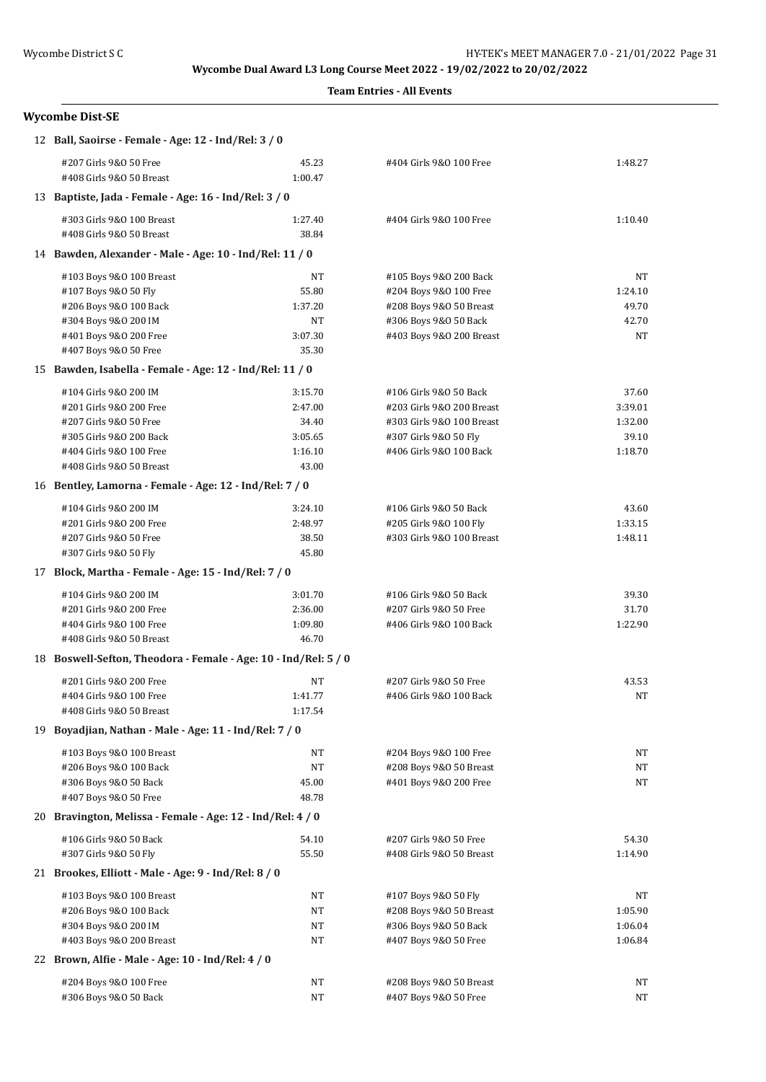**Team Entries - All Events**

| 12 Ball, Saoirse - Female - Age: 12 - Ind/Rel: 3 / 0            |                  |                           |         |  |
|-----------------------------------------------------------------|------------------|---------------------------|---------|--|
| #207 Girls 9&0 50 Free<br>#408 Girls 9&0 50 Breast              | 45.23<br>1:00.47 | #404 Girls 9&0 100 Free   | 1:48.27 |  |
| 13 Baptiste, Jada - Female - Age: 16 - Ind/Rel: 3 / 0           |                  |                           |         |  |
| #303 Girls 9&0 100 Breast<br>#408 Girls 9&0 50 Breast           | 1:27.40<br>38.84 | #404 Girls 9&0 100 Free   | 1:10.40 |  |
| 14 Bawden, Alexander - Male - Age: 10 - Ind/Rel: 11 / 0         |                  |                           |         |  |
| #103 Boys 9&0 100 Breast                                        | NT               | #105 Boys 9&0 200 Back    | NT      |  |
| #107 Boys 9&0 50 Fly                                            | 55.80            | #204 Boys 9&0 100 Free    | 1:24.10 |  |
| #206 Boys 9&0 100 Back                                          | 1:37.20          | #208 Boys 9&0 50 Breast   | 49.70   |  |
| #304 Boys 9&0 200 IM                                            | NT               | #306 Boys 9&0 50 Back     | 42.70   |  |
| #401 Boys 9&0 200 Free                                          | 3:07.30          | #403 Boys 9&0 200 Breast  | NT      |  |
| #407 Boys 9&0 50 Free                                           | 35.30            |                           |         |  |
| 15 Bawden, Isabella - Female - Age: 12 - Ind/Rel: 11 / 0        |                  |                           |         |  |
| #104 Girls 9&0 200 IM                                           | 3:15.70          | #106 Girls 9&0 50 Back    | 37.60   |  |
| #201 Girls 9&0 200 Free                                         | 2:47.00          | #203 Girls 9&0 200 Breast | 3:39.01 |  |
| #207 Girls 9&0 50 Free                                          | 34.40            | #303 Girls 9&0 100 Breast | 1:32.00 |  |
| #305 Girls 9&0 200 Back                                         | 3:05.65          | #307 Girls 9&0 50 Fly     | 39.10   |  |
| #404 Girls 9&0 100 Free                                         | 1:16.10          | #406 Girls 9&0 100 Back   | 1:18.70 |  |
| #408 Girls 9&0 50 Breast                                        | 43.00            |                           |         |  |
| 16 Bentley, Lamorna - Female - Age: 12 - Ind/Rel: 7 / 0         |                  |                           |         |  |
| #104 Girls 9&0 200 IM                                           | 3:24.10          | #106 Girls 9&0 50 Back    | 43.60   |  |
| #201 Girls 9&0 200 Free                                         | 2:48.97          | #205 Girls 9&0 100 Fly    | 1:33.15 |  |
| #207 Girls 9&0 50 Free                                          | 38.50            | #303 Girls 9&0 100 Breast | 1:48.11 |  |
| #307 Girls 9&0 50 Fly                                           | 45.80            |                           |         |  |
| 17 Block, Martha - Female - Age: 15 - Ind/Rel: 7 / 0            |                  |                           |         |  |
| #104 Girls 9&0 200 IM                                           | 3:01.70          | #106 Girls 9&0 50 Back    | 39.30   |  |
| #201 Girls 9&0 200 Free                                         | 2:36.00          | #207 Girls 9&0 50 Free    | 31.70   |  |
| #404 Girls 9&0 100 Free                                         | 1:09.80          | #406 Girls 9&0 100 Back   | 1:22.90 |  |
| #408 Girls 9&0 50 Breast                                        | 46.70            |                           |         |  |
| 18 Boswell-Sefton, Theodora - Female - Age: 10 - Ind/Rel: 5 / 0 |                  |                           |         |  |
| #201 Girls 9&0 200 Free                                         | NT               | #207 Girls 9&0 50 Free    | 43.53   |  |
| #404 Girls 9&0 100 Free                                         | 1:41.77          | #406 Girls 9&0 100 Back   | NT      |  |
| #408 Girls 9&0 50 Breast                                        | 1:17.54          |                           |         |  |
| 19 Boyadjian, Nathan - Male - Age: 11 - Ind/Rel: 7 / 0          |                  |                           |         |  |
| #103 Boys 9&0 100 Breast                                        | NT               | #204 Boys 9&0 100 Free    | NT      |  |
| #206 Boys 9&0 100 Back                                          | NT               | #208 Boys 9&0 50 Breast   | NT      |  |
| #306 Boys 9&0 50 Back                                           | 45.00            | #401 Boys 9&0 200 Free    | NT      |  |
| #407 Boys 9&0 50 Free                                           | 48.78            |                           |         |  |
| 20 Bravington, Melissa - Female - Age: 12 - Ind/Rel: 4 / 0      |                  |                           |         |  |
| #106 Girls 9&0 50 Back                                          | 54.10            | #207 Girls 9&0 50 Free    | 54.30   |  |
| #307 Girls 9&0 50 Fly                                           | 55.50            | #408 Girls 9&0 50 Breast  | 1:14.90 |  |
| 21 Brookes, Elliott - Male - Age: 9 - Ind/Rel: 8 / 0            |                  |                           |         |  |
| #103 Boys 9&0 100 Breast                                        | NT               | #107 Boys 9&0 50 Fly      | NT      |  |
| #206 Boys 9&0 100 Back                                          | NT               | #208 Boys 9&0 50 Breast   | 1:05.90 |  |
| #304 Boys 9&0 200 IM                                            | NT               | #306 Boys 9&0 50 Back     | 1:06.04 |  |
| #403 Boys 9&0 200 Breast                                        | NT               | #407 Boys 9&0 50 Free     | 1:06.84 |  |
| 22 Brown, Alfie - Male - Age: 10 - Ind/Rel: 4 / 0               |                  |                           |         |  |
|                                                                 |                  |                           |         |  |
| #204 Boys 9&0 100 Free                                          | NT               | #208 Boys 9&0 50 Breast   | NT      |  |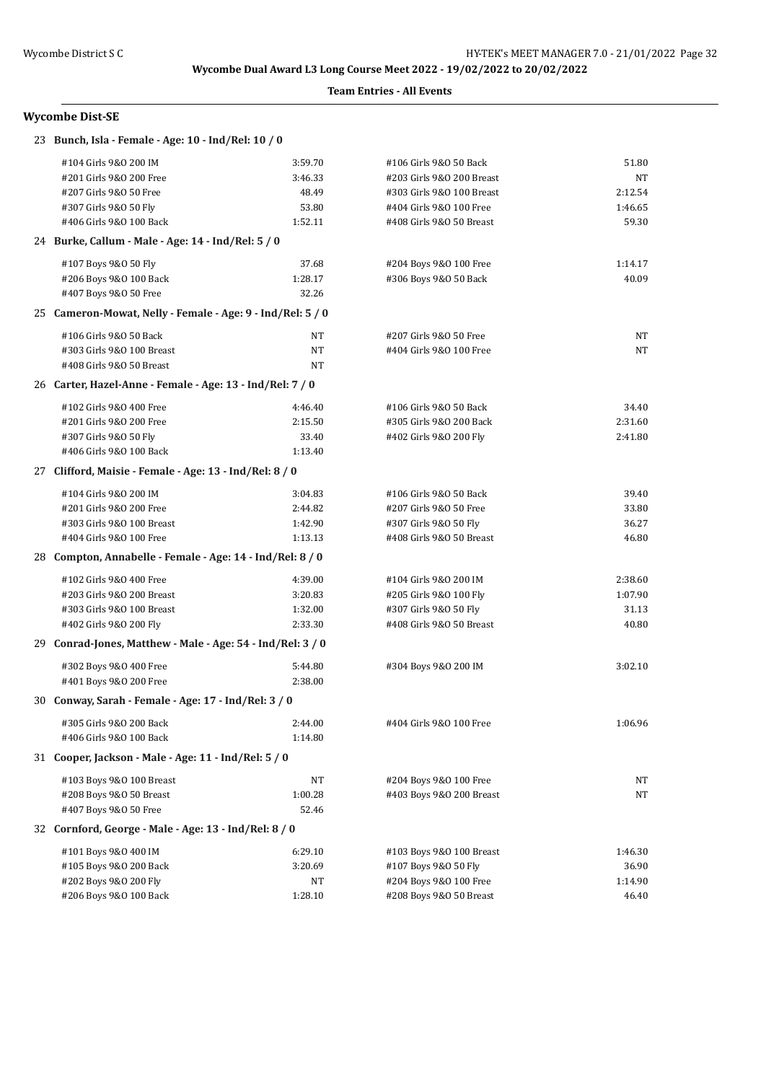## **Team Entries - All Events**

| 23 Bunch, Isla - Female - Age: 10 - Ind/Rel: 10 / 0        |         |                                                    |         |  |  |
|------------------------------------------------------------|---------|----------------------------------------------------|---------|--|--|
| #104 Girls 9&0 200 IM                                      | 3:59.70 | #106 Girls 9&0 50 Back                             | 51.80   |  |  |
| #201 Girls 9&0 200 Free                                    | 3:46.33 | #203 Girls 9&0 200 Breast                          | NT      |  |  |
| #207 Girls 9&0 50 Free                                     | 48.49   | #303 Girls 9&0 100 Breast                          | 2:12.54 |  |  |
| #307 Girls 9&0 50 Fly                                      | 53.80   | #404 Girls 9&0 100 Free                            | 1:46.65 |  |  |
| #406 Girls 9&0 100 Back                                    | 1:52.11 | #408 Girls 9&0 50 Breast                           | 59.30   |  |  |
| 24 Burke, Callum - Male - Age: 14 - Ind/Rel: 5 / 0         |         |                                                    |         |  |  |
| #107 Boys 9&0 50 Fly                                       | 37.68   | #204 Boys 9&0 100 Free                             | 1:14.17 |  |  |
| #206 Boys 9&0 100 Back                                     | 1:28.17 | #306 Boys 9&0 50 Back                              | 40.09   |  |  |
| #407 Boys 9&0 50 Free                                      | 32.26   |                                                    |         |  |  |
| 25 Cameron-Mowat, Nelly - Female - Age: 9 - Ind/Rel: 5 / 0 |         |                                                    |         |  |  |
| #106 Girls 9&0 50 Back                                     | NT      | #207 Girls 9&0 50 Free                             | NT      |  |  |
| #303 Girls 9&0 100 Breast                                  | NT      | #404 Girls 9&0 100 Free                            | NT      |  |  |
| #408 Girls 9&0 50 Breast                                   | NT      |                                                    |         |  |  |
| 26 Carter, Hazel-Anne - Female - Age: 13 - Ind/Rel: 7 / 0  |         |                                                    |         |  |  |
| #102 Girls 9&0 400 Free                                    | 4:46.40 | #106 Girls 9&0 50 Back                             | 34.40   |  |  |
| #201 Girls 9&0 200 Free                                    | 2:15.50 | #305 Girls 9&0 200 Back                            | 2:31.60 |  |  |
| #307 Girls 9&0 50 Fly                                      | 33.40   | #402 Girls 9&0 200 Fly                             | 2:41.80 |  |  |
| #406 Girls 9&0 100 Back                                    | 1:13.40 |                                                    |         |  |  |
| 27 Clifford, Maisie - Female - Age: 13 - Ind/Rel: 8 / 0    |         |                                                    |         |  |  |
| #104 Girls 9&0 200 IM                                      | 3:04.83 | #106 Girls 9&0 50 Back                             | 39.40   |  |  |
| #201 Girls 9&0 200 Free                                    | 2:44.82 | #207 Girls 9&0 50 Free                             | 33.80   |  |  |
| #303 Girls 9&0 100 Breast                                  | 1:42.90 | #307 Girls 9&0 50 Fly                              | 36.27   |  |  |
| #404 Girls 9&0 100 Free                                    | 1:13.13 | #408 Girls 9&0 50 Breast                           | 46.80   |  |  |
| 28 Compton, Annabelle - Female - Age: 14 - Ind/Rel: 8 / 0  |         |                                                    |         |  |  |
| #102 Girls 9&0 400 Free                                    | 4:39.00 | #104 Girls 9&0 200 IM                              | 2:38.60 |  |  |
| #203 Girls 9&0 200 Breast                                  | 3:20.83 | #205 Girls 9&0 100 Fly                             | 1:07.90 |  |  |
| #303 Girls 9&0 100 Breast                                  | 1:32.00 | #307 Girls 9&0 50 Fly                              | 31.13   |  |  |
| #402 Girls 9&0 200 Fly                                     | 2:33.30 | #408 Girls 9&0 50 Breast                           | 40.80   |  |  |
| 29 Conrad-Jones, Matthew - Male - Age: 54 - Ind/Rel: 3 / 0 |         |                                                    |         |  |  |
| #302 Boys 9&0 400 Free                                     | 5:44.80 | #304 Boys 9&0 200 IM                               | 3:02.10 |  |  |
| #401 Boys 9&0 200 Free                                     | 2:38.00 |                                                    |         |  |  |
| 30 Conway, Sarah - Female - Age: 17 - Ind/Rel: 3 / 0       |         |                                                    |         |  |  |
| #305 Girls 9&0 200 Back                                    | 2:44.00 | #404 Girls 9&0 100 Free                            | 1:06.96 |  |  |
| #406 Girls 9&0 100 Back                                    | 1:14.80 |                                                    |         |  |  |
| 31 Cooper, Jackson - Male - Age: 11 - Ind/Rel: 5 / 0       |         |                                                    |         |  |  |
| #103 Boys 9&0 100 Breast                                   | NT      |                                                    | NT      |  |  |
| #208 Boys 9&0 50 Breast                                    | 1:00.28 | #204 Boys 9&0 100 Free<br>#403 Boys 9&0 200 Breast | NT      |  |  |
| #407 Boys 9&0 50 Free                                      | 52.46   |                                                    |         |  |  |
| 32 Cornford, George - Male - Age: 13 - Ind/Rel: 8 / 0      |         |                                                    |         |  |  |
| #101 Boys 9&0 400 IM                                       | 6:29.10 | #103 Boys 9&0 100 Breast                           | 1:46.30 |  |  |
| #105 Boys 9&0 200 Back                                     | 3:20.69 | #107 Boys 9&0 50 Fly                               | 36.90   |  |  |
| #202 Boys 9&0 200 Fly                                      | NT      | #204 Boys 9&0 100 Free                             | 1:14.90 |  |  |
| #206 Boys 9&0 100 Back                                     | 1:28.10 | #208 Boys 9&0 50 Breast                            | 46.40   |  |  |
|                                                            |         |                                                    |         |  |  |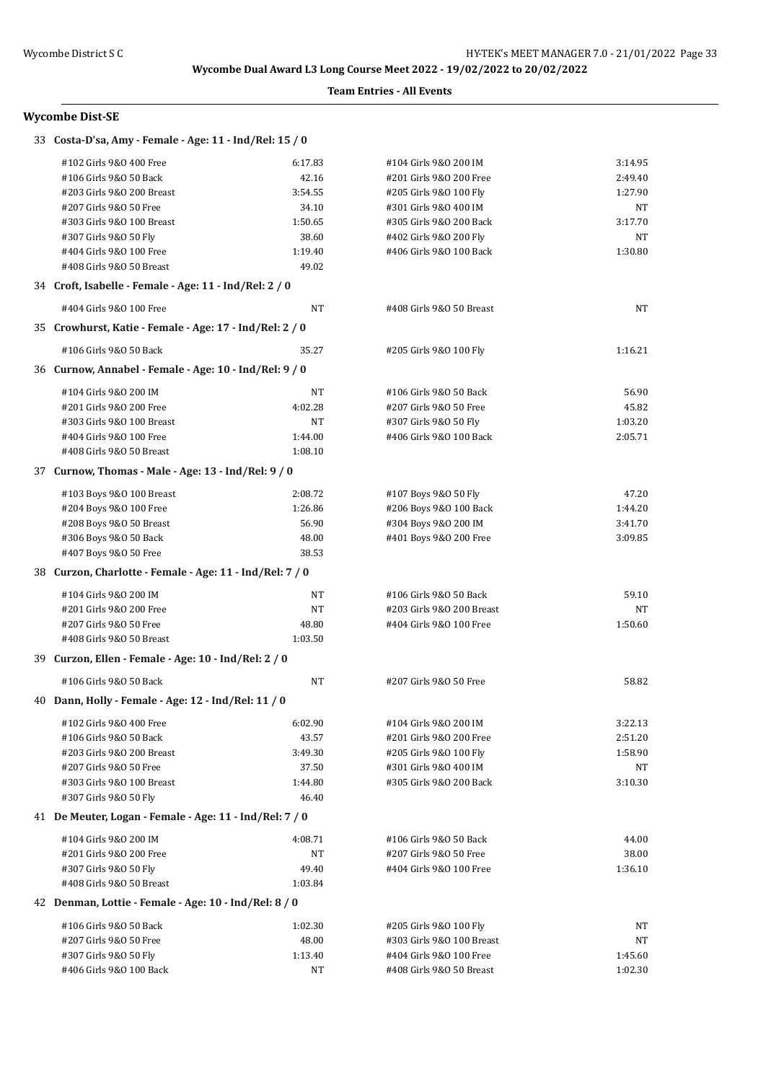## **Team Entries - All Events**

| 33 Costa-D'sa, Amy - Female - Age: 11 - Ind/Rel: 15 / 0  |         |                           |         |  |  |
|----------------------------------------------------------|---------|---------------------------|---------|--|--|
| #102 Girls 9&0 400 Free                                  | 6:17.83 | #104 Girls 9&0 200 IM     | 3:14.95 |  |  |
| #106 Girls 9&0 50 Back                                   | 42.16   | #201 Girls 9&0 200 Free   | 2:49.40 |  |  |
| #203 Girls 9&0 200 Breast                                | 3:54.55 | #205 Girls 9&0 100 Fly    | 1:27.90 |  |  |
| #207 Girls 9&0 50 Free                                   | 34.10   | #301 Girls 9&0 400 IM     | NT      |  |  |
| #303 Girls 9&0 100 Breast                                | 1:50.65 | #305 Girls 9&0 200 Back   | 3:17.70 |  |  |
| #307 Girls 9&0 50 Fly                                    | 38.60   | #402 Girls 9&0 200 Fly    | NT      |  |  |
| #404 Girls 9&0 100 Free                                  | 1:19.40 | #406 Girls 9&0 100 Back   | 1:30.80 |  |  |
| #408 Girls 9&0 50 Breast                                 | 49.02   |                           |         |  |  |
| 34 Croft, Isabelle - Female - Age: 11 - Ind/Rel: 2 / 0   |         |                           |         |  |  |
| #404 Girls 9&0 100 Free                                  | NT      | #408 Girls 9&0 50 Breast  | NT      |  |  |
| 35 Crowhurst, Katie - Female - Age: 17 - Ind/Rel: 2 / 0  |         |                           |         |  |  |
| #106 Girls 9&0 50 Back                                   | 35.27   | #205 Girls 9&0 100 Fly    | 1:16.21 |  |  |
| 36 Curnow, Annabel - Female - Age: 10 - Ind/Rel: 9 / 0   |         |                           |         |  |  |
| #104 Girls 9&0 200 IM                                    | NT      | #106 Girls 9&0 50 Back    | 56.90   |  |  |
| #201 Girls 9&0 200 Free                                  | 4:02.28 | #207 Girls 9&0 50 Free    | 45.82   |  |  |
| #303 Girls 9&0 100 Breast                                | NT      | #307 Girls 9&0 50 Fly     | 1:03.20 |  |  |
| #404 Girls 9&0 100 Free                                  | 1:44.00 | #406 Girls 9&0 100 Back   | 2:05.71 |  |  |
| #408 Girls 9&0 50 Breast                                 | 1:08.10 |                           |         |  |  |
| 37 Curnow, Thomas - Male - Age: 13 - Ind/Rel: 9 / 0      |         |                           |         |  |  |
| #103 Boys 9&0 100 Breast                                 | 2:08.72 | #107 Boys 9&0 50 Fly      | 47.20   |  |  |
| #204 Boys 9&0 100 Free                                   | 1:26.86 | #206 Boys 9&0 100 Back    | 1:44.20 |  |  |
| #208 Boys 9&0 50 Breast                                  | 56.90   | #304 Boys 9&0 200 IM      | 3:41.70 |  |  |
| #306 Boys 9&0 50 Back                                    | 48.00   | #401 Boys 9&0 200 Free    | 3:09.85 |  |  |
| #407 Boys 9&0 50 Free                                    | 38.53   |                           |         |  |  |
| 38 Curzon, Charlotte - Female - Age: 11 - Ind/Rel: 7 / 0 |         |                           |         |  |  |
| #104 Girls 9&0 200 IM                                    | NT      | #106 Girls 9&0 50 Back    | 59.10   |  |  |
| #201 Girls 9&0 200 Free                                  | NT      | #203 Girls 9&0 200 Breast | NT      |  |  |
| #207 Girls 9&0 50 Free                                   | 48.80   | #404 Girls 9&0 100 Free   | 1:50.60 |  |  |
| #408 Girls 9&0 50 Breast                                 | 1:03.50 |                           |         |  |  |
| 39 Curzon, Ellen - Female - Age: 10 - Ind/Rel: 2 / 0     |         |                           |         |  |  |
| #106 Girls 9&0 50 Back                                   | NT      | #207 Girls 9&0 50 Free    | 58.82   |  |  |
| 40 Dann, Holly - Female - Age: 12 - Ind/Rel: 11 / 0      |         |                           |         |  |  |
| #102 Girls 9&0 400 Free                                  | 6:02.90 | #104 Girls 9&0 200 IM     | 3:22.13 |  |  |
| #106 Girls 9&0 50 Back                                   | 43.57   | #201 Girls 9&0 200 Free   | 2:51.20 |  |  |
| #203 Girls 9&0 200 Breast                                | 3:49.30 | #205 Girls 9&0 100 Fly    | 1:58.90 |  |  |
| #207 Girls 9&0 50 Free                                   | 37.50   | #301 Girls 9&0 400 IM     | NT      |  |  |
| #303 Girls 9&0 100 Breast                                | 1:44.80 | #305 Girls 9&0 200 Back   | 3:10.30 |  |  |
| #307 Girls 9&0 50 Fly                                    | 46.40   |                           |         |  |  |
| 41 De Meuter, Logan - Female - Age: 11 - Ind/Rel: 7 / 0  |         |                           |         |  |  |
| #104 Girls 9&0 200 IM                                    | 4:08.71 | #106 Girls 9&0 50 Back    | 44.00   |  |  |
| #201 Girls 9&0 200 Free                                  | NT      | #207 Girls 9&0 50 Free    | 38.00   |  |  |
| #307 Girls 9&0 50 Fly                                    | 49.40   | #404 Girls 9&0 100 Free   | 1:36.10 |  |  |
| #408 Girls 9&0 50 Breast                                 | 1:03.84 |                           |         |  |  |
| 42 Denman, Lottie - Female - Age: 10 - Ind/Rel: 8 / 0    |         |                           |         |  |  |
| #106 Girls 9&0 50 Back                                   | 1:02.30 | #205 Girls 9&0 100 Fly    | NT      |  |  |
| #207 Girls 9&0 50 Free                                   | 48.00   | #303 Girls 9&0 100 Breast | NT      |  |  |
| #307 Girls 9&0 50 Fly                                    | 1:13.40 | #404 Girls 9&0 100 Free   | 1:45.60 |  |  |
| #406 Girls 9&0 100 Back                                  | NT      | #408 Girls 9&0 50 Breast  | 1:02.30 |  |  |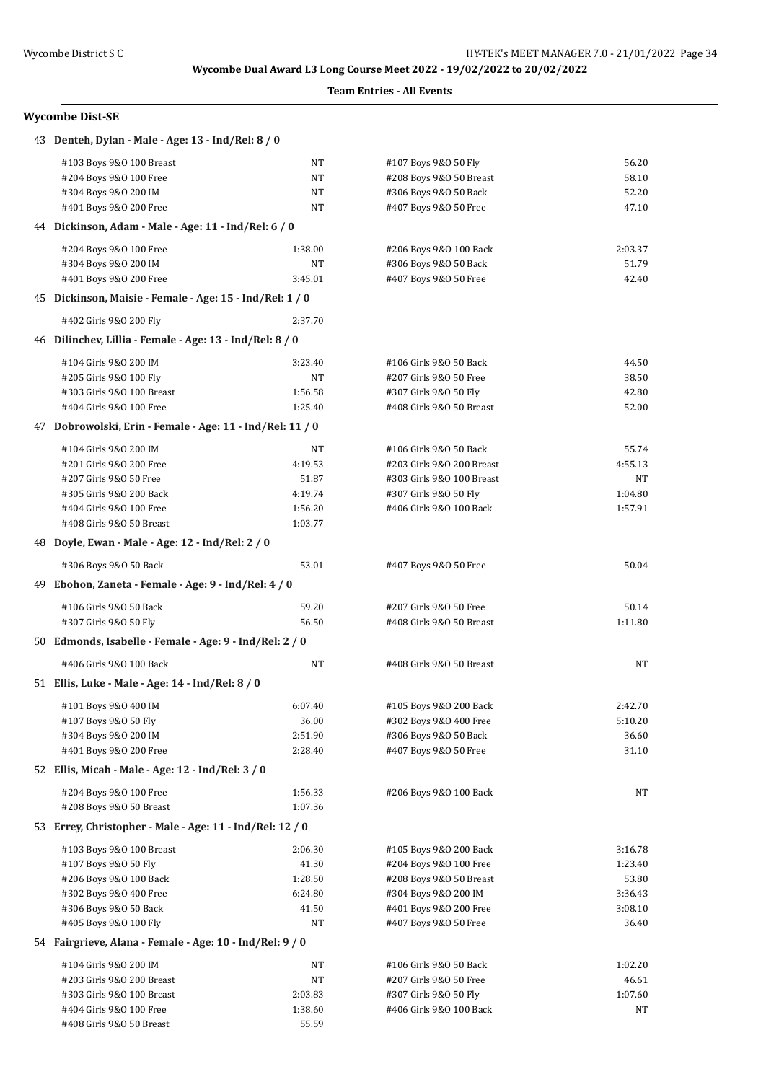## **Team Entries - All Events**

| 43 Denteh, Dylan - Male - Age: 13 - Ind/Rel: 8 / 0        |         |                           |         |
|-----------------------------------------------------------|---------|---------------------------|---------|
| #103 Boys 9&0 100 Breast                                  | NT      | #107 Boys 9&0 50 Fly      | 56.20   |
| #204 Boys 9&0 100 Free                                    | NT      | #208 Boys 9&0 50 Breast   | 58.10   |
| #304 Boys 9&0 200 IM                                      | NT      | #306 Boys 9&0 50 Back     | 52.20   |
| #401 Boys 9&0 200 Free                                    | NT      | #407 Boys 9&0 50 Free     | 47.10   |
| 44 Dickinson, Adam - Male - Age: 11 - Ind/Rel: 6 / 0      |         |                           |         |
| #204 Boys 9&0 100 Free                                    | 1:38.00 | #206 Boys 9&0 100 Back    | 2:03.37 |
| #304 Boys 9&0 200 IM                                      | NT      | #306 Boys 9&0 50 Back     | 51.79   |
| #401 Boys 9&0 200 Free                                    | 3:45.01 | #407 Boys 9&0 50 Free     | 42.40   |
| 45 Dickinson, Maisie - Female - Age: 15 - Ind/Rel: 1 / 0  |         |                           |         |
| #402 Girls 9&0 200 Fly                                    | 2:37.70 |                           |         |
| 46 Dilinchev, Lillia - Female - Age: 13 - Ind/Rel: 8 / 0  |         |                           |         |
| #104 Girls 9&0 200 IM                                     | 3:23.40 | #106 Girls 9&0 50 Back    | 44.50   |
| #205 Girls 9&0 100 Fly                                    | NT      | #207 Girls 9&0 50 Free    | 38.50   |
| #303 Girls 9&0 100 Breast                                 | 1:56.58 | #307 Girls 9&0 50 Fly     | 42.80   |
| #404 Girls 9&0 100 Free                                   | 1:25.40 | #408 Girls 9&0 50 Breast  | 52.00   |
| 47 Dobrowolski, Erin - Female - Age: 11 - Ind/Rel: 11 / 0 |         |                           |         |
| #104 Girls 9&0 200 IM                                     | NT      | #106 Girls 9&0 50 Back    | 55.74   |
| #201 Girls 9&0 200 Free                                   | 4:19.53 | #203 Girls 9&0 200 Breast | 4:55.13 |
| #207 Girls 9&0 50 Free                                    | 51.87   | #303 Girls 9&0 100 Breast | NT      |
| #305 Girls 9&0 200 Back                                   | 4:19.74 | #307 Girls 9&0 50 Fly     | 1:04.80 |
| #404 Girls 9&0 100 Free                                   | 1:56.20 | #406 Girls 9&0 100 Back   | 1:57.91 |
| #408 Girls 9&0 50 Breast                                  | 1:03.77 |                           |         |
| 48 Doyle, Ewan - Male - Age: 12 - Ind/Rel: 2 / 0          |         |                           |         |
| #306 Boys 9&0 50 Back                                     | 53.01   | #407 Boys 9&0 50 Free     | 50.04   |
| 49 Ebohon, Zaneta - Female - Age: 9 - Ind/Rel: 4 / 0      |         |                           |         |
| #106 Girls 9&0 50 Back                                    | 59.20   | #207 Girls 9&0 50 Free    | 50.14   |
| #307 Girls 9&0 50 Fly                                     | 56.50   | #408 Girls 9&0 50 Breast  | 1:11.80 |
| 50 Edmonds, Isabelle - Female - Age: 9 - Ind/Rel: 2 / 0   |         |                           |         |
| #406 Girls 9&0 100 Back                                   | NT      | #408 Girls 9&0 50 Breast  | NT      |
| 51 Ellis, Luke - Male - Age: 14 - Ind/Rel: 8 / 0          |         |                           |         |
| #101 Boys 9&0 400 IM                                      | 6:07.40 | #105 Boys 9&0 200 Back    | 2:42.70 |
| #107 Boys 9&0 50 Fly                                      | 36.00   | #302 Boys 9&0 400 Free    | 5:10.20 |
| #304 Boys 9&0 200 IM                                      | 2:51.90 | #306 Boys 9&0 50 Back     | 36.60   |
| #401 Boys 9&0 200 Free                                    | 2:28.40 | #407 Boys 9&0 50 Free     | 31.10   |
| 52 Ellis, Micah - Male - Age: 12 - Ind/Rel: 3 / 0         |         |                           |         |
| #204 Boys 9&0 100 Free                                    | 1:56.33 | #206 Boys 9&0 100 Back    | NT      |
| #208 Boys 9&0 50 Breast                                   | 1:07.36 |                           |         |
| 53 Errey, Christopher - Male - Age: 11 - Ind/Rel: 12 / 0  |         |                           |         |
| #103 Boys 9&0 100 Breast                                  | 2:06.30 | #105 Boys 9&0 200 Back    | 3:16.78 |
| #107 Boys 9&0 50 Fly                                      | 41.30   | #204 Boys 9&0 100 Free    | 1:23.40 |
| #206 Boys 9&0 100 Back                                    | 1:28.50 | #208 Boys 9&0 50 Breast   | 53.80   |
| #302 Boys 9&0 400 Free                                    | 6:24.80 | #304 Boys 9&0 200 IM      | 3:36.43 |
| #306 Boys 9&0 50 Back                                     | 41.50   | #401 Boys 9&0 200 Free    | 3:08.10 |
| #405 Boys 9&0 100 Fly                                     | NT      | #407 Boys 9&0 50 Free     | 36.40   |
| 54 Fairgrieve, Alana - Female - Age: 10 - Ind/Rel: 9 / 0  |         |                           |         |
| #104 Girls 9&0 200 IM                                     | NT      | #106 Girls 9&0 50 Back    | 1:02.20 |
| #203 Girls 9&0 200 Breast                                 | NT      | #207 Girls 9&0 50 Free    | 46.61   |
| #303 Girls 9&0 100 Breast                                 | 2:03.83 | #307 Girls 9&0 50 Fly     | 1:07.60 |
| #404 Girls 9&0 100 Free                                   | 1:38.60 | #406 Girls 9&0 100 Back   | NΤ      |
| #408 Girls 9&0 50 Breast                                  | 55.59   |                           |         |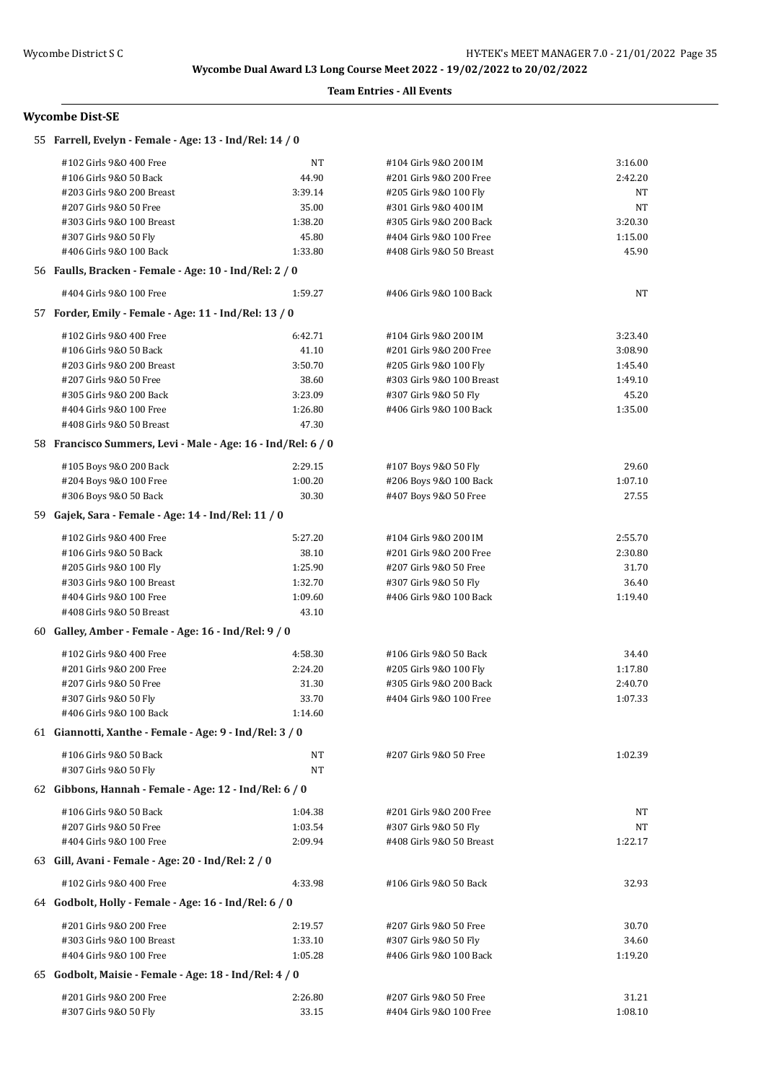## **Team Entries - All Events**

| 55 Farrell, Evelyn - Female - Age: 13 - Ind/Rel: 14 / 0      |         |                           |           |
|--------------------------------------------------------------|---------|---------------------------|-----------|
| #102 Girls 9&0 400 Free                                      | NT      | #104 Girls 9&0 200 IM     | 3:16.00   |
| #106 Girls 9&0 50 Back                                       | 44.90   | #201 Girls 9&0 200 Free   | 2:42.20   |
| #203 Girls 9&0 200 Breast                                    | 3:39.14 | #205 Girls 9&0 100 Fly    | NT        |
| #207 Girls 9&0 50 Free                                       | 35.00   | #301 Girls 9&0 400 IM     | <b>NT</b> |
| #303 Girls 9&0 100 Breast                                    | 1:38.20 | #305 Girls 9&0 200 Back   | 3:20.30   |
| #307 Girls 9&0 50 Fly                                        | 45.80   | #404 Girls 9&0 100 Free   | 1:15.00   |
| #406 Girls 9&0 100 Back                                      | 1:33.80 | #408 Girls 9&0 50 Breast  | 45.90     |
| 56 Faulls, Bracken - Female - Age: 10 - Ind/Rel: 2 / 0       |         |                           |           |
| #404 Girls 9&0 100 Free                                      | 1:59.27 | #406 Girls 9&0 100 Back   | NT        |
| 57 Forder, Emily - Female - Age: 11 - Ind/Rel: 13 / 0        |         |                           |           |
| #102 Girls 9&0 400 Free                                      | 6:42.71 | #104 Girls 9&0 200 IM     | 3:23.40   |
| #106 Girls 9&0 50 Back                                       | 41.10   | #201 Girls 9&0 200 Free   | 3:08.90   |
| #203 Girls 9&0 200 Breast                                    | 3:50.70 | #205 Girls 9&0 100 Fly    | 1:45.40   |
| #207 Girls 9&0 50 Free                                       | 38.60   | #303 Girls 9&0 100 Breast | 1:49.10   |
| #305 Girls 9&0 200 Back                                      | 3:23.09 | #307 Girls 9&0 50 Fly     | 45.20     |
| #404 Girls 9&0 100 Free                                      | 1:26.80 | #406 Girls 9&0 100 Back   | 1:35.00   |
| #408 Girls 9&0 50 Breast                                     | 47.30   |                           |           |
| 58 Francisco Summers, Levi - Male - Age: 16 - Ind/Rel: 6 / 0 |         |                           |           |
| #105 Boys 9&0 200 Back                                       | 2:29.15 | #107 Boys 9&0 50 Fly      | 29.60     |
| #204 Boys 9&0 100 Free                                       | 1:00.20 | #206 Boys 9&0 100 Back    | 1:07.10   |
| #306 Boys 9&0 50 Back                                        | 30.30   | #407 Boys 9&0 50 Free     | 27.55     |
| 59 Gajek, Sara - Female - Age: 14 - Ind/Rel: 11 / 0          |         |                           |           |
| #102 Girls 9&0 400 Free                                      | 5:27.20 | #104 Girls 9&0 200 IM     | 2:55.70   |
| #106 Girls 9&0 50 Back                                       | 38.10   | #201 Girls 9&0 200 Free   | 2:30.80   |
| #205 Girls 9&0 100 Fly                                       | 1:25.90 | #207 Girls 9&0 50 Free    | 31.70     |
| #303 Girls 9&0 100 Breast                                    | 1:32.70 | #307 Girls 9&0 50 Fly     | 36.40     |
| #404 Girls 9&0 100 Free                                      | 1:09.60 | #406 Girls 9&0 100 Back   | 1:19.40   |
| #408 Girls 9&0 50 Breast                                     | 43.10   |                           |           |
| 60 Galley, Amber - Female - Age: 16 - Ind/Rel: 9 / 0         |         |                           |           |
| #102 Girls 9&0 400 Free                                      | 4:58.30 | #106 Girls 9&0 50 Back    | 34.40     |
| #201 Girls 9&0 200 Free                                      | 2:24.20 | #205 Girls 9&0 100 Fly    | 1:17.80   |
| #207 Girls 9&0 50 Free                                       | 31.30   | #305 Girls 9&0 200 Back   | 2:40.70   |
| #307 Girls 9&0 50 Fly                                        | 33.70   | #404 Girls 9&0 100 Free   | 1:07.33   |
| #406 Girls 9&0 100 Back                                      | 1:14.60 |                           |           |
| 61 Giannotti, Xanthe - Female - Age: 9 - Ind/Rel: 3 / 0      |         |                           |           |
| #106 Girls 9&0 50 Back                                       | NT      | #207 Girls 9&0 50 Free    | 1:02.39   |
| #307 Girls 9&0 50 Fly                                        | NT      |                           |           |
| 62 Gibbons, Hannah - Female - Age: 12 - Ind/Rel: 6 / 0       |         |                           |           |
| #106 Girls 9&0 50 Back                                       | 1:04.38 | #201 Girls 9&0 200 Free   | NT        |
| #207 Girls 9&0 50 Free                                       | 1:03.54 | #307 Girls 9&0 50 Fly     | NT        |
| #404 Girls 9&0 100 Free                                      | 2:09.94 | #408 Girls 9&0 50 Breast  | 1:22.17   |
| 63 Gill, Avani - Female - Age: 20 - Ind/Rel: 2 / 0           |         |                           |           |
| #102 Girls 9&0 400 Free                                      | 4:33.98 | #106 Girls 9&0 50 Back    | 32.93     |
| 64 Godbolt, Holly - Female - Age: 16 - Ind/Rel: 6 / 0        |         |                           |           |
| #201 Girls 9&0 200 Free                                      | 2:19.57 | #207 Girls 9&0 50 Free    | 30.70     |
| #303 Girls 9&0 100 Breast                                    | 1:33.10 | #307 Girls 9&0 50 Fly     | 34.60     |
| #404 Girls 9&0 100 Free                                      | 1:05.28 | #406 Girls 9&0 100 Back   | 1:19.20   |
| 65 Godbolt, Maisie - Female - Age: 18 - Ind/Rel: 4 / 0       |         |                           |           |
|                                                              |         |                           |           |
| #201 Girls 9&0 200 Free                                      | 2:26.80 | #207 Girls 9&0 50 Free    | 31.21     |
| #307 Girls 9&0 50 Fly                                        | 33.15   | #404 Girls 9&0 100 Free   | 1:08.10   |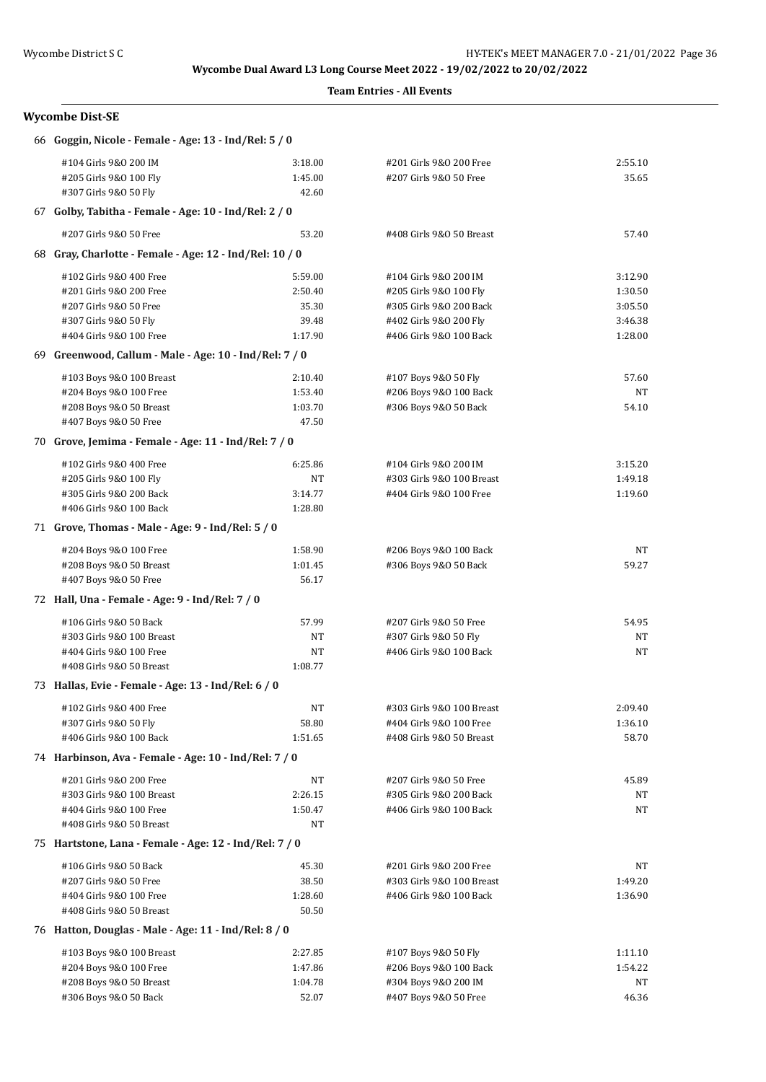**Team Entries - All Events**

### **Wycombe Dist-SE**

 $\overline{a}$ 

|  | 66 Goggin, Nicole - Female - Age: 13 - Ind/Rel: 5 / 0   |         |                           |         |  |  |
|--|---------------------------------------------------------|---------|---------------------------|---------|--|--|
|  | #104 Girls 9&0 200 IM                                   | 3:18.00 | #201 Girls 9&0 200 Free   | 2:55.10 |  |  |
|  | #205 Girls 9&0 100 Fly                                  | 1:45.00 | #207 Girls 9&0 50 Free    | 35.65   |  |  |
|  | #307 Girls 9&0 50 Fly                                   | 42.60   |                           |         |  |  |
|  | 67 Golby, Tabitha - Female - Age: 10 - Ind/Rel: 2 / 0   |         |                           |         |  |  |
|  | #207 Girls 9&0 50 Free                                  | 53.20   | #408 Girls 9&0 50 Breast  | 57.40   |  |  |
|  | 68 Gray, Charlotte - Female - Age: 12 - Ind/Rel: 10 / 0 |         |                           |         |  |  |
|  | #102 Girls 9&0 400 Free                                 | 5:59.00 | #104 Girls 9&0 200 IM     | 3:12.90 |  |  |
|  | #201 Girls 9&0 200 Free                                 | 2:50.40 | #205 Girls 9&0 100 Fly    | 1:30.50 |  |  |
|  | #207 Girls 9&0 50 Free                                  | 35.30   | #305 Girls 9&0 200 Back   | 3:05.50 |  |  |
|  | #307 Girls 9&0 50 Fly                                   | 39.48   | #402 Girls 9&0 200 Fly    | 3:46.38 |  |  |
|  | #404 Girls 9&0 100 Free                                 | 1:17.90 | #406 Girls 9&0 100 Back   | 1:28.00 |  |  |
|  | 69 Greenwood, Callum - Male - Age: 10 - Ind/Rel: 7 / 0  |         |                           |         |  |  |
|  | #103 Boys 9&0 100 Breast                                | 2:10.40 | #107 Boys 9&0 50 Fly      | 57.60   |  |  |
|  | #204 Boys 9&0 100 Free                                  | 1:53.40 | #206 Boys 9&0 100 Back    | NT      |  |  |
|  | #208 Boys 9&0 50 Breast                                 | 1:03.70 | #306 Boys 9&0 50 Back     | 54.10   |  |  |
|  | #407 Boys 9&0 50 Free                                   | 47.50   |                           |         |  |  |
|  | 70 Grove, Jemima - Female - Age: 11 - Ind/Rel: 7 / 0    |         |                           |         |  |  |
|  | #102 Girls 9&0 400 Free                                 | 6:25.86 | #104 Girls 9&0 200 IM     | 3:15.20 |  |  |
|  | #205 Girls 9&0 100 Fly                                  | NT      | #303 Girls 9&0 100 Breast | 1:49.18 |  |  |
|  | #305 Girls 9&0 200 Back                                 | 3:14.77 | #404 Girls 9&0 100 Free   | 1:19.60 |  |  |
|  | #406 Girls 9&0 100 Back                                 | 1:28.80 |                           |         |  |  |
|  | 71 Grove, Thomas - Male - Age: 9 - Ind/Rel: 5 / 0       |         |                           |         |  |  |
|  | #204 Boys 9&0 100 Free                                  | 1:58.90 | #206 Boys 9&0 100 Back    | NT      |  |  |
|  | #208 Boys 9&0 50 Breast                                 | 1:01.45 | #306 Boys 9&0 50 Back     | 59.27   |  |  |
|  | #407 Boys 9&0 50 Free                                   | 56.17   |                           |         |  |  |
|  | 72 Hall, Una - Female - Age: 9 - Ind/Rel: 7 / 0         |         |                           |         |  |  |
|  | #106 Girls 9&0 50 Back                                  | 57.99   | #207 Girls 9&0 50 Free    | 54.95   |  |  |
|  | #303 Girls 9&0 100 Breast                               | NΤ      | #307 Girls 9&0 50 Fly     | NT      |  |  |
|  | #404 Girls 9&0 100 Free                                 | NT      | #406 Girls 9&0 100 Back   | NT      |  |  |
|  | #408 Girls 9&0 50 Breast                                | 1:08.77 |                           |         |  |  |
|  | 73 Hallas, Evie - Female - Age: 13 - Ind/Rel: 6 / 0     |         |                           |         |  |  |
|  | #102 Girls 9&0 400 Free                                 | NT      | #303 Girls 9&0 100 Breast | 2:09.40 |  |  |
|  | #307 Girls 9&0 50 Fly                                   | 58.80   | #404 Girls 9&0 100 Free   | 1:36.10 |  |  |
|  | #406 Girls 9&0 100 Back                                 | 1:51.65 | #408 Girls 9&0 50 Breast  | 58.70   |  |  |
|  | 74 Harbinson, Ava - Female - Age: 10 - Ind/Rel: 7 / 0   |         |                           |         |  |  |
|  | #201 Girls 9&0 200 Free                                 | NT      | #207 Girls 9&0 50 Free    | 45.89   |  |  |
|  | #303 Girls 9&0 100 Breast                               | 2:26.15 | #305 Girls 9&0 200 Back   | NT      |  |  |
|  | #404 Girls 9&0 100 Free                                 | 1:50.47 | #406 Girls 9&0 100 Back   | NT      |  |  |
|  | #408 Girls 9&0 50 Breast                                | NT      |                           |         |  |  |
|  | 75 Hartstone, Lana - Female - Age: 12 - Ind/Rel: 7 / 0  |         |                           |         |  |  |
|  | #106 Girls 9&0 50 Back                                  | 45.30   | #201 Girls 9&0 200 Free   | NT      |  |  |
|  | #207 Girls 9&0 50 Free                                  | 38.50   | #303 Girls 9&0 100 Breast | 1:49.20 |  |  |
|  | #404 Girls 9&0 100 Free                                 | 1:28.60 | #406 Girls 9&0 100 Back   | 1:36.90 |  |  |
|  | #408 Girls 9&0 50 Breast                                | 50.50   |                           |         |  |  |
|  | 76 Hatton, Douglas - Male - Age: 11 - Ind/Rel: 8 / 0    |         |                           |         |  |  |
|  | #103 Boys 9&0 100 Breast                                | 2:27.85 | #107 Boys 9&0 50 Fly      | 1:11.10 |  |  |
|  | #204 Boys 9&0 100 Free                                  | 1:47.86 | #206 Boys 9&0 100 Back    | 1:54.22 |  |  |
|  | #208 Boys 9&0 50 Breast                                 | 1:04.78 | #304 Boys 9&0 200 IM      | NT      |  |  |
|  | #306 Boys 9&0 50 Back                                   | 52.07   | #407 Boys 9&0 50 Free     | 46.36   |  |  |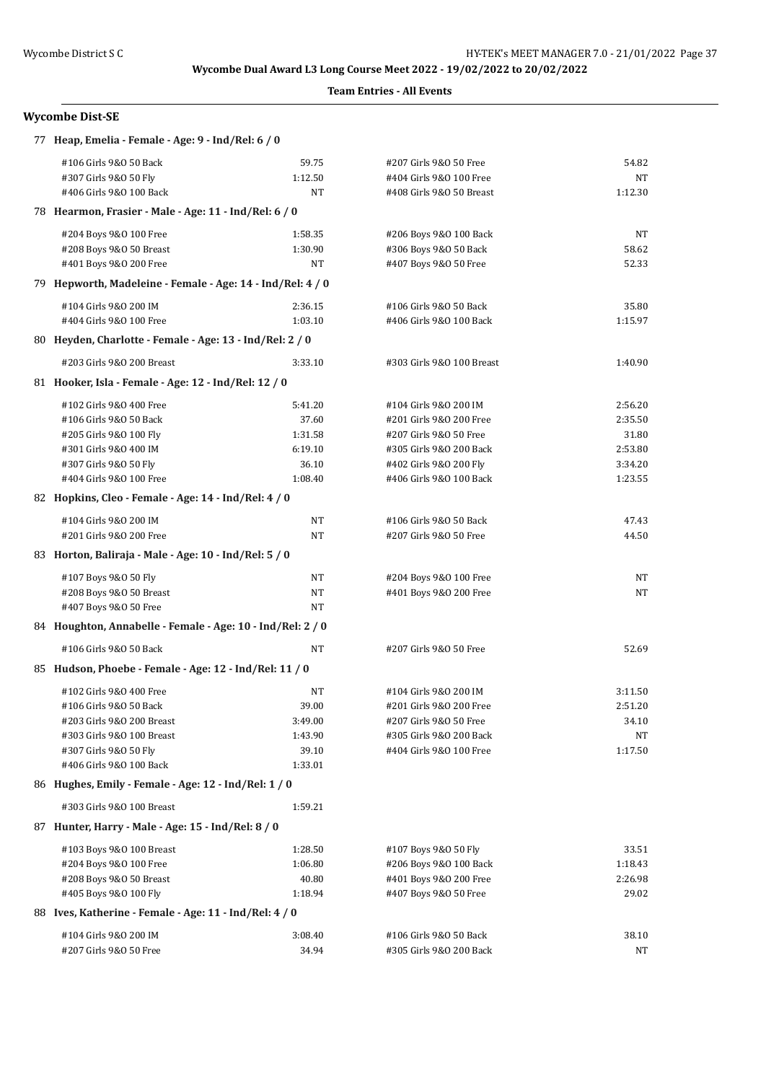### **Team Entries - All Events**

| 77 Heap, Emelia - Female - Age: 9 - Ind/Rel: 6 / 0         |           |                           |         |
|------------------------------------------------------------|-----------|---------------------------|---------|
| #106 Girls 9&0 50 Back                                     | 59.75     | #207 Girls 9&0 50 Free    | 54.82   |
| #307 Girls 9&0 50 Fly                                      | 1:12.50   | #404 Girls 9&0 100 Free   | NT      |
| #406 Girls 9&0 100 Back                                    | NT        | #408 Girls 9&0 50 Breast  | 1:12.30 |
| 78 Hearmon, Frasier - Male - Age: 11 - Ind/Rel: 6 / 0      |           |                           |         |
| #204 Boys 9&0 100 Free                                     | 1:58.35   | #206 Boys 9&0 100 Back    | NT      |
| #208 Boys 9&0 50 Breast                                    | 1:30.90   | #306 Boys 9&0 50 Back     | 58.62   |
| #401 Boys 9&0 200 Free                                     | NT        | #407 Boys 9&0 50 Free     | 52.33   |
| 79 Hepworth, Madeleine - Female - Age: 14 - Ind/Rel: 4 / 0 |           |                           |         |
| #104 Girls 9&0 200 IM                                      | 2:36.15   | #106 Girls 9&0 50 Back    | 35.80   |
| #404 Girls 9&0 100 Free                                    | 1:03.10   | #406 Girls 9&0 100 Back   | 1:15.97 |
| 80 Heyden, Charlotte - Female - Age: 13 - Ind/Rel: 2 / 0   |           |                           |         |
| #203 Girls 9&0 200 Breast                                  | 3:33.10   | #303 Girls 9&0 100 Breast | 1:40.90 |
| 81 Hooker, Isla - Female - Age: 12 - Ind/Rel: 12 / 0       |           |                           |         |
| #102 Girls 9&0 400 Free                                    | 5:41.20   | #104 Girls 9&0 200 IM     | 2:56.20 |
| #106 Girls 9&0 50 Back                                     | 37.60     | #201 Girls 9&0 200 Free   | 2:35.50 |
| #205 Girls 9&0 100 Fly                                     | 1:31.58   | #207 Girls 9&0 50 Free    | 31.80   |
| #301 Girls 9&0 400 IM                                      | 6:19.10   | #305 Girls 9&0 200 Back   | 2:53.80 |
| #307 Girls 9&0 50 Fly                                      | 36.10     | #402 Girls 9&0 200 Fly    | 3:34.20 |
| #404 Girls 9&0 100 Free                                    | 1:08.40   | #406 Girls 9&0 100 Back   | 1:23.55 |
| 82 Hopkins, Cleo - Female - Age: 14 - Ind/Rel: 4 / 0       |           |                           |         |
| #104 Girls 9&0 200 IM                                      | <b>NT</b> | #106 Girls 9&0 50 Back    | 47.43   |
| #201 Girls 9&0 200 Free                                    | <b>NT</b> | #207 Girls 9&0 50 Free    | 44.50   |
| 83 Horton, Baliraja - Male - Age: 10 - Ind/Rel: 5 / 0      |           |                           |         |
| #107 Boys 9&0 50 Fly                                       | NT        | #204 Boys 9&0 100 Free    | NT      |
| #208 Boys 9&0 50 Breast                                    | NT        | #401 Boys 9&0 200 Free    | NT      |
| #407 Boys 9&0 50 Free                                      | NT        |                           |         |
| 84 Houghton, Annabelle - Female - Age: 10 - Ind/Rel: 2 / 0 |           |                           |         |
| #106 Girls 9&0 50 Back                                     | NT        | #207 Girls 9&0 50 Free    | 52.69   |
| 85 Hudson, Phoebe - Female - Age: 12 - Ind/Rel: 11 / 0     |           |                           |         |
| #102 Girls 9&0 400 Free                                    | NT        | #104 Girls 9&0 200 IM     | 3:11.50 |
| #106 Girls 9&0 50 Back                                     | 39.00     | #201 Girls 9&0 200 Free   | 2:51.20 |
| #203 Girls 9&0 200 Breast                                  | 3:49.00   | #207 Girls 9&0 50 Free    | 34.10   |
| #303 Girls 9&0 100 Breast                                  | 1:43.90   | #305 Girls 9&0 200 Back   | NT      |
| #307 Girls 9&0 50 Fly                                      | 39.10     | #404 Girls 9&0 100 Free   | 1:17.50 |
| #406 Girls 9&0 100 Back                                    | 1:33.01   |                           |         |
| 86 Hughes, Emily - Female - Age: 12 - Ind/Rel: 1 / 0       |           |                           |         |
| #303 Girls 9&0 100 Breast                                  | 1:59.21   |                           |         |
| 87 Hunter, Harry - Male - Age: 15 - Ind/Rel: 8 / 0         |           |                           |         |
| #103 Boys 9&0 100 Breast                                   | 1:28.50   | #107 Boys 9&0 50 Fly      | 33.51   |
| #204 Boys 9&0 100 Free                                     | 1:06.80   | #206 Boys 9&0 100 Back    | 1:18.43 |
| #208 Boys 9&0 50 Breast                                    | 40.80     | #401 Boys 9&0 200 Free    | 2:26.98 |
| #405 Boys 9&0 100 Fly                                      | 1:18.94   | #407 Boys 9&0 50 Free     | 29.02   |
| 88 Ives, Katherine - Female - Age: 11 - Ind/Rel: 4 / 0     |           |                           |         |
| #104 Girls 9&0 200 IM                                      | 3:08.40   | #106 Girls 9&0 50 Back    | 38.10   |
| #207 Girls 9&0 50 Free                                     | 34.94     | #305 Girls 9&0 200 Back   | NT      |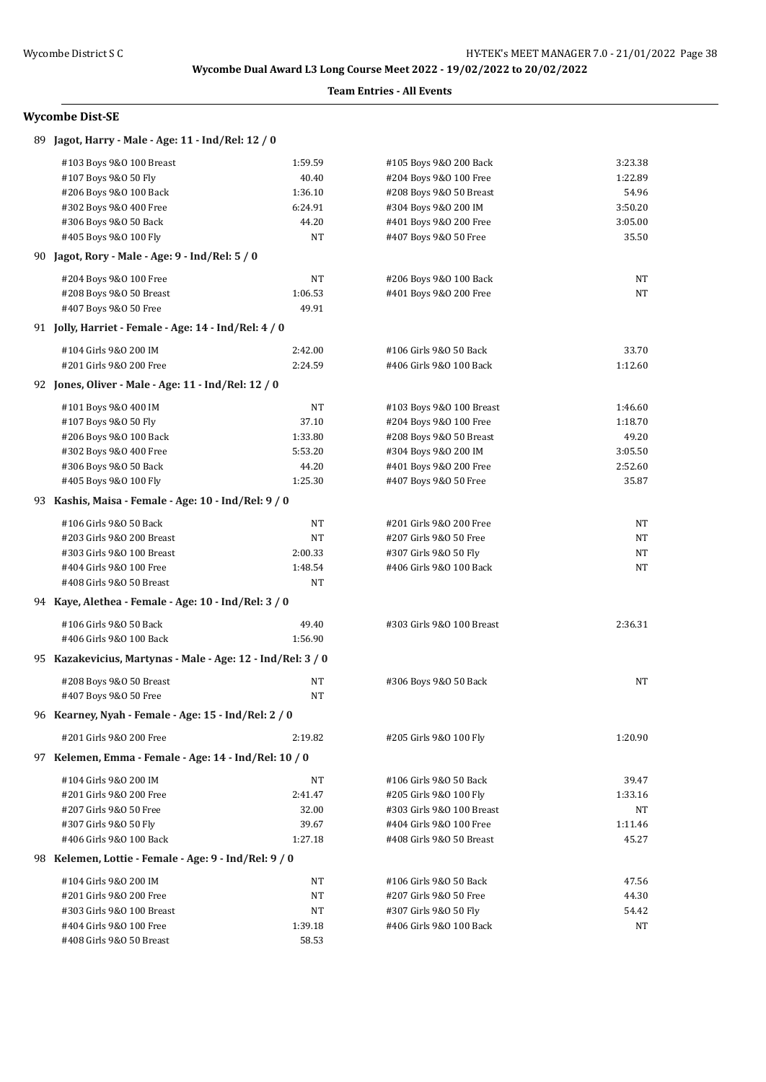## **Team Entries - All Events**

| 89 Jagot, Harry - Male - Age: 11 - Ind/Rel: 12 / 0          |                    |                                                   |                  |  |  |
|-------------------------------------------------------------|--------------------|---------------------------------------------------|------------------|--|--|
| #103 Boys 9&0 100 Breast                                    | 1:59.59            | #105 Boys 9&0 200 Back                            | 3:23.38          |  |  |
| #107 Boys 9&0 50 Fly                                        | 40.40              | #204 Boys 9&0 100 Free                            | 1:22.89          |  |  |
| #206 Boys 9&0 100 Back                                      | 1:36.10            | #208 Boys 9&0 50 Breast                           | 54.96            |  |  |
| #302 Boys 9&0 400 Free                                      | 6:24.91            | #304 Boys 9&0 200 IM                              | 3:50.20          |  |  |
| #306 Boys 9&0 50 Back                                       | 44.20              | #401 Boys 9&0 200 Free                            | 3:05.00          |  |  |
| #405 Boys 9&0 100 Fly                                       | NT                 | #407 Boys 9&0 50 Free                             | 35.50            |  |  |
| 90 Jagot, Rory - Male - Age: 9 - Ind/Rel: 5 / 0             |                    |                                                   |                  |  |  |
| #204 Boys 9&0 100 Free                                      | NT                 | #206 Boys 9&0 100 Back                            | NT               |  |  |
| #208 Boys 9&0 50 Breast                                     | 1:06.53            | #401 Boys 9&0 200 Free                            | NT               |  |  |
| #407 Boys 9&0 50 Free                                       | 49.91              |                                                   |                  |  |  |
| 91 Jolly, Harriet - Female - Age: 14 - Ind/Rel: 4 / 0       |                    |                                                   |                  |  |  |
|                                                             |                    |                                                   |                  |  |  |
| #104 Girls 9&0 200 IM<br>#201 Girls 9&0 200 Free            | 2:42.00<br>2:24.59 | #106 Girls 9&0 50 Back<br>#406 Girls 9&0 100 Back | 33.70<br>1:12.60 |  |  |
|                                                             |                    |                                                   |                  |  |  |
| 92 Jones, Oliver - Male - Age: 11 - Ind/Rel: 12 / 0         |                    |                                                   |                  |  |  |
| #101 Boys 9&0 400 IM                                        | NT                 | #103 Boys 9&0 100 Breast                          | 1:46.60          |  |  |
| #107 Boys 9&0 50 Fly                                        | 37.10              | #204 Boys 9&0 100 Free                            | 1:18.70          |  |  |
| #206 Boys 9&0 100 Back                                      | 1:33.80            | #208 Boys 9&0 50 Breast                           | 49.20            |  |  |
| #302 Boys 9&0 400 Free                                      | 5:53.20            | #304 Boys 9&0 200 IM                              | 3:05.50          |  |  |
| #306 Boys 9&0 50 Back                                       | 44.20              | #401 Boys 9&0 200 Free                            | 2:52.60          |  |  |
| #405 Boys 9&0 100 Fly                                       | 1:25.30            | #407 Boys 9&0 50 Free                             | 35.87            |  |  |
| 93 Kashis, Maisa - Female - Age: 10 - Ind/Rel: 9 / 0        |                    |                                                   |                  |  |  |
| #106 Girls 9&0 50 Back                                      | NT                 | #201 Girls 9&0 200 Free                           | NT               |  |  |
| #203 Girls 9&0 200 Breast                                   | NT                 | #207 Girls 9&0 50 Free                            | NT               |  |  |
| #303 Girls 9&0 100 Breast                                   | 2:00.33            | #307 Girls 9&0 50 Fly                             | NT               |  |  |
| #404 Girls 9&0 100 Free                                     | 1:48.54            | #406 Girls 9&0 100 Back                           | NT               |  |  |
| #408 Girls 9&0 50 Breast                                    | NT                 |                                                   |                  |  |  |
| 94 Kaye, Alethea - Female - Age: 10 - Ind/Rel: 3 / 0        |                    |                                                   |                  |  |  |
| #106 Girls 9&0 50 Back                                      | 49.40              | #303 Girls 9&0 100 Breast                         | 2:36.31          |  |  |
| #406 Girls 9&0 100 Back                                     | 1:56.90            |                                                   |                  |  |  |
| 95 Kazakevicius, Martynas - Male - Age: 12 - Ind/Rel: 3 / 0 |                    |                                                   |                  |  |  |
| #208 Boys 9&0 50 Breast                                     | NT                 |                                                   | NT               |  |  |
| #407 Boys 9&0 50 Free                                       | NT                 | #306 Boys 9&0 50 Back                             |                  |  |  |
|                                                             |                    |                                                   |                  |  |  |
| 96 Kearney, Nyah - Female - Age: 15 - Ind/Rel: 2 / 0        |                    |                                                   |                  |  |  |
| #201 Girls 9&0 200 Free                                     | 2:19.82            | #205 Girls 9&0 100 Fly                            | 1:20.90          |  |  |
| 97 Kelemen, Emma - Female - Age: 14 - Ind/Rel: 10 / 0       |                    |                                                   |                  |  |  |
| #104 Girls 9&0 200 IM                                       | NT                 | #106 Girls 9&0 50 Back                            | 39.47            |  |  |
| #201 Girls 9&0 200 Free                                     | 2:41.47            | #205 Girls 9&0 100 Fly                            | 1:33.16          |  |  |
| #207 Girls 9&0 50 Free                                      | 32.00              | #303 Girls 9&0 100 Breast                         | NT               |  |  |
| #307 Girls 9&0 50 Fly                                       | 39.67              | #404 Girls 9&0 100 Free                           | 1:11.46          |  |  |
| #406 Girls 9&0 100 Back                                     | 1:27.18            | #408 Girls 9&0 50 Breast                          | 45.27            |  |  |
| 98 Kelemen, Lottie - Female - Age: 9 - Ind/Rel: 9 / 0       |                    |                                                   |                  |  |  |
| #104 Girls 9&0 200 IM                                       | NT                 | #106 Girls 9&0 50 Back                            | 47.56            |  |  |
| #201 Girls 9&0 200 Free                                     | NT                 | #207 Girls 9&0 50 Free                            | 44.30            |  |  |
| #303 Girls 9&0 100 Breast                                   | NT                 | #307 Girls 9&0 50 Fly                             | 54.42            |  |  |
| #404 Girls 9&0 100 Free                                     | 1:39.18            | #406 Girls 9&0 100 Back                           | NT               |  |  |
| #408 Girls 9&0 50 Breast                                    | 58.53              |                                                   |                  |  |  |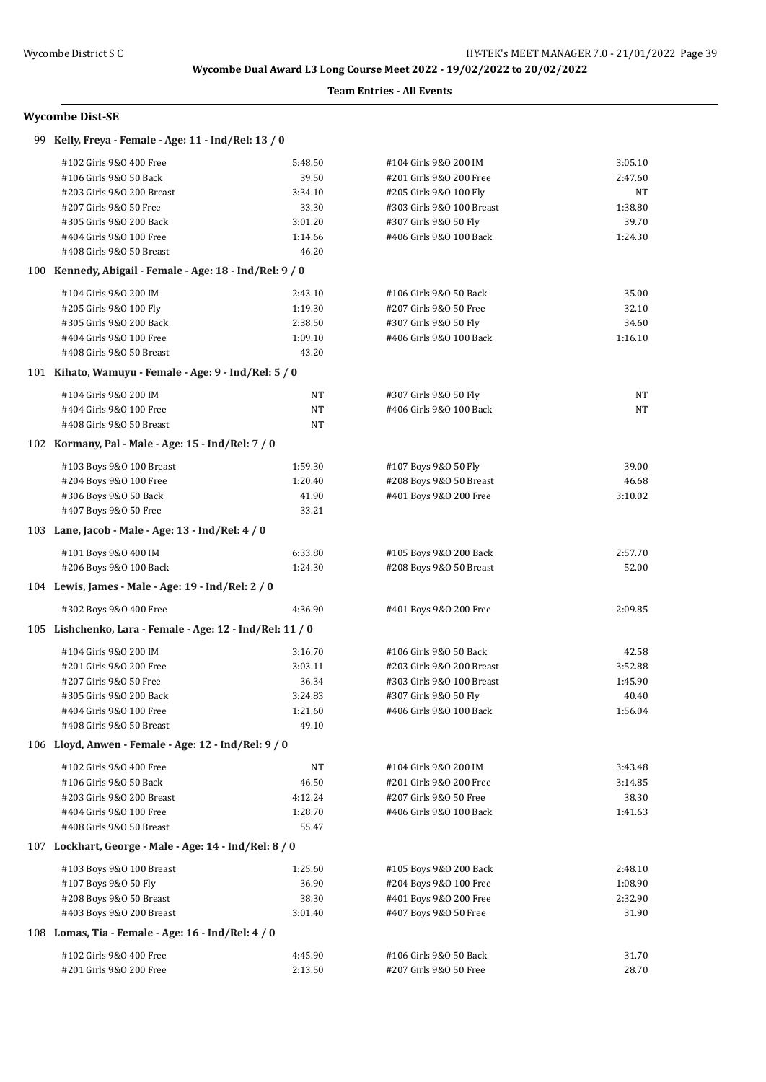## **Team Entries - All Events**

| 99 Kelly, Freya - Female - Age: 11 - Ind/Rel: 13 / 0      |         |                           |           |
|-----------------------------------------------------------|---------|---------------------------|-----------|
| #102 Girls 9&0 400 Free                                   | 5:48.50 | #104 Girls 9&0 200 IM     | 3:05.10   |
| #106 Girls 9&0 50 Back                                    | 39.50   | #201 Girls 9&0 200 Free   | 2:47.60   |
| #203 Girls 9&0 200 Breast                                 | 3:34.10 | #205 Girls 9&0 100 Fly    | NT        |
| #207 Girls 9&0 50 Free                                    | 33.30   | #303 Girls 9&0 100 Breast | 1:38.80   |
| #305 Girls 9&0 200 Back                                   | 3:01.20 | #307 Girls 9&0 50 Fly     | 39.70     |
| #404 Girls 9&0 100 Free                                   | 1:14.66 | #406 Girls 9&0 100 Back   | 1:24.30   |
| #408 Girls 9&0 50 Breast                                  | 46.20   |                           |           |
| 100 Kennedy, Abigail - Female - Age: 18 - Ind/Rel: 9 / 0  |         |                           |           |
| #104 Girls 9&0 200 IM                                     | 2:43.10 | #106 Girls 9&0 50 Back    | 35.00     |
| #205 Girls 9&0 100 Fly                                    | 1:19.30 | #207 Girls 9&0 50 Free    | 32.10     |
| #305 Girls 9&0 200 Back                                   | 2:38.50 | #307 Girls 9&0 50 Fly     | 34.60     |
| #404 Girls 9&0 100 Free                                   | 1:09.10 | #406 Girls 9&0 100 Back   | 1:16.10   |
| #408 Girls 9&0 50 Breast                                  | 43.20   |                           |           |
| 101 Kihato, Wamuyu - Female - Age: 9 - Ind/Rel: 5 / 0     |         |                           |           |
| #104 Girls 9&0 200 IM                                     | NT      | #307 Girls 9&0 50 Fly     | <b>NT</b> |
| #404 Girls 9&0 100 Free                                   | NT      | #406 Girls 9&0 100 Back   | <b>NT</b> |
| #408 Girls 9&0 50 Breast                                  | NT      |                           |           |
| 102 Kormany, Pal - Male - Age: 15 - Ind/Rel: 7 / 0        |         |                           |           |
|                                                           |         |                           |           |
| #103 Boys 9&0 100 Breast                                  | 1:59.30 | #107 Boys 9&0 50 Fly      | 39.00     |
| #204 Boys 9&0 100 Free                                    | 1:20.40 | #208 Boys 9&0 50 Breast   | 46.68     |
| #306 Boys 9&0 50 Back                                     | 41.90   | #401 Boys 9&0 200 Free    | 3:10.02   |
| #407 Boys 9&0 50 Free                                     | 33.21   |                           |           |
| 103 Lane, Jacob - Male - Age: 13 - Ind/Rel: 4 / 0         |         |                           |           |
| #101 Boys 9&0 400 IM                                      | 6:33.80 | #105 Boys 9&0 200 Back    | 2:57.70   |
| #206 Boys 9&0 100 Back                                    | 1:24.30 | #208 Boys 9&0 50 Breast   | 52.00     |
| 104 Lewis, James - Male - Age: 19 - Ind/Rel: 2 / 0        |         |                           |           |
| #302 Boys 9&0 400 Free                                    | 4:36.90 | #401 Boys 9&0 200 Free    | 2:09.85   |
| 105 Lishchenko, Lara - Female - Age: 12 - Ind/Rel: 11 / 0 |         |                           |           |
| #104 Girls 9&0 200 IM                                     | 3:16.70 | #106 Girls 9&0 50 Back    | 42.58     |
| #201 Girls 9&0 200 Free                                   | 3:03.11 | #203 Girls 9&0 200 Breast | 3:52.88   |
| #207 Girls 9&0 50 Free                                    | 36.34   | #303 Girls 9&0 100 Breast | 1:45.90   |
| #305 Girls 9&0 200 Back                                   | 3:24.83 | #307 Girls 9&0 50 Fly     | 40.40     |
| #404 Girls 9&0 100 Free                                   | 1:21.60 | #406 Girls 9&0 100 Back   | 1:56.04   |
| #408 Girls 9&0 50 Breast                                  | 49.10   |                           |           |
| 106 Lloyd, Anwen - Female - Age: 12 - Ind/Rel: 9 / 0      |         |                           |           |
| #102 Girls 9&0 400 Free                                   | NT      | #104 Girls 9&0 200 IM     | 3:43.48   |
| #106 Girls 9&0 50 Back                                    | 46.50   | #201 Girls 9&0 200 Free   | 3:14.85   |
| #203 Girls 9&0 200 Breast                                 | 4:12.24 | #207 Girls 9&0 50 Free    | 38.30     |
| #404 Girls 9&0 100 Free                                   | 1:28.70 | #406 Girls 9&0 100 Back   | 1:41.63   |
| #408 Girls 9&0 50 Breast                                  | 55.47   |                           |           |
| 107 Lockhart, George - Male - Age: 14 - Ind/Rel: 8 / 0    |         |                           |           |
|                                                           |         |                           |           |
| #103 Boys 9&0 100 Breast                                  | 1:25.60 | #105 Boys 9&0 200 Back    | 2:48.10   |
| #107 Boys 9&0 50 Fly                                      | 36.90   | #204 Boys 9&0 100 Free    | 1:08.90   |
| #208 Boys 9&0 50 Breast                                   | 38.30   | #401 Boys 9&0 200 Free    | 2:32.90   |
| #403 Boys 9&0 200 Breast                                  | 3:01.40 | #407 Boys 9&0 50 Free     | 31.90     |
| 108 Lomas, Tia - Female - Age: 16 - Ind/Rel: 4 / 0        |         |                           |           |
| #102 Girls 9&0 400 Free                                   | 4:45.90 | #106 Girls 9&0 50 Back    | 31.70     |
| #201 Girls 9&0 200 Free                                   | 2:13.50 | #207 Girls 9&0 50 Free    | 28.70     |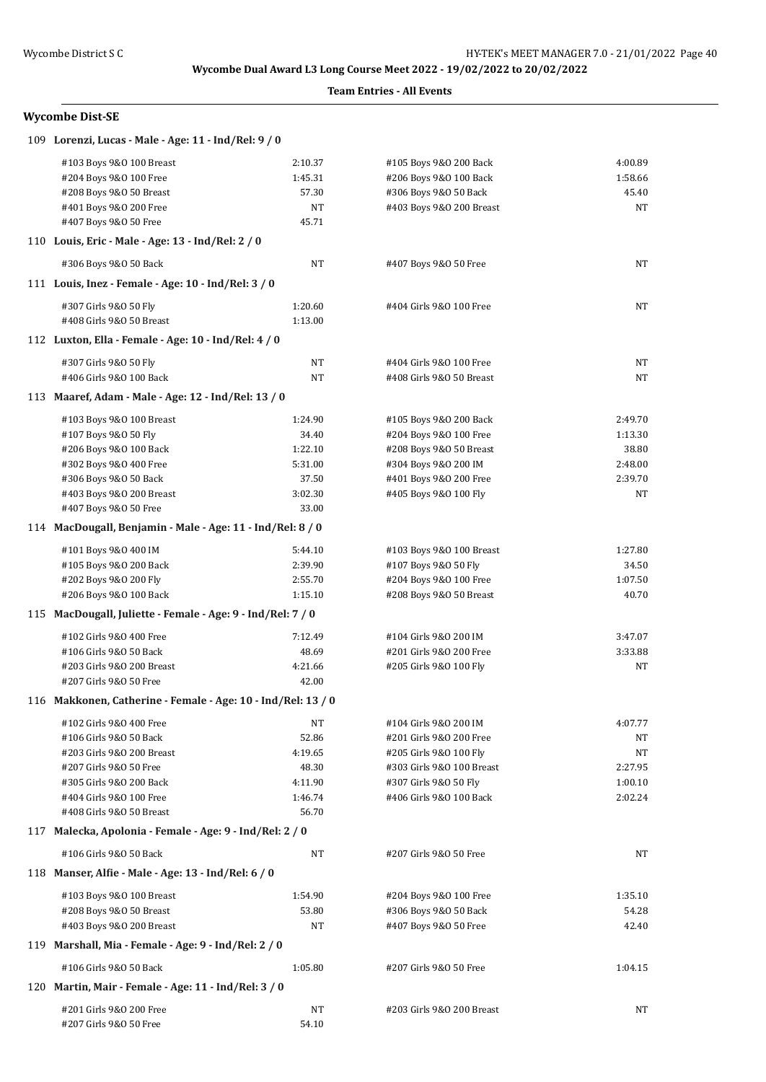## **Team Entries - All Events**

| 109 Lorenzi, Lucas - Male - Age: 11 - Ind/Rel: 9 / 0         |                  |                           |         |
|--------------------------------------------------------------|------------------|---------------------------|---------|
| #103 Boys 9&0 100 Breast                                     | 2:10.37          | #105 Boys 9&0 200 Back    | 4:00.89 |
| #204 Boys 9&0 100 Free                                       | 1:45.31          | #206 Boys 9&0 100 Back    | 1:58.66 |
| #208 Boys 9&0 50 Breast                                      | 57.30            | #306 Boys 9&0 50 Back     | 45.40   |
| #401 Boys 9&0 200 Free                                       | NT               | #403 Boys 9&0 200 Breast  | NT      |
| #407 Boys 9&0 50 Free                                        | 45.71            |                           |         |
| 110 Louis, Eric - Male - Age: 13 - Ind/Rel: 2 / 0            |                  |                           |         |
| #306 Boys 9&0 50 Back                                        | NT               | #407 Boys 9&0 50 Free     | NT      |
| 111 Louis, Inez - Female - Age: 10 - Ind/Rel: 3 / 0          |                  |                           |         |
| #307 Girls 9&0 50 Fly                                        | 1:20.60          | #404 Girls 9&0 100 Free   | NT      |
| #408 Girls 9&0 50 Breast                                     | 1:13.00          |                           |         |
| 112 Luxton, Ella - Female - Age: 10 - Ind/Rel: 4 / 0         |                  |                           |         |
| #307 Girls 9&0 50 Fly                                        | NT               | #404 Girls 9&0 100 Free   | NΤ      |
| #406 Girls 9&0 100 Back                                      | NT               | #408 Girls 9&0 50 Breast  | NT      |
| 113 Maaref, Adam - Male - Age: 12 - Ind/Rel: 13 / 0          |                  |                           |         |
| #103 Boys 9&0 100 Breast                                     | 1:24.90          | #105 Boys 9&0 200 Back    | 2:49.70 |
| #107 Boys 9&0 50 Fly                                         | 34.40            | #204 Boys 9&0 100 Free    | 1:13.30 |
| #206 Boys 9&0 100 Back                                       | 1:22.10          | #208 Boys 9&0 50 Breast   | 38.80   |
| #302 Boys 9&0 400 Free                                       | 5:31.00          | #304 Boys 9&0 200 IM      | 2:48.00 |
| #306 Boys 9&0 50 Back                                        | 37.50            | #401 Boys 9&0 200 Free    | 2:39.70 |
| #403 Boys 9&0 200 Breast                                     | 3:02.30          | #405 Boys 9&0 100 Fly     | NT      |
| #407 Boys 9&0 50 Free                                        | 33.00            |                           |         |
| 114 MacDougall, Benjamin - Male - Age: 11 - Ind/Rel: 8 / 0   |                  |                           |         |
| #101 Boys 9&0 400 IM                                         | 5:44.10          | #103 Boys 9&0 100 Breast  | 1:27.80 |
| #105 Boys 9&0 200 Back                                       | 2:39.90          | #107 Boys 9&0 50 Fly      | 34.50   |
| #202 Boys 9&0 200 Fly                                        | 2:55.70          | #204 Boys 9&0 100 Free    | 1:07.50 |
| #206 Boys 9&0 100 Back                                       | 1:15.10          | #208 Boys 9&0 50 Breast   | 40.70   |
| 115 MacDougall, Juliette - Female - Age: 9 - Ind/Rel: 7 / 0  |                  |                           |         |
| #102 Girls 9&0 400 Free                                      | 7:12.49          | #104 Girls 9&0 200 IM     | 3:47.07 |
| #106 Girls 9&0 50 Back                                       | 48.69            | #201 Girls 9&0 200 Free   | 3:33.88 |
| #203 Girls 9&0 200 Breast                                    | 4:21.66          | #205 Girls 9&0 100 Fly    | NT      |
| #207 Girls 9&0 50 Free                                       | 42.00            |                           |         |
| 116 Makkonen, Catherine - Female - Age: 10 - Ind/Rel: 13 / 0 |                  |                           |         |
| #102 Girls 9&0 400 Free                                      | NT               | #104 Girls 9&0 200 IM     | 4:07.77 |
| #106 Girls 9&0 50 Back                                       | 52.86            | #201 Girls 9&0 200 Free   | NT      |
| #203 Girls 9&0 200 Breast                                    | 4:19.65          | #205 Girls 9&0 100 Fly    | NT      |
| #207 Girls 9&0 50 Free                                       | 48.30            | #303 Girls 9&0 100 Breast | 2:27.95 |
| #305 Girls 9&0 200 Back                                      | 4:11.90          | #307 Girls 9&0 50 Fly     | 1:00.10 |
| #404 Girls 9&0 100 Free<br>#408 Girls 9&0 50 Breast          | 1:46.74<br>56.70 | #406 Girls 9&0 100 Back   | 2:02.24 |
| 117 Malecka, Apolonia - Female - Age: 9 - Ind/Rel: 2 / 0     |                  |                           |         |
|                                                              |                  |                           |         |
| #106 Girls 9&0 50 Back                                       | NT               | #207 Girls 9&0 50 Free    | NT      |
| 118 Manser, Alfie - Male - Age: 13 - Ind/Rel: 6 / 0          |                  |                           |         |
| #103 Boys 9&0 100 Breast                                     | 1:54.90          | #204 Boys 9&0 100 Free    | 1:35.10 |
| #208 Boys 9&0 50 Breast                                      | 53.80            | #306 Boys 9&0 50 Back     | 54.28   |
| #403 Boys 9&0 200 Breast                                     | NT               | #407 Boys 9&0 50 Free     | 42.40   |
| 119 Marshall, Mia - Female - Age: 9 - Ind/Rel: 2 / 0         |                  |                           |         |
| #106 Girls 9&0 50 Back                                       | 1:05.80          | #207 Girls 9&0 50 Free    | 1:04.15 |
| 120 Martin, Mair - Female - Age: 11 - Ind/Rel: 3 / 0         |                  |                           |         |
| #201 Girls 9&0 200 Free                                      | NT               | #203 Girls 9&0 200 Breast | NT      |
| #207 Girls 9&0 50 Free                                       | 54.10            |                           |         |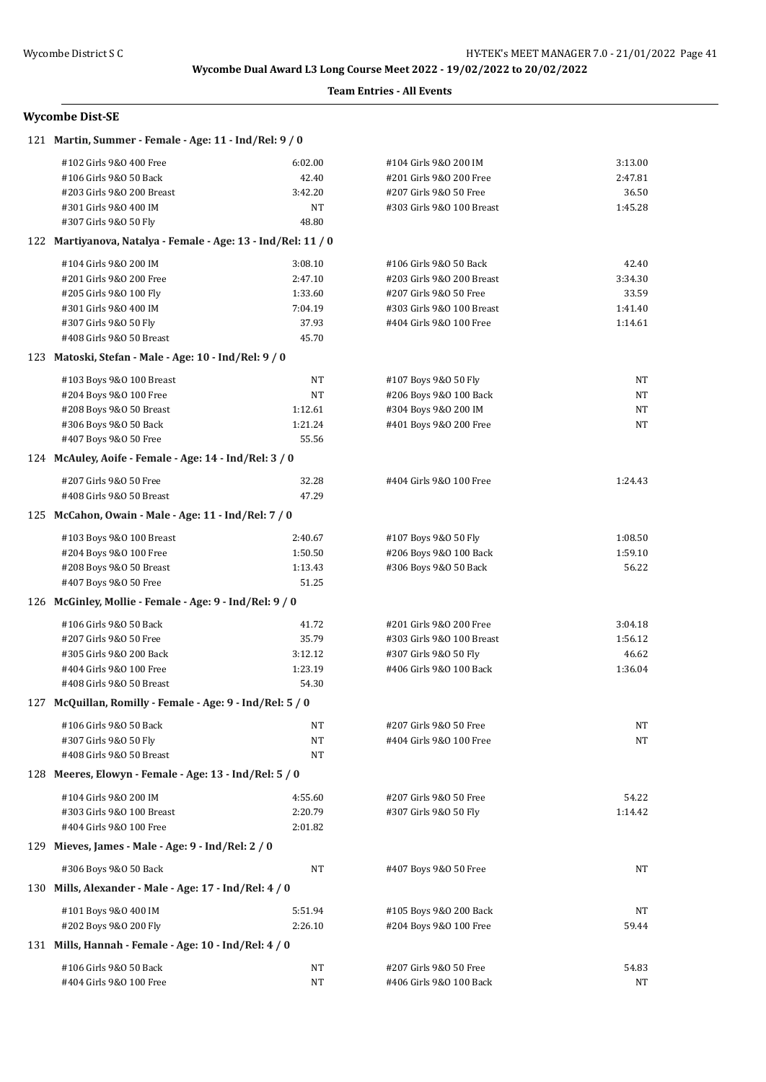## **Team Entries - All Events**

|     | 121 Martin, Summer - Female - Age: 11 - Ind/Rel: 9 / 0    |         |                           |           |
|-----|-----------------------------------------------------------|---------|---------------------------|-----------|
|     | #102 Girls 9&0 400 Free                                   | 6:02.00 | #104 Girls 9&0 200 IM     | 3:13.00   |
|     | #106 Girls 9&0 50 Back                                    | 42.40   | #201 Girls 9&0 200 Free   | 2:47.81   |
|     | #203 Girls 9&0 200 Breast                                 | 3:42.20 | #207 Girls 9&0 50 Free    | 36.50     |
|     | #301 Girls 9&0 400 IM                                     | NT      | #303 Girls 9&0 100 Breast | 1:45.28   |
|     | #307 Girls 9&0 50 Fly                                     | 48.80   |                           |           |
| 122 | Martiyanova, Natalya - Female - Age: 13 - Ind/Rel: 11 / 0 |         |                           |           |
|     | #104 Girls 9&0 200 IM                                     | 3:08.10 | #106 Girls 9&0 50 Back    | 42.40     |
|     | #201 Girls 9&0 200 Free                                   | 2:47.10 | #203 Girls 9&0 200 Breast | 3:34.30   |
|     | #205 Girls 9&0 100 Fly                                    | 1:33.60 | #207 Girls 9&0 50 Free    | 33.59     |
|     | #301 Girls 9&0 400 IM                                     | 7:04.19 | #303 Girls 9&0 100 Breast | 1:41.40   |
|     | #307 Girls 9&0 50 Fly                                     | 37.93   | #404 Girls 9&0 100 Free   | 1:14.61   |
|     | #408 Girls 9&0 50 Breast                                  | 45.70   |                           |           |
|     | 123 Matoski, Stefan - Male - Age: 10 - Ind/Rel: 9 / 0     |         |                           |           |
|     | #103 Boys 9&0 100 Breast                                  | NT      | #107 Boys 9&0 50 Fly      | NT        |
|     | #204 Boys 9&0 100 Free                                    | NT      | #206 Boys 9&0 100 Back    | <b>NT</b> |
|     | #208 Boys 9&0 50 Breast                                   | 1:12.61 | #304 Boys 9&0 200 IM      | NT        |
|     | #306 Boys 9&0 50 Back                                     | 1:21.24 | #401 Boys 9&0 200 Free    | <b>NT</b> |
|     | #407 Boys 9&0 50 Free                                     | 55.56   |                           |           |
|     | 124 McAuley, Aoife - Female - Age: 14 - Ind/Rel: 3 / 0    |         |                           |           |
|     | #207 Girls 9&0 50 Free                                    | 32.28   | #404 Girls 9&0 100 Free   | 1:24.43   |
|     | #408 Girls 9&0 50 Breast                                  | 47.29   |                           |           |
|     | 125 McCahon, Owain - Male - Age: 11 - Ind/Rel: 7 / 0      |         |                           |           |
|     | #103 Boys 9&0 100 Breast                                  | 2:40.67 | #107 Boys 9&0 50 Fly      | 1:08.50   |
|     | #204 Boys 9&0 100 Free                                    | 1:50.50 | #206 Boys 9&0 100 Back    | 1:59.10   |
|     | #208 Boys 9&0 50 Breast                                   | 1:13.43 | #306 Boys 9&0 50 Back     | 56.22     |
|     | #407 Boys 9&0 50 Free                                     | 51.25   |                           |           |
|     | 126 McGinley, Mollie - Female - Age: 9 - Ind/Rel: 9 / 0   |         |                           |           |
|     | #106 Girls 9&0 50 Back                                    | 41.72   | #201 Girls 9&0 200 Free   | 3:04.18   |
|     | #207 Girls 9&0 50 Free                                    | 35.79   | #303 Girls 9&0 100 Breast | 1:56.12   |
|     | #305 Girls 9&0 200 Back                                   | 3:12.12 | #307 Girls 9&0 50 Fly     | 46.62     |
|     | #404 Girls 9&0 100 Free                                   | 1:23.19 | #406 Girls 9&0 100 Back   | 1:36.04   |
|     | #408 Girls 9&0 50 Breast                                  | 54.30   |                           |           |
|     | 127 McQuillan, Romilly - Female - Age: 9 - Ind/Rel: 5 / 0 |         |                           |           |
|     | #106 Girls 9&0 50 Back                                    | NT      | #207 Girls 9&0 50 Free    | NT        |
|     | #307 Girls 9&0 50 Fly                                     | NT      | #404 Girls 9&0 100 Free   | <b>NT</b> |
|     | #408 Girls 9&0 50 Breast                                  | NT      |                           |           |
|     | 128 Meeres, Elowyn - Female - Age: 13 - Ind/Rel: 5 / 0    |         |                           |           |
|     | #104 Girls 9&0 200 IM                                     | 4:55.60 | #207 Girls 9&0 50 Free    | 54.22     |
|     | #303 Girls 9&0 100 Breast                                 | 2:20.79 | #307 Girls 9&0 50 Fly     | 1:14.42   |
|     | #404 Girls 9&0 100 Free                                   | 2:01.82 |                           |           |
|     | 129 Mieves, James - Male - Age: 9 - Ind/Rel: 2 / 0        |         |                           |           |
|     | #306 Boys 9&0 50 Back                                     | NT      | #407 Boys 9&0 50 Free     | NT        |
|     | 130 Mills, Alexander - Male - Age: 17 - Ind/Rel: 4 / 0    |         |                           |           |
|     | #101 Boys 9&0 400 IM                                      | 5:51.94 | #105 Boys 9&0 200 Back    | NT        |
|     | #202 Boys 9&0 200 Fly                                     | 2:26.10 | #204 Boys 9&0 100 Free    | 59.44     |
|     | 131 Mills, Hannah - Female - Age: 10 - Ind/Rel: 4 / 0     |         |                           |           |
|     | #106 Girls 9&0 50 Back                                    | NT      | #207 Girls 9&0 50 Free    | 54.83     |
|     | #404 Girls 9&0 100 Free                                   | NT      | #406 Girls 9&0 100 Back   | NT        |
|     |                                                           |         |                           |           |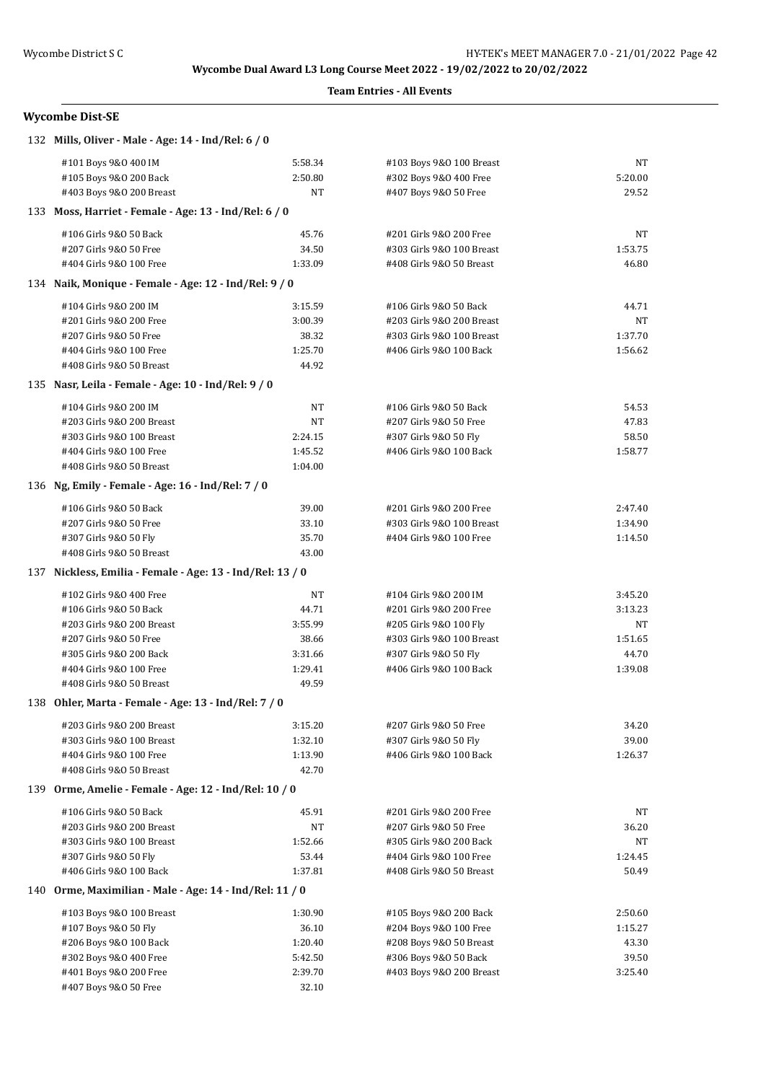### **Team Entries - All Events**

|     | 132 Mills, Oliver - Male - Age: 14 - Ind/Rel: 6 / 0       |           |                           |         |
|-----|-----------------------------------------------------------|-----------|---------------------------|---------|
|     | #101 Boys 9&0 400 IM                                      | 5:58.34   | #103 Boys 9&0 100 Breast  | NT      |
|     | #105 Boys 9&0 200 Back                                    | 2:50.80   | #302 Boys 9&0 400 Free    | 5:20.00 |
|     | #403 Boys 9&0 200 Breast                                  | NT        | #407 Boys 9&0 50 Free     | 29.52   |
|     | 133 Moss, Harriet - Female - Age: 13 - Ind/Rel: 6 / 0     |           |                           |         |
|     | #106 Girls 9&0 50 Back                                    | 45.76     | #201 Girls 9&0 200 Free   | NT      |
|     | #207 Girls 9&0 50 Free                                    | 34.50     | #303 Girls 9&0 100 Breast | 1:53.75 |
|     | #404 Girls 9&0 100 Free                                   | 1:33.09   | #408 Girls 9&0 50 Breast  | 46.80   |
|     | 134 Naik, Monique - Female - Age: 12 - Ind/Rel: 9 / 0     |           |                           |         |
|     | #104 Girls 9&0 200 IM                                     | 3:15.59   | #106 Girls 9&0 50 Back    | 44.71   |
|     | #201 Girls 9&0 200 Free                                   | 3:00.39   | #203 Girls 9&0 200 Breast | NT      |
|     | #207 Girls 9&0 50 Free                                    | 38.32     | #303 Girls 9&0 100 Breast | 1:37.70 |
|     | #404 Girls 9&0 100 Free                                   | 1:25.70   | #406 Girls 9&0 100 Back   | 1:56.62 |
|     | #408 Girls 9&0 50 Breast                                  | 44.92     |                           |         |
|     | 135 Nasr, Leila - Female - Age: 10 - Ind/Rel: 9 / 0       |           |                           |         |
|     |                                                           |           |                           |         |
|     | #104 Girls 9&0 200 IM                                     | NT        | #106 Girls 9&0 50 Back    | 54.53   |
|     | #203 Girls 9&0 200 Breast                                 | NT        | #207 Girls 9&0 50 Free    | 47.83   |
|     | #303 Girls 9&0 100 Breast                                 | 2:24.15   | #307 Girls 9&0 50 Fly     | 58.50   |
|     | #404 Girls 9&0 100 Free                                   | 1:45.52   | #406 Girls 9&0 100 Back   | 1:58.77 |
|     | #408 Girls 9&0 50 Breast                                  | 1:04.00   |                           |         |
|     | 136 Ng, Emily - Female - Age: 16 - Ind/Rel: 7 / 0         |           |                           |         |
|     | #106 Girls 9&0 50 Back                                    | 39.00     | #201 Girls 9&0 200 Free   | 2:47.40 |
|     | #207 Girls 9&0 50 Free                                    | 33.10     | #303 Girls 9&0 100 Breast | 1:34.90 |
|     | #307 Girls 9&0 50 Fly                                     | 35.70     | #404 Girls 9&0 100 Free   | 1:14.50 |
|     | #408 Girls 9&0 50 Breast                                  | 43.00     |                           |         |
|     | 137 Nickless, Emilia - Female - Age: 13 - Ind/Rel: 13 / 0 |           |                           |         |
|     | #102 Girls 9&0 400 Free                                   | NT        | #104 Girls 9&0 200 IM     | 3:45.20 |
|     | #106 Girls 9&0 50 Back                                    | 44.71     | #201 Girls 9&0 200 Free   | 3:13.23 |
|     | #203 Girls 9&0 200 Breast                                 | 3:55.99   | #205 Girls 9&0 100 Fly    | NT      |
|     | #207 Girls 9&0 50 Free                                    | 38.66     | #303 Girls 9&0 100 Breast | 1:51.65 |
|     | #305 Girls 9&0 200 Back                                   | 3:31.66   | #307 Girls 9&0 50 Fly     | 44.70   |
|     | #404 Girls 9&0 100 Free                                   | 1:29.41   | #406 Girls 9&0 100 Back   | 1:39.08 |
|     | #408 Girls 9&0 50 Breast                                  | 49.59     |                           |         |
|     | 138 Ohler, Marta - Female - Age: 13 - Ind/Rel: 7 / 0      |           |                           |         |
|     | #203 Girls 9&0 200 Breast                                 | 3:15.20   | #207 Girls 9&0 50 Free    | 34.20   |
|     | #303 Girls 9&0 100 Breast                                 | 1:32.10   | #307 Girls 9&0 50 Fly     | 39.00   |
|     | #404 Girls 9&0 100 Free                                   | 1:13.90   | #406 Girls 9&0 100 Back   | 1:26.37 |
|     | #408 Girls 9&0 50 Breast                                  | 42.70     |                           |         |
| 139 | Orme, Amelie - Female - Age: 12 - Ind/Rel: 10 / 0         |           |                           |         |
|     | #106 Girls 9&0 50 Back                                    | 45.91     | #201 Girls 9&0 200 Free   | NT      |
|     | #203 Girls 9&0 200 Breast                                 | $\rm{NT}$ | #207 Girls 9&0 50 Free    | 36.20   |
|     | #303 Girls 9&0 100 Breast                                 | 1:52.66   | #305 Girls 9&0 200 Back   | NT      |
|     | #307 Girls 9&0 50 Fly                                     | 53.44     | #404 Girls 9&0 100 Free   | 1:24.45 |
|     | #406 Girls 9&0 100 Back                                   | 1:37.81   | #408 Girls 9&0 50 Breast  | 50.49   |
|     | 140 Orme, Maximilian - Male - Age: 14 - Ind/Rel: 11 / 0   |           |                           |         |
|     | #103 Boys 9&0 100 Breast                                  | 1:30.90   | #105 Boys 9&0 200 Back    | 2:50.60 |
|     | #107 Boys 9&0 50 Fly                                      | 36.10     | #204 Boys 9&0 100 Free    | 1:15.27 |
|     | #206 Boys 9&0 100 Back                                    | 1:20.40   | #208 Boys 9&0 50 Breast   | 43.30   |
|     | #302 Boys 9&0 400 Free                                    | 5:42.50   | #306 Boys 9&0 50 Back     | 39.50   |
|     | #401 Boys 9&0 200 Free                                    | 2:39.70   | #403 Boys 9&0 200 Breast  | 3:25.40 |
|     | #407 Boys 9&0 50 Free                                     | 32.10     |                           |         |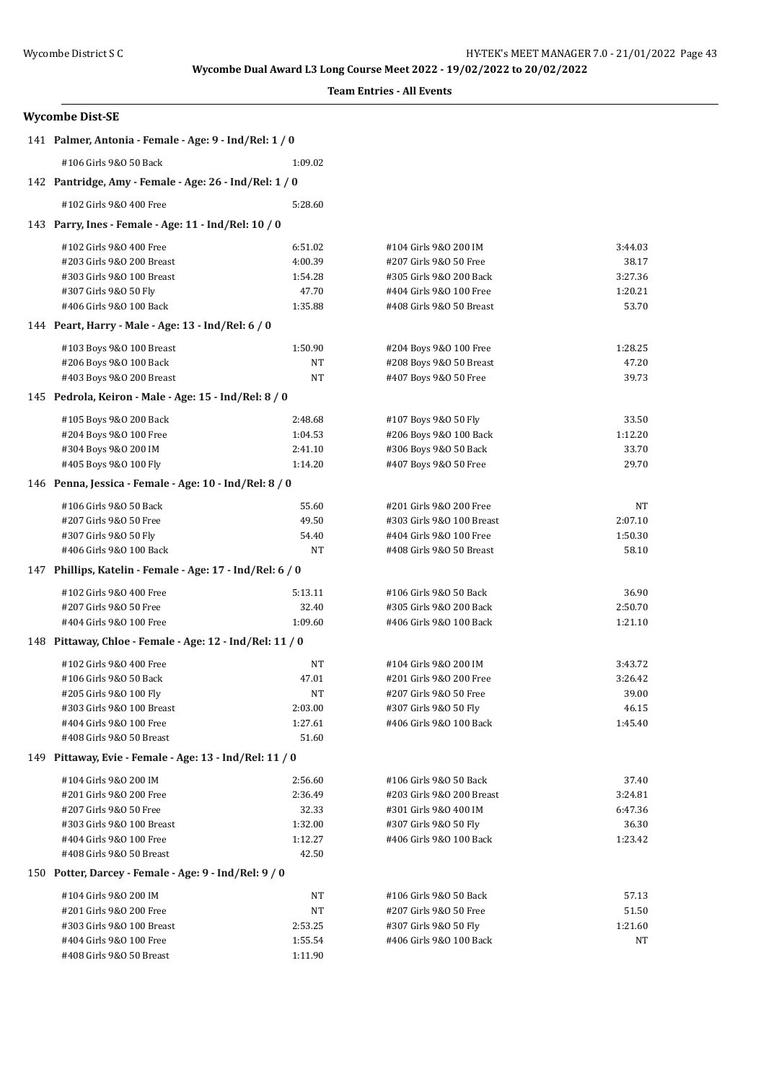## **Team Entries - All Events**

### **Wycombe Dist-SE**

 $\overline{a}$ 

| 141 Palmer, Antonia - Female - Age: 9 - Ind/Rel: 1 / 0    |         |                           |         |
|-----------------------------------------------------------|---------|---------------------------|---------|
| #106 Girls 9&0 50 Back                                    | 1:09.02 |                           |         |
| 142 Pantridge, Amy - Female - Age: 26 - Ind/Rel: 1 / 0    |         |                           |         |
| #102 Girls 9&0 400 Free                                   | 5:28.60 |                           |         |
| 143 Parry, Ines - Female - Age: 11 - Ind/Rel: 10 / 0      |         |                           |         |
| #102 Girls 9&0 400 Free                                   | 6:51.02 | #104 Girls 9&0 200 IM     | 3:44.03 |
| #203 Girls 9&0 200 Breast                                 | 4:00.39 | #207 Girls 9&0 50 Free    | 38.17   |
| #303 Girls 9&0 100 Breast                                 | 1:54.28 | #305 Girls 9&0 200 Back   | 3:27.36 |
| #307 Girls 9&0 50 Fly                                     | 47.70   | #404 Girls 9&0 100 Free   | 1:20.21 |
| #406 Girls 9&0 100 Back                                   | 1:35.88 | #408 Girls 9&0 50 Breast  | 53.70   |
| 144 Peart, Harry - Male - Age: 13 - Ind/Rel: 6 / 0        |         |                           |         |
| #103 Boys 9&0 100 Breast                                  | 1:50.90 | #204 Boys 9&0 100 Free    | 1:28.25 |
| #206 Boys 9&0 100 Back                                    | NT      | #208 Boys 9&0 50 Breast   | 47.20   |
| #403 Boys 9&0 200 Breast                                  | NT      | #407 Boys 9&0 50 Free     | 39.73   |
| 145 Pedrola, Keiron - Male - Age: 15 - Ind/Rel: 8 / 0     |         |                           |         |
| #105 Boys 9&0 200 Back                                    | 2:48.68 | #107 Boys 9&0 50 Fly      | 33.50   |
| #204 Boys 9&0 100 Free                                    | 1:04.53 | #206 Boys 9&0 100 Back    | 1:12.20 |
| #304 Boys 9&0 200 IM                                      | 2:41.10 | #306 Boys 9&0 50 Back     | 33.70   |
| #405 Boys 9&0 100 Fly                                     | 1:14.20 | #407 Boys 9&0 50 Free     | 29.70   |
| 146 Penna, Jessica - Female - Age: 10 - Ind/Rel: 8 / 0    |         |                           |         |
| #106 Girls 9&0 50 Back                                    | 55.60   | #201 Girls 9&0 200 Free   | NT      |
| #207 Girls 9&0 50 Free                                    | 49.50   | #303 Girls 9&0 100 Breast | 2:07.10 |
| #307 Girls 9&0 50 Fly                                     | 54.40   | #404 Girls 9&0 100 Free   | 1:50.30 |
| #406 Girls 9&0 100 Back                                   | NT      | #408 Girls 9&0 50 Breast  | 58.10   |
| 147 Phillips, Katelin - Female - Age: 17 - Ind/Rel: 6 / 0 |         |                           |         |
| #102 Girls 9&0 400 Free                                   | 5:13.11 | #106 Girls 9&0 50 Back    | 36.90   |
| #207 Girls 9&0 50 Free                                    | 32.40   | #305 Girls 9&0 200 Back   | 2:50.70 |
| #404 Girls 9&0 100 Free                                   | 1:09.60 | #406 Girls 9&0 100 Back   | 1:21.10 |
| 148 Pittaway, Chloe - Female - Age: 12 - Ind/Rel: 11 / 0  |         |                           |         |
| #102 Girls 9&0 400 Free                                   | NT      | #104 Girls 9&0 200 IM     | 3:43.72 |
| #106 Girls 9&0 50 Back                                    | 47.01   | #201 Girls 9&0 200 Free   | 3:26.42 |
| #205 Girls 9&0 100 Fly                                    | NT      | #207 Girls 9&0 50 Free    | 39.00   |
| #303 Girls 9&0 100 Breast                                 | 2:03.00 | #307 Girls 9&0 50 Fly     | 46.15   |
| #404 Girls 9&0 100 Free                                   | 1:27.61 | #406 Girls 9&0 100 Back   | 1:45.40 |
| #408 Girls 9&0 50 Breast                                  | 51.60   |                           |         |
| 149 Pittaway, Evie - Female - Age: 13 - Ind/Rel: 11 / 0   |         |                           |         |
| #104 Girls 9&0 200 IM                                     | 2:56.60 | #106 Girls 9&0 50 Back    | 37.40   |
| #201 Girls 9&0 200 Free                                   | 2:36.49 | #203 Girls 9&0 200 Breast | 3:24.81 |
| #207 Girls 9&0 50 Free                                    | 32.33   | #301 Girls 9&0 400 IM     | 6:47.36 |
| #303 Girls 9&0 100 Breast                                 | 1:32.00 | #307 Girls 9&0 50 Fly     | 36.30   |
| #404 Girls 9&0 100 Free                                   | 1:12.27 | #406 Girls 9&0 100 Back   | 1:23.42 |
| #408 Girls 9&0 50 Breast                                  | 42.50   |                           |         |
| 150 Potter, Darcey - Female - Age: 9 - Ind/Rel: 9 / 0     |         |                           |         |
| #104 Girls 9&0 200 IM                                     | NT      | #106 Girls 9&0 50 Back    | 57.13   |
| #201 Girls 9&0 200 Free                                   | NT      | #207 Girls 9&0 50 Free    | 51.50   |
| #303 Girls 9&0 100 Breast                                 | 2:53.25 | #307 Girls 9&0 50 Fly     | 1:21.60 |
| #404 Girls 9&0 100 Free                                   | 1:55.54 | #406 Girls 9&0 100 Back   | NT      |
| #408 Girls 9&0 50 Breast                                  | 1:11.90 |                           |         |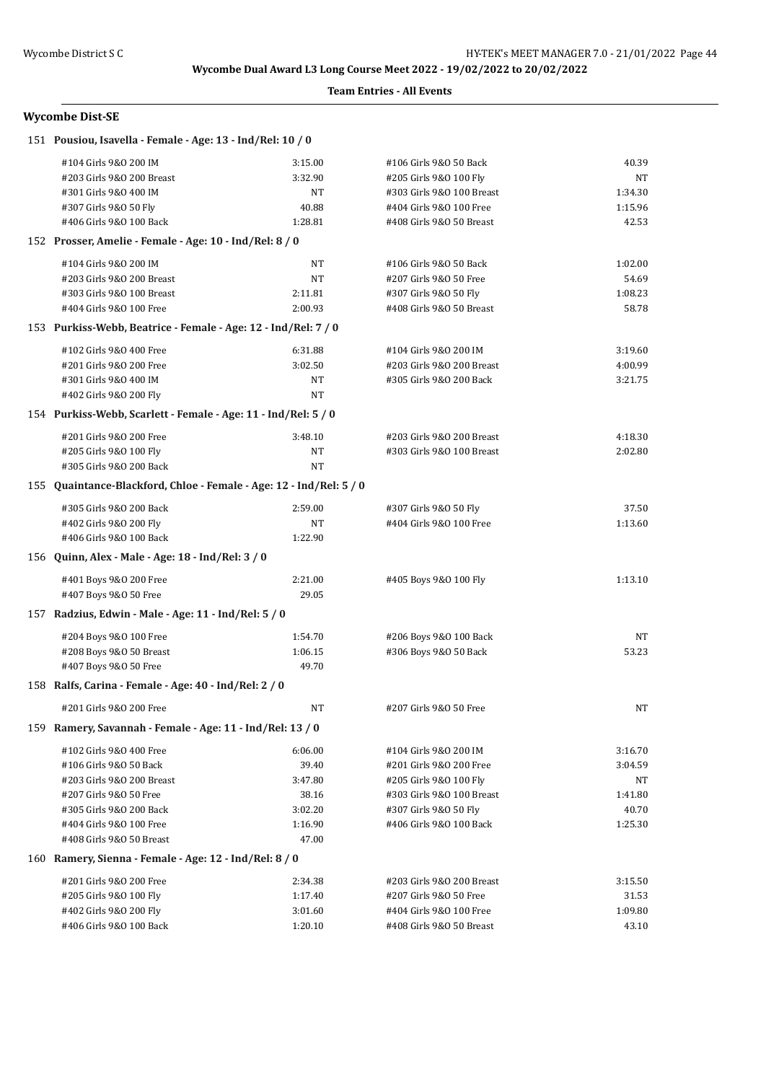## **Team Entries - All Events**

| 151 Pousiou, Isavella - Female - Age: 13 - Ind/Rel: 10 / 0          |         |                           |         |
|---------------------------------------------------------------------|---------|---------------------------|---------|
| #104 Girls 9&0 200 IM                                               | 3:15.00 | #106 Girls 9&0 50 Back    | 40.39   |
| #203 Girls 9&0 200 Breast                                           | 3:32.90 | #205 Girls 9&0 100 Fly    | NT      |
| #301 Girls 9&0 400 IM                                               | NT      | #303 Girls 9&0 100 Breast | 1:34.30 |
| #307 Girls 9&0 50 Fly                                               | 40.88   | #404 Girls 9&0 100 Free   | 1:15.96 |
| #406 Girls 9&0 100 Back                                             | 1:28.81 | #408 Girls 9&0 50 Breast  | 42.53   |
| 152 Prosser, Amelie - Female - Age: 10 - Ind/Rel: 8 / 0             |         |                           |         |
| #104 Girls 9&0 200 IM                                               | NT      | #106 Girls 9&0 50 Back    | 1:02.00 |
| #203 Girls 9&0 200 Breast                                           | NT      | #207 Girls 9&0 50 Free    | 54.69   |
| #303 Girls 9&0 100 Breast                                           | 2:11.81 | #307 Girls 9&0 50 Fly     | 1:08.23 |
| #404 Girls 9&0 100 Free                                             | 2:00.93 | #408 Girls 9&0 50 Breast  | 58.78   |
| 153 Purkiss-Webb, Beatrice - Female - Age: 12 - Ind/Rel: 7 / 0      |         |                           |         |
|                                                                     |         |                           |         |
| #102 Girls 9&0 400 Free                                             | 6:31.88 | #104 Girls 9&0 200 IM     | 3:19.60 |
| #201 Girls 9&0 200 Free                                             | 3:02.50 | #203 Girls 9&0 200 Breast | 4:00.99 |
| #301 Girls 9&0 400 IM                                               | NT      | #305 Girls 9&0 200 Back   | 3:21.75 |
| #402 Girls 9&0 200 Fly                                              | NT      |                           |         |
| 154 Purkiss-Webb, Scarlett - Female - Age: 11 - Ind/Rel: 5 / 0      |         |                           |         |
| #201 Girls 9&0 200 Free                                             | 3:48.10 | #203 Girls 9&0 200 Breast | 4:18.30 |
| #205 Girls 9&0 100 Fly                                              | NT      | #303 Girls 9&0 100 Breast | 2:02.80 |
| #305 Girls 9&0 200 Back                                             | NT      |                           |         |
| 155 Quaintance-Blackford, Chloe - Female - Age: 12 - Ind/Rel: 5 / 0 |         |                           |         |
| #305 Girls 9&0 200 Back                                             | 2:59.00 | #307 Girls 9&0 50 Fly     | 37.50   |
| #402 Girls 9&0 200 Fly                                              | NT      | #404 Girls 9&0 100 Free   | 1:13.60 |
| #406 Girls 9&0 100 Back                                             | 1:22.90 |                           |         |
| 156 Quinn, Alex - Male - Age: 18 - Ind/Rel: 3 / 0                   |         |                           |         |
| #401 Boys 9&0 200 Free                                              | 2:21.00 | #405 Boys 9&0 100 Fly     | 1:13.10 |
| #407 Boys 9&0 50 Free                                               | 29.05   |                           |         |
| 157 Radzius, Edwin - Male - Age: 11 - Ind/Rel: 5 / 0                |         |                           |         |
|                                                                     |         |                           |         |
| #204 Boys 9&0 100 Free                                              | 1:54.70 | #206 Boys 9&0 100 Back    | NT      |
| #208 Boys 9&0 50 Breast                                             | 1:06.15 | #306 Boys 9&0 50 Back     | 53.23   |
| #407 Boys 9&0 50 Free                                               | 49.70   |                           |         |
| 158 Ralfs, Carina - Female - Age: 40 - Ind/Rel: 2 / 0               |         |                           |         |
| #201 Girls 9&0 200 Free                                             | NT      | #207 Girls 9&0 50 Free    | NT      |
| 159 Ramery, Savannah - Female - Age: 11 - Ind/Rel: 13 / 0           |         |                           |         |
| #102 Girls 9&0 400 Free                                             | 6:06.00 | #104 Girls 9&0 200 IM     | 3:16.70 |
| #106 Girls 9&0 50 Back                                              | 39.40   | #201 Girls 9&0 200 Free   | 3:04.59 |
| #203 Girls 9&0 200 Breast                                           | 3:47.80 | #205 Girls 9&0 100 Fly    | NT      |
| #207 Girls 9&0 50 Free                                              | 38.16   | #303 Girls 9&0 100 Breast | 1:41.80 |
| #305 Girls 9&0 200 Back                                             | 3:02.20 | #307 Girls 9&0 50 Fly     | 40.70   |
| #404 Girls 9&0 100 Free                                             | 1:16.90 | #406 Girls 9&0 100 Back   | 1:25.30 |
| #408 Girls 9&0 50 Breast                                            | 47.00   |                           |         |
| 160 Ramery, Sienna - Female - Age: 12 - Ind/Rel: 8 / 0              |         |                           |         |
| #201 Girls 9&0 200 Free                                             | 2:34.38 | #203 Girls 9&0 200 Breast | 3:15.50 |
| #205 Girls 9&0 100 Fly                                              | 1:17.40 | #207 Girls 9&0 50 Free    | 31.53   |
| #402 Girls 9&0 200 Fly                                              | 3:01.60 | #404 Girls 9&0 100 Free   | 1:09.80 |
| #406 Girls 9&0 100 Back                                             | 1:20.10 | #408 Girls 9&0 50 Breast  | 43.10   |
|                                                                     |         |                           |         |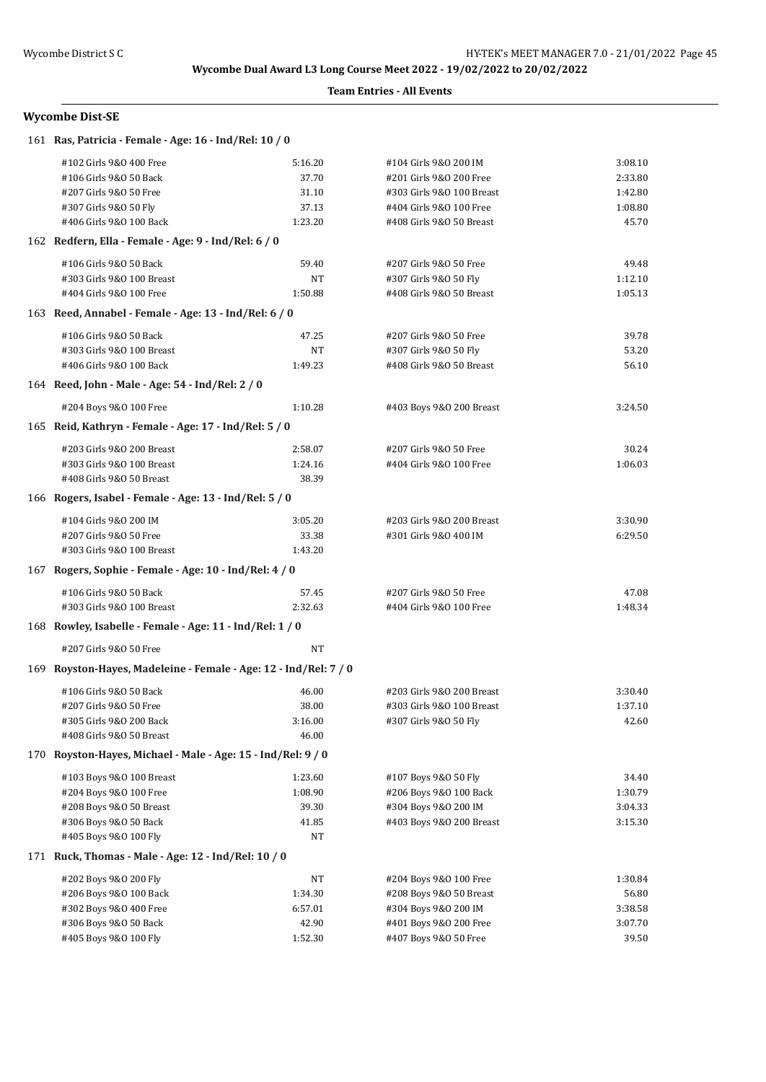## **Team Entries - All Events**

| 161 Ras, Patricia - Female - Age: 16 - Ind/Rel: 10 / 0           |         |                           |         |
|------------------------------------------------------------------|---------|---------------------------|---------|
| #102 Girls 9&0 400 Free                                          | 5:16.20 | #104 Girls 9&0 200 IM     | 3:08.10 |
| #106 Girls 9&0 50 Back                                           | 37.70   | #201 Girls 9&0 200 Free   | 2:33.80 |
| #207 Girls 9&0 50 Free                                           | 31.10   | #303 Girls 9&0 100 Breast | 1:42.80 |
| #307 Girls 9&0 50 Fly                                            | 37.13   | #404 Girls 9&0 100 Free   | 1:08.80 |
| #406 Girls 9&0 100 Back                                          | 1:23.20 | #408 Girls 9&0 50 Breast  | 45.70   |
| 162 Redfern, Ella - Female - Age: 9 - Ind/Rel: 6 / 0             |         |                           |         |
| #106 Girls 9&0 50 Back                                           | 59.40   | #207 Girls 9&0 50 Free    | 49.48   |
| #303 Girls 9&0 100 Breast                                        | NT      | #307 Girls 9&0 50 Fly     | 1:12.10 |
| #404 Girls 9&0 100 Free                                          | 1:50.88 | #408 Girls 9&0 50 Breast  | 1:05.13 |
| 163 Reed, Annabel - Female - Age: 13 - Ind/Rel: 6 / 0            |         |                           |         |
| #106 Girls 9&0 50 Back                                           | 47.25   | #207 Girls 9&0 50 Free    | 39.78   |
| #303 Girls 9&0 100 Breast                                        | NT      | #307 Girls 9&0 50 Fly     | 53.20   |
| #406 Girls 9&0 100 Back                                          | 1:49.23 | #408 Girls 9&0 50 Breast  | 56.10   |
| 164 Reed, John - Male - Age: 54 - Ind/Rel: 2 / 0                 |         |                           |         |
| #204 Boys 9&0 100 Free                                           | 1:10.28 | #403 Boys 9&0 200 Breast  | 3:24.50 |
| 165 Reid, Kathryn - Female - Age: 17 - Ind/Rel: 5 / 0            |         |                           |         |
| #203 Girls 9&0 200 Breast                                        | 2:58.07 | #207 Girls 9&0 50 Free    | 30.24   |
| #303 Girls 9&0 100 Breast                                        | 1:24.16 | #404 Girls 9&0 100 Free   | 1:06.03 |
| #408 Girls 9&0 50 Breast                                         | 38.39   |                           |         |
| 166 Rogers, Isabel - Female - Age: 13 - Ind/Rel: 5 / 0           |         |                           |         |
| #104 Girls 9&0 200 IM                                            | 3:05.20 | #203 Girls 9&0 200 Breast | 3:30.90 |
| #207 Girls 9&0 50 Free                                           | 33.38   | #301 Girls 9&0 400 IM     | 6:29.50 |
| #303 Girls 9&0 100 Breast                                        | 1:43.20 |                           |         |
| 167 Rogers, Sophie - Female - Age: 10 - Ind/Rel: 4 / 0           |         |                           |         |
| #106 Girls 9&0 50 Back                                           | 57.45   | #207 Girls 9&0 50 Free    | 47.08   |
| #303 Girls 9&0 100 Breast                                        | 2:32.63 | #404 Girls 9&0 100 Free   | 1:48.34 |
| 168 Rowley, Isabelle - Female - Age: 11 - Ind/Rel: 1 / 0         |         |                           |         |
| #207 Girls 9&0 50 Free                                           | NT      |                           |         |
| 169 Royston-Hayes, Madeleine - Female - Age: 12 - Ind/Rel: 7 / 0 |         |                           |         |
| #106 Girls 9&0 50 Back                                           | 46.00   | #203 Girls 9&0 200 Breast | 3:30.40 |
| #207 Girls 9&0 50 Free                                           | 38.00   | #303 Girls 9&0 100 Breast | 1:37.10 |
| #305 Girls 9&0 200 Back                                          | 3:16.00 | #307 Girls 9&0 50 Fly     | 42.60   |
| #408 Girls 9&0 50 Breast                                         | 46.00   |                           |         |
| 170 Royston-Hayes, Michael - Male - Age: 15 - Ind/Rel: 9 / 0     |         |                           |         |
| #103 Boys 9&0 100 Breast                                         | 1:23.60 | #107 Boys 9&0 50 Fly      | 34.40   |
| #204 Boys 9&0 100 Free                                           | 1:08.90 | #206 Boys 9&0 100 Back    | 1:30.79 |
| #208 Boys 9&0 50 Breast                                          | 39.30   | #304 Boys 9&0 200 IM      | 3:04.33 |
| #306 Boys 9&0 50 Back                                            | 41.85   | #403 Boys 9&0 200 Breast  | 3:15.30 |
| #405 Boys 9&0 100 Fly                                            | NT      |                           |         |
| 171 Ruck, Thomas - Male - Age: 12 - Ind/Rel: 10 / 0              |         |                           |         |
| #202 Boys 9&0 200 Fly                                            | NT      | #204 Boys 9&0 100 Free    | 1:30.84 |
| #206 Boys 9&0 100 Back                                           | 1:34.30 | #208 Boys 9&0 50 Breast   | 56.80   |
| #302 Boys 9&0 400 Free                                           | 6:57.01 | #304 Boys 9&0 200 IM      | 3:38.58 |
| #306 Boys 9&0 50 Back                                            | 42.90   | #401 Boys 9&0 200 Free    | 3:07.70 |
| #405 Boys 9&0 100 Fly                                            | 1:52.30 | #407 Boys 9&0 50 Free     | 39.50   |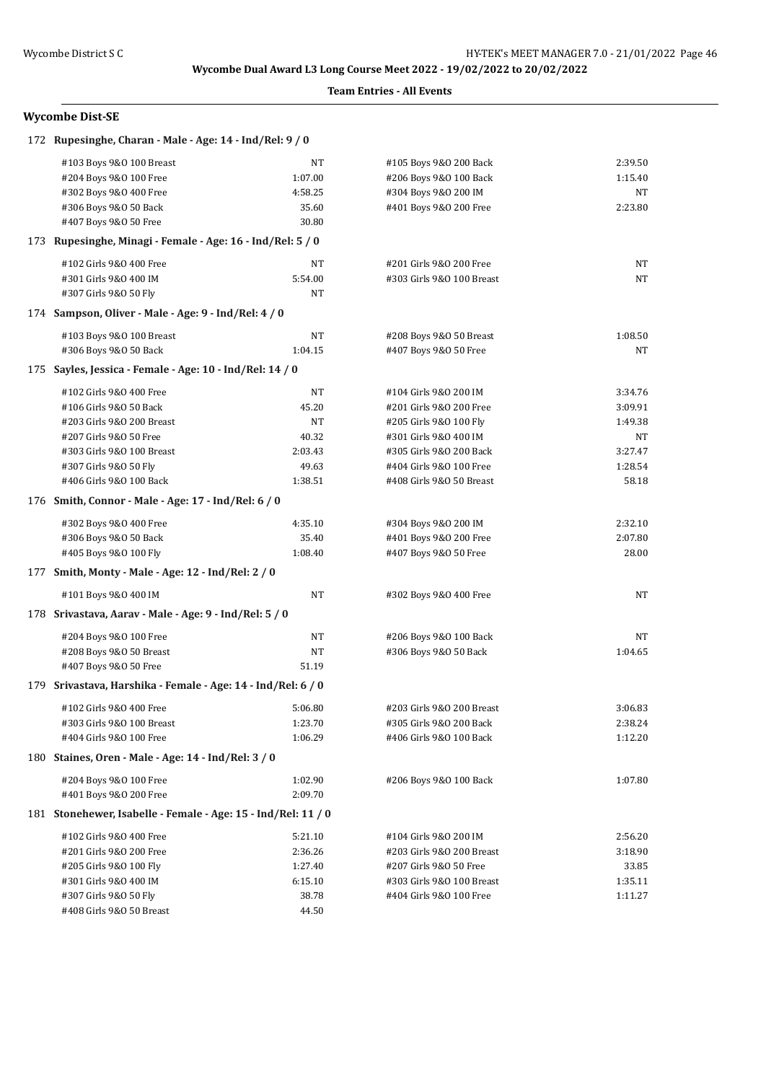## **Team Entries - All Events**

| 172 Rupesinghe, Charan - Male - Age: 14 - Ind/Rel: 9 / 0      |         |                           |         |
|---------------------------------------------------------------|---------|---------------------------|---------|
| #103 Boys 9&0 100 Breast                                      | NT      | #105 Boys 9&0 200 Back    | 2:39.50 |
| #204 Boys 9&0 100 Free                                        | 1:07.00 | #206 Boys 9&0 100 Back    | 1:15.40 |
| #302 Boys 9&0 400 Free                                        | 4:58.25 | #304 Boys 9&0 200 IM      | NΤ      |
| #306 Boys 9&0 50 Back                                         | 35.60   | #401 Boys 9&0 200 Free    | 2:23.80 |
| #407 Boys 9&0 50 Free                                         | 30.80   |                           |         |
| 173 Rupesinghe, Minagi - Female - Age: 16 - Ind/Rel: 5 / 0    |         |                           |         |
| #102 Girls 9&0 400 Free                                       | NT      | #201 Girls 9&0 200 Free   | NT      |
| #301 Girls 9&0 400 IM                                         | 5:54.00 | #303 Girls 9&0 100 Breast | NT      |
| #307 Girls 9&0 50 Fly                                         | NΤ      |                           |         |
| 174 Sampson, Oliver - Male - Age: 9 - Ind/Rel: 4 / 0          |         |                           |         |
| #103 Boys 9&0 100 Breast                                      | NT      | #208 Boys 9&0 50 Breast   | 1:08.50 |
| #306 Boys 9&0 50 Back                                         | 1:04.15 | #407 Boys 9&0 50 Free     | NT      |
| 175 Sayles, Jessica - Female - Age: 10 - Ind/Rel: 14 / 0      |         |                           |         |
| #102 Girls 9&0 400 Free                                       | NT      | #104 Girls 9&0 200 IM     | 3:34.76 |
| #106 Girls 9&0 50 Back                                        | 45.20   | #201 Girls 9&0 200 Free   | 3:09.91 |
| #203 Girls 9&0 200 Breast                                     | NT      | #205 Girls 9&0 100 Fly    | 1:49.38 |
| #207 Girls 9&0 50 Free                                        | 40.32   | #301 Girls 9&0 400 IM     | NΤ      |
| #303 Girls 9&0 100 Breast                                     | 2:03.43 | #305 Girls 9&0 200 Back   | 3:27.47 |
| #307 Girls 9&0 50 Fly                                         | 49.63   | #404 Girls 9&0 100 Free   | 1:28.54 |
| #406 Girls 9&0 100 Back                                       | 1:38.51 | #408 Girls 9&0 50 Breast  | 58.18   |
| 176 Smith, Connor - Male - Age: 17 - Ind/Rel: 6 / 0           |         |                           |         |
| #302 Boys 9&0 400 Free                                        | 4:35.10 | #304 Boys 9&0 200 IM      | 2:32.10 |
| #306 Boys 9&0 50 Back                                         | 35.40   | #401 Boys 9&0 200 Free    | 2:07.80 |
| #405 Boys 9&0 100 Fly                                         | 1:08.40 | #407 Boys 9&0 50 Free     | 28.00   |
| 177 Smith, Monty - Male - Age: 12 - Ind/Rel: 2 / 0            |         |                           |         |
| #101 Boys 9&0 400 IM                                          | NT      | #302 Boys 9&0 400 Free    | NT      |
| 178 Srivastava, Aarav - Male - Age: 9 - Ind/Rel: 5 / 0        |         |                           |         |
| #204 Boys 9&0 100 Free                                        | NT      | #206 Boys 9&0 100 Back    | NT      |
| #208 Boys 9&0 50 Breast                                       | NT      | #306 Boys 9&0 50 Back     | 1:04.65 |
| #407 Boys 9&0 50 Free                                         | 51.19   |                           |         |
| 179 Srivastava, Harshika - Female - Age: 14 - Ind/Rel: 6 / 0  |         |                           |         |
| #102 Girls 9&0 400 Free                                       | 5:06.80 | #203 Girls 9&0 200 Breast | 3:06.83 |
| #303 Girls 9&0 100 Breast                                     | 1:23.70 | #305 Girls 9&0 200 Back   | 2:38.24 |
| #404 Girls 9&0 100 Free                                       | 1:06.29 | #406 Girls 9&0 100 Back   | 1:12.20 |
| 180 Staines, Oren - Male - Age: 14 - Ind/Rel: 3 / 0           |         |                           |         |
| #204 Boys 9&0 100 Free                                        | 1:02.90 | #206 Boys 9&0 100 Back    | 1:07.80 |
| #401 Boys 9&0 200 Free                                        | 2:09.70 |                           |         |
| 181 Stonehewer, Isabelle - Female - Age: 15 - Ind/Rel: 11 / 0 |         |                           |         |
| #102 Girls 9&0 400 Free                                       | 5:21.10 | #104 Girls 9&0 200 IM     | 2:56.20 |
| #201 Girls 9&0 200 Free                                       | 2:36.26 | #203 Girls 9&0 200 Breast | 3:18.90 |
| #205 Girls 9&0 100 Fly                                        | 1:27.40 | #207 Girls 9&0 50 Free    | 33.85   |
| #301 Girls 9&0 400 IM                                         | 6:15.10 | #303 Girls 9&0 100 Breast | 1:35.11 |
| #307 Girls 9&0 50 Fly                                         | 38.78   | #404 Girls 9&0 100 Free   | 1:11.27 |
| #408 Girls 9&0 50 Breast                                      | 44.50   |                           |         |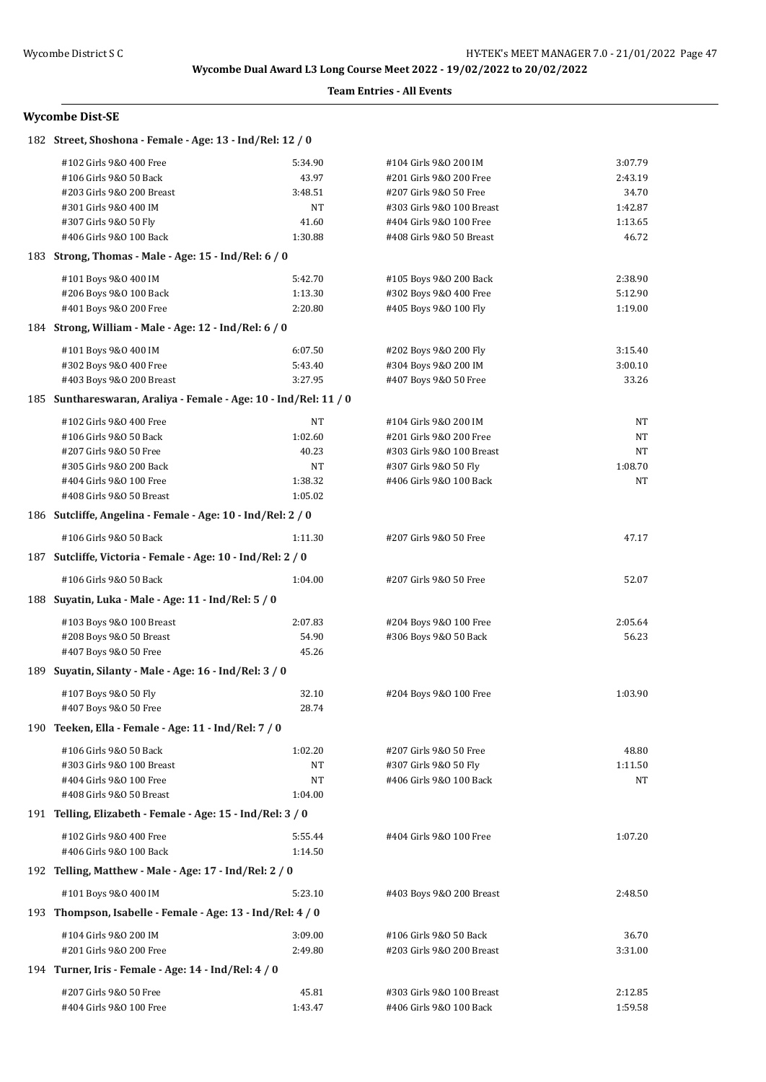## **Team Entries - All Events**

| 182 Street, Shoshona - Female - Age: 13 - Ind/Rel: 12 / 0        |                    |                           |           |
|------------------------------------------------------------------|--------------------|---------------------------|-----------|
| #102 Girls 9&0 400 Free                                          | 5:34.90            | #104 Girls 9&0 200 IM     | 3:07.79   |
| #106 Girls 9&0 50 Back                                           | 43.97              | #201 Girls 9&0 200 Free   | 2:43.19   |
| #203 Girls 9&0 200 Breast                                        | 3:48.51            | #207 Girls 9&0 50 Free    | 34.70     |
| #301 Girls 9&0 400 IM                                            | NT                 | #303 Girls 9&0 100 Breast | 1:42.87   |
| #307 Girls 9&0 50 Fly                                            | 41.60              | #404 Girls 9&0 100 Free   | 1:13.65   |
| #406 Girls 9&0 100 Back                                          | 1:30.88            | #408 Girls 9&0 50 Breast  | 46.72     |
| 183 Strong, Thomas - Male - Age: 15 - Ind/Rel: 6 / 0             |                    |                           |           |
| #101 Boys 9&0 400 IM                                             | 5:42.70            | #105 Boys 9&0 200 Back    | 2:38.90   |
| #206 Boys 9&0 100 Back                                           | 1:13.30            | #302 Boys 9&0 400 Free    | 5:12.90   |
| #401 Boys 9&0 200 Free                                           | 2:20.80            | #405 Boys 9&0 100 Fly     | 1:19.00   |
| 184 Strong, William - Male - Age: 12 - Ind/Rel: 6 / 0            |                    |                           |           |
| #101 Boys 9&0 400 IM                                             | 6:07.50            | #202 Boys 9&0 200 Fly     | 3:15.40   |
| #302 Boys 9&0 400 Free                                           | 5:43.40            | #304 Boys 9&0 200 IM      | 3:00.10   |
| #403 Boys 9&0 200 Breast                                         | 3:27.95            | #407 Boys 9&0 50 Free     | 33.26     |
| 185 Sunthareswaran, Araliya - Female - Age: 10 - Ind/Rel: 11 / 0 |                    |                           |           |
| #102 Girls 9&0 400 Free                                          | NT                 | #104 Girls 9&0 200 IM     | NT        |
| #106 Girls 9&0 50 Back                                           | 1:02.60            | #201 Girls 9&0 200 Free   | <b>NT</b> |
| #207 Girls 9&0 50 Free                                           | 40.23              | #303 Girls 9&0 100 Breast | NT        |
| #305 Girls 9&0 200 Back                                          | NT                 | #307 Girls 9&0 50 Fly     | 1:08.70   |
| #404 Girls 9&0 100 Free                                          | 1:38.32            | #406 Girls 9&0 100 Back   | NT        |
| #408 Girls 9&0 50 Breast                                         | 1:05.02            |                           |           |
| 186 Sutcliffe, Angelina - Female - Age: 10 - Ind/Rel: 2 / 0      |                    |                           |           |
| #106 Girls 9&0 50 Back                                           | 1:11.30            | #207 Girls 9&0 50 Free    | 47.17     |
| 187 Sutcliffe, Victoria - Female - Age: 10 - Ind/Rel: 2 / 0      |                    |                           |           |
| #106 Girls 9&0 50 Back                                           | 1:04.00            | #207 Girls 9&0 50 Free    | 52.07     |
| 188 Suyatin, Luka - Male - Age: 11 - Ind/Rel: 5 / 0              |                    |                           |           |
|                                                                  |                    |                           |           |
| #103 Boys 9&0 100 Breast                                         | 2:07.83            | #204 Boys 9&0 100 Free    | 2:05.64   |
| #208 Boys 9&0 50 Breast                                          | 54.90              | #306 Boys 9&0 50 Back     | 56.23     |
| #407 Boys 9&0 50 Free                                            | 45.26              |                           |           |
| 189 Suyatin, Silanty - Male - Age: 16 - Ind/Rel: 3 / 0           |                    |                           |           |
| #107 Boys 9&0 50 Fly                                             | 32.10              | #204 Boys 9&0 100 Free    | 1:03.90   |
| #407 Boys 9&0 50 Free                                            | 28.74              |                           |           |
| 190 Teeken, Ella - Female - Age: 11 - Ind/Rel: 7 / 0             |                    |                           |           |
| #106 Girls 9&0 50 Back                                           | 1:02.20            | #207 Girls 9&0 50 Free    | 48.80     |
| #303 Girls 9&0 100 Breast                                        | NT                 | #307 Girls 9&0 50 Fly     | 1:11.50   |
| #404 Girls 9&0 100 Free                                          | NT                 | #406 Girls 9&0 100 Back   | NT        |
| #408 Girls 9&0 50 Breast                                         | 1:04.00            |                           |           |
| 191 Telling, Elizabeth - Female - Age: 15 - Ind/Rel: 3 / 0       |                    |                           |           |
|                                                                  |                    |                           |           |
| #102 Girls 9&0 400 Free<br>#406 Girls 9&0 100 Back               | 5:55.44<br>1:14.50 | #404 Girls 9&0 100 Free   | 1:07.20   |
| 192 Telling, Matthew - Male - Age: 17 - Ind/Rel: 2 / 0           |                    |                           |           |
| #101 Boys 9&0 400 IM                                             | 5:23.10            | #403 Boys 9&0 200 Breast  | 2:48.50   |
| 193 Thompson, Isabelle - Female - Age: 13 - Ind/Rel: 4 / 0       |                    |                           |           |
| #104 Girls 9&0 200 IM                                            | 3:09.00            | #106 Girls 9&0 50 Back    | 36.70     |
| #201 Girls 9&0 200 Free                                          | 2:49.80            | #203 Girls 9&0 200 Breast | 3:31.00   |
| 194 Turner, Iris - Female - Age: 14 - Ind/Rel: 4 / 0             |                    |                           |           |
| #207 Girls 9&0 50 Free                                           | 45.81              | #303 Girls 9&0 100 Breast | 2:12.85   |
| #404 Girls 9&0 100 Free                                          | 1:43.47            | #406 Girls 9&0 100 Back   | 1:59.58   |
|                                                                  |                    |                           |           |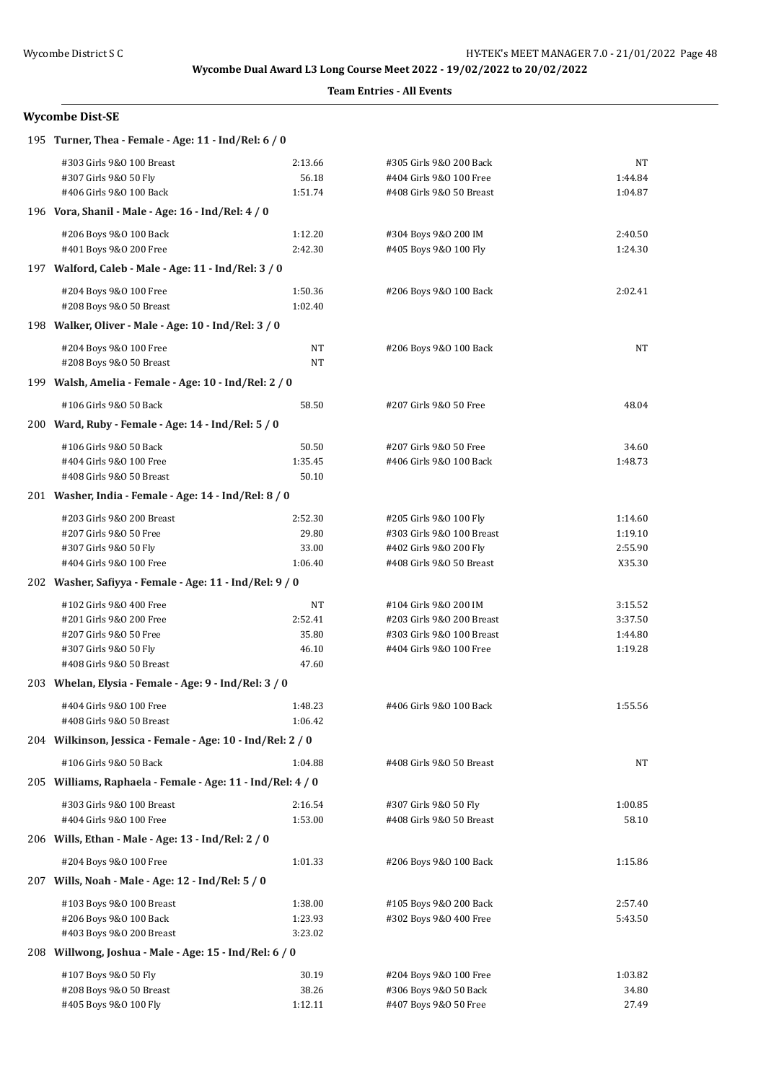## **Team Entries - All Events**

| 195 Turner, Thea - Female - Age: 11 - Ind/Rel: 6 / 0                            |                  |                                                |                |
|---------------------------------------------------------------------------------|------------------|------------------------------------------------|----------------|
| #303 Girls 9&0 100 Breast                                                       | 2:13.66          | #305 Girls 9&0 200 Back                        | NT             |
| #307 Girls 9&0 50 Fly                                                           | 56.18            | #404 Girls 9&0 100 Free                        | 1:44.84        |
| #406 Girls 9&0 100 Back                                                         | 1:51.74          | #408 Girls 9&0 50 Breast                       | 1:04.87        |
| 196 Vora, Shanil - Male - Age: 16 - Ind/Rel: 4 / 0                              |                  |                                                |                |
| #206 Boys 9&0 100 Back                                                          | 1:12.20          | #304 Boys 9&0 200 IM                           | 2:40.50        |
| #401 Boys 9&0 200 Free                                                          | 2:42.30          | #405 Boys 9&0 100 Fly                          | 1:24.30        |
| 197 Walford, Caleb - Male - Age: 11 - Ind/Rel: 3 / 0                            |                  |                                                |                |
| #204 Boys 9&0 100 Free                                                          | 1:50.36          | #206 Boys 9&0 100 Back                         | 2:02.41        |
| #208 Boys 9&0 50 Breast                                                         | 1:02.40          |                                                |                |
| 198 Walker, Oliver - Male - Age: 10 - Ind/Rel: 3 / 0                            |                  |                                                |                |
| #204 Boys 9&0 100 Free                                                          | NT               | #206 Boys 9&0 100 Back                         | NT             |
| #208 Boys 9&0 50 Breast                                                         | NT               |                                                |                |
|                                                                                 |                  |                                                |                |
| 199 Walsh, Amelia - Female - Age: 10 - Ind/Rel: 2 / 0<br>#106 Girls 9&0 50 Back | 58.50            |                                                | 48.04          |
|                                                                                 |                  | #207 Girls 9&0 50 Free                         |                |
| 200 Ward, Ruby - Female - Age: 14 - Ind/Rel: 5 / 0                              |                  |                                                |                |
| #106 Girls 9&0 50 Back                                                          | 50.50            | #207 Girls 9&0 50 Free                         | 34.60          |
| #404 Girls 9&0 100 Free                                                         | 1:35.45          | #406 Girls 9&0 100 Back                        | 1:48.73        |
| #408 Girls 9&0 50 Breast                                                        | 50.10            |                                                |                |
| 201 Washer, India - Female - Age: 14 - Ind/Rel: 8 / 0                           |                  |                                                |                |
| #203 Girls 9&0 200 Breast                                                       | 2:52.30          | #205 Girls 9&0 100 Fly                         | 1:14.60        |
| #207 Girls 9&0 50 Free                                                          | 29.80            | #303 Girls 9&0 100 Breast                      | 1:19.10        |
| #307 Girls 9&0 50 Fly                                                           | 33.00            | #402 Girls 9&0 200 Fly                         | 2:55.90        |
| #404 Girls 9&0 100 Free                                                         | 1:06.40          | #408 Girls 9&0 50 Breast                       | X35.30         |
| 202 Washer, Safiyya - Female - Age: 11 - Ind/Rel: 9 / 0                         |                  |                                                |                |
| #102 Girls 9&0 400 Free                                                         | NT               | #104 Girls 9&0 200 IM                          | 3:15.52        |
| #201 Girls 9&0 200 Free                                                         | 2:52.41          | #203 Girls 9&0 200 Breast                      | 3:37.50        |
| #207 Girls 9&0 50 Free                                                          | 35.80            | #303 Girls 9&0 100 Breast                      | 1:44.80        |
| #307 Girls 9&0 50 Fly                                                           | 46.10            | #404 Girls 9&0 100 Free                        | 1:19.28        |
| #408 Girls 9&0 50 Breast                                                        | 47.60            |                                                |                |
| 203 Whelan, Elysia - Female - Age: 9 - Ind/Rel: 3 / 0                           |                  |                                                |                |
| #404 Girls 9&0 100 Free                                                         | 1:48.23          | #406 Girls 9&0 100 Back                        | 1:55.56        |
| #408 Girls 9&0 50 Breast                                                        | 1:06.42          |                                                |                |
| 204 Wilkinson, Jessica - Female - Age: 10 - Ind/Rel: 2 / 0                      |                  |                                                |                |
| #106 Girls 9&0 50 Back                                                          | 1:04.88          | #408 Girls 9&0 50 Breast                       | NT             |
| 205 Williams, Raphaela - Female - Age: 11 - Ind/Rel: 4 / 0                      |                  |                                                |                |
| #303 Girls 9&0 100 Breast                                                       | 2:16.54          | #307 Girls 9&0 50 Fly                          | 1:00.85        |
| #404 Girls 9&0 100 Free                                                         | 1:53.00          | #408 Girls 9&0 50 Breast                       | 58.10          |
| 206 Wills, Ethan - Male - Age: 13 - Ind/Rel: 2 / 0                              |                  |                                                |                |
| #204 Boys 9&0 100 Free                                                          | 1:01.33          | #206 Boys 9&0 100 Back                         | 1:15.86        |
| 207 Wills, Noah - Male - Age: 12 - Ind/Rel: 5 / 0                               |                  |                                                |                |
| #103 Boys 9&0 100 Breast                                                        | 1:38.00          | #105 Boys 9&0 200 Back                         | 2:57.40        |
| #206 Boys 9&0 100 Back                                                          | 1:23.93          | #302 Boys 9&0 400 Free                         | 5:43.50        |
| #403 Boys 9&0 200 Breast                                                        | 3:23.02          |                                                |                |
| 208 Willwong, Joshua - Male - Age: 15 - Ind/Rel: 6 / 0                          |                  |                                                |                |
|                                                                                 |                  |                                                |                |
| #107 Boys 9&0 50 Fly                                                            | 30.19            | #204 Boys 9&0 100 Free                         | 1:03.82        |
| #208 Boys 9&0 50 Breast<br>#405 Boys 9&0 100 Fly                                | 38.26<br>1:12.11 | #306 Boys 9&0 50 Back<br>#407 Boys 9&0 50 Free | 34.80<br>27.49 |
|                                                                                 |                  |                                                |                |